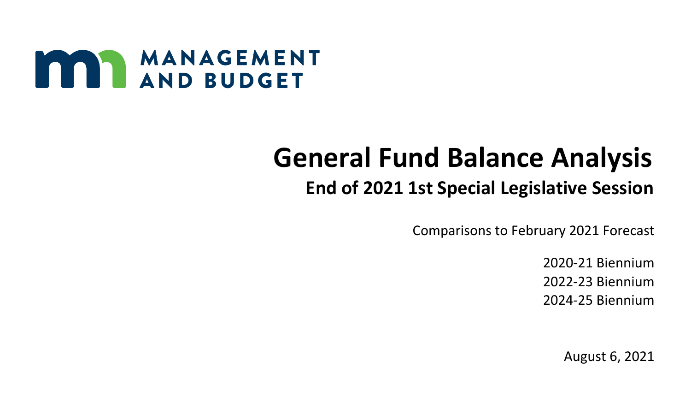

# **General Fund Balance Analysis**

## **End of 2021 1st Special Legislative Session**

Comparisons to February 2021 Forecast

2020-21 Biennium 2022-23 Biennium 2024-25 Biennium

August 6, 2021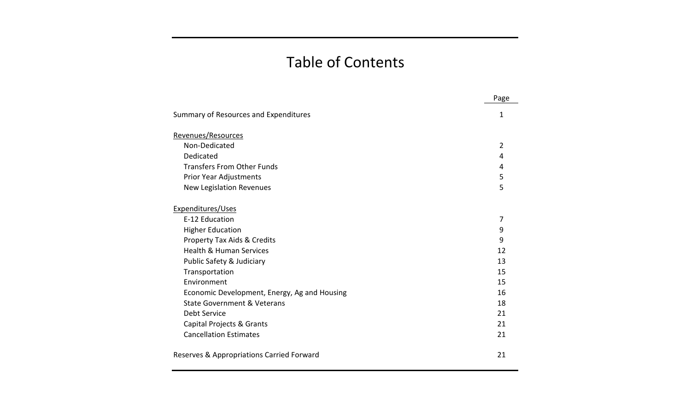## Table of Contents

|                                              | Page           |
|----------------------------------------------|----------------|
| Summary of Resources and Expenditures        | 1              |
| Revenues/Resources                           |                |
| Non-Dedicated                                | $\overline{2}$ |
| Dedicated                                    | 4              |
| <b>Transfers From Other Funds</b>            | 4              |
| Prior Year Adjustments                       | 5              |
| New Legislation Revenues                     | 5              |
| Expenditures/Uses                            |                |
| E-12 Education                               | 7              |
| <b>Higher Education</b>                      | 9              |
| Property Tax Aids & Credits                  | 9              |
| <b>Health &amp; Human Services</b>           | 12             |
| Public Safety & Judiciary                    | 13             |
| Transportation                               | 15             |
| Environment                                  | 15             |
| Economic Development, Energy, Ag and Housing | 16             |
| State Government & Veterans                  | 18             |
| Debt Service                                 | 21             |
| Capital Projects & Grants                    | 21             |
| <b>Cancellation Estimates</b>                | 21             |
| Reserves & Appropriations Carried Forward    | 21             |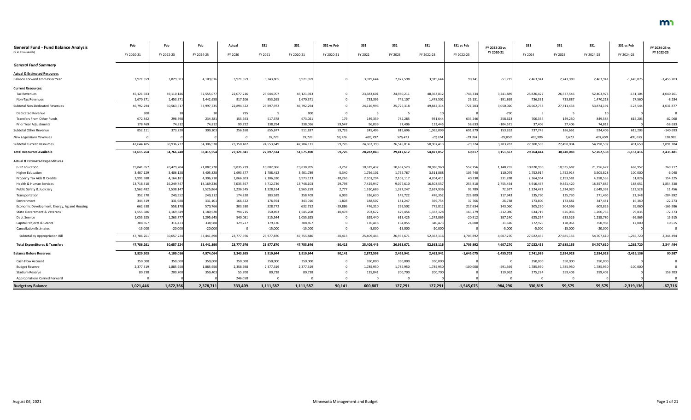| <b>General Fund - Fund Balance Analysis</b><br>(\$ in Thousands) | Feb        | Feb        | Feb        | Actual     | <b>SS1</b> | SS1        | SS1 vs Feb | SS1        | SS1        | <b>SS1</b> | SS1 vs Feb   | FY 2022-23 vs<br>FY 2020-21 | SS1        | SS <sub>1</sub> | <b>SS1</b> | SS1 vs Feb   | FY 2024-25 vs<br>FY 2022-23 |
|------------------------------------------------------------------|------------|------------|------------|------------|------------|------------|------------|------------|------------|------------|--------------|-----------------------------|------------|-----------------|------------|--------------|-----------------------------|
|                                                                  | FY 2020-21 | FY 2022-23 | FY 2024-25 | FY 2020    | FY 2021    | FY 2020-21 | FY 2020-21 | FY 2022    | FY 2023    | FY 2022-23 | FY 2022-23   |                             | FY 2024    | FY 2025         | FY 2024-25 | FY 2024-25   |                             |
| <b>General Fund Summary</b>                                      |            |            |            |            |            |            |            |            |            |            |              |                             |            |                 |            |              |                             |
| <b>Actual &amp; Estimated Resources</b>                          |            |            |            |            |            |            |            |            |            |            |              |                             |            |                 |            |              |                             |
| Balance Forward From Prior Year                                  | 3,971,359  | 3,829,503  | 4,109,016  | 3,971,359  | 3,343,865  | 3,971,359  |            | 3,919,644  | 2,872,598  | 3,919,644  | 90,141       | $-51,71!$                   | 2,463,941  | 2,741,989       | 2,463,941  | $-1,645,075$ | $-1,455,703$                |
| <b>Current Resources:</b>                                        |            |            |            |            |            |            |            |            |            |            |              |                             |            |                 |            |              |                             |
| <b>Tax Revenues</b>                                              | 45,121,923 | 49,110,14  | 52,555,077 | 22,077,216 | 23,044,707 | 45,121,923 |            | 23,383,601 | 24,980,211 | 48,363,812 | $-746,334$   | 3,241,889                   | 25,826,427 | 26,577,546      | 52,403,97  | $-151,104$   | 4,040,161                   |
| Non-Tax Revenues                                                 | 1,670,371  | 1,453,37   | 1,442,658  | 817,106    | 853,265    | 1,670,371  |            | 733,395    | 745,107    | 1,478,502  | 25,13        | -191,869                    | 736,331    | 733,887         | 1,470,21   | 27,560       | $-8,284$                    |
| Subtotal Non-Dedicated Revenues                                  | 46,792,294 | 50,563,51  | 53,997,735 | 22,894,322 | 23,897,972 | 46,792,294 |            | 24,116,996 | 25,725,318 | 49,842,314 | $-721,203$   | 3,050,020                   | 26,562,758 | 27,311,433      | 53,874,191 | $-123,544$   | 4,031,877                   |
| <b>Dedicated Revenue</b>                                         | 800        |            |            | 795        |            | 800        |            |            |            |            |              | $-790$                      |            |                 |            |              |                             |
| Transfers From Other Funds                                       | 672,842    | 298,398    | 234,381    | 155,643    | 517,378    | 673,021    | 179        | 149,359    | 782,285    | 931,644    | 633,246      | 258,623                     | 700,334    | 149,250         | 849,584    | 615,203      | $-82,060$                   |
| Prior Year Adjustments                                           | 178,46     | 74,812     | 74,812     | 99,722     | 138,294    | 238,016    | 59,547     | 96,039     | 37,406     | 133,445    | 58,63        | $-104,57$                   | 37,406     | 37,406          | 74,812     |              | $-58,633$                   |
| Subtotal Other Revenue                                           | 852,111    | 373,220    | 309,203    | 256,160    | 655,677    | 911,837    | 59,726     | 245,403    | 819,696    | 1,065,099  | 691,879      | 153,262                     | 737,745    | 186,661         | 924,406    | 615,203      | $-140,693$                  |
| <b>New Legislation Revenues</b>                                  |            |            |            | $\Omega$   | 59,726     | 59,726     | 59,726     | -605,797   | 576,473    | $-29,32$   | -29,324      | -89,050                     | 485,986    | 5,673           | 491,659    | 491,659      | 520,983                     |
| <b>Subtotal Current Resources</b>                                | 47,644,40  | 50,936,73  | 54,306,938 | 23,150,482 | 24,553,649 | 47,704,131 | 59,726     | 24,362,399 | 26,545,014 | 50,907,413 | $-29,324$    | 3,203,28                    | 27,300,503 | 27,498,094      | 54,798,59  | 491,659      | 3,891,184                   |
| <b>Total Resources Available</b>                                 | 51,615,764 | 54,766,240 | 58,415,954 | 27,121,841 | 27,897,514 | 51,675,490 | 59,726     | 28,282,043 | 29,417,612 | 54,827,057 | 60,817       | 3,151,567                   | 29,764,444 | 30,240,083      | 57,262,538 | $-1,153,416$ | 2,435,481                   |
| <b>Actual &amp; Estimated Expenditures</b>                       |            |            |            |            |            |            |            |            |            |            |              |                             |            |                 |            |              |                             |
| E-12 Education                                                   | 19,841,957 | 20,429,204 | 21,087,720 | 9,835,739  | 10,002,966 | 19,838,705 | $-3,252$   | 10,319,437 | 10,667,523 | 20,986,960 | 557,756      | 1,148,255                   | 10,820,990 | 10,935,687      | 21,756,67  | 668,957      | 769,717                     |
| <b>Higher Education</b>                                          | 3,407,129  | 3,406,128  | 3,405,828  | 1,693,377  | 1,708,412  | 3,401,789  | $-5,340$   | 1,756,101  | 1,755,767  | 3,511,868  | 105,740      | 110,079                     | 1,752,914  | 1,752,914       | 3,505,82   | 100,000      | $-6,040$                    |
| Property Tax Aids & Credits                                      | 3,991,388  | 4,164,181  | 4,306,710  | 1,866,803  | 2,106,320  | 3,973,123  | $-18,265$  | 2,101,294  | 2,103,117  | 4,204,411  | 40,230       | 231,288                     | 2,164,954  | 2,193,582       | 4,358,53   | 51,826       | 154,125                     |
| Health & Human Services                                          | 13,718,310 | 16,249,74  | 18,169,236 | 7,035,367  | 6,712,736  | 13,748,103 | 29,793     | 7,425,947  | 9,077,610  | 16,503,557 | 253,810      | 2,755,454                   | 8,916,467  | 9,441,420       | 18,357,88  | 188,651      | 1,854,330                   |
| Public Safety & Judiciary                                        | 2,562,482  | 2,538,147  | 2,525,864  | 1,236,945  | 1,328,314  | 2,565,259  | 2,777      | 1,310,689  | 1,327,247  | 2,637,936  | 99,789       | 72,677                      | 1,324,472  | 1,324,920       | 2,649,39   | 123,528      | 11,456                      |
| Transportation                                                   | 352,370    | 249,552    | 249,112    | 174,820    | 183,589    | 358,409    | 6,039      | 326,630    | 149,722    | 476,352    | 226,800      | 117,943                     | 135,730    | 135,730         | 271,460    | 22,348       | $-204,892$                  |
| Environment                                                      | 344,819    | 331,988    | 331,101    | 166,422    | 176,594    | 343,016    | $-1,803$   | 188,507    | 181,247    | 369,754    | 37,766       | 26,738                      | 173,800    | 173,681         | 347,481    | 16,380       | $-22,273$                   |
| Economic Development, Energy, Ag and Housing                     | 662,638    | 558,17     | 570,766    | 303,980    | 328,772    | 632,752    | $-29,886$  | 476,310    | 299,502    | 775,812    | 217,634      | 143,060                     | 305,230    | 304,596         | 609,82     | 39,060       | $-165,986$                  |
| State Government & Veterans                                      | 1,555,686  | 1,169,849  | 1,180,920  | 794,715    | 750,493    | 1,545,208  | $-10,478$  | 703,672    | 629,456    | 1,333,128  | 163,279      | $-212,080$                  | 634,719    | 626,036         | 1,260,755  | 79,835       | $-72,373$                   |
| Debt Service                                                     | 1,055,625  | 1,263,77   | 1,295,645  | 540,081    | 515,544    | 1,055,625  |            | 629,440    | 613,425    | 1,242,865  | $-20,912$    | 187,240                     | 625,254    | 633,526         | 1,258,780  | $-36,865$    | 15,915                      |
| Capital Projects & Grants                                        | 308,857    | 316,473    | 338,988    | 129,727    | 179,130    | 308,857    |            | 176,418    | 164,055    | 340,473    | 24,000       | 31,616                      | 172,925    | 178,063         | 350,988    | 12,000       | 10,515                      |
| <b>Cancellation Estimates</b>                                    | $-15,000$  | $-20,000$  | $-20,000$  |            | $-15,000$  | $-15,000$  |            | $-5,000$   | $-15,000$  | $-20,000$  |              | $-5,000$                    | $-5,000$   | $-15,000$       | $-20,000$  |              |                             |
| Subtotal by Appropriation Bill                                   | 47,786,261 | 50,657,224 | 53,441,890 | 23,777,976 | 23,977,870 | 47,755,846 | $-30,415$  | 25,409,445 | 26,953,671 | 52,363,116 | 1,705,892    | 4,607,270                   | 27,022,455 | 27,685,155      | 54,707,610 | 1,265,720    | 2,344,494                   |
| <b>Total Expenditures &amp; Transfers</b>                        | 47,786,261 | 50,657,224 | 53,441,890 | 23,777,976 | 23,977,870 | 47,755,846 | $-30,415$  | 25,409,445 | 26,953,671 | 52,363,116 | 1,705,892    | 4,607,270                   | 27,022,455 | 27,685,155      | 54,707,610 | 1,265,720    | 2,344,494                   |
| <b>Balance Before Reserves</b>                                   | 3,829,503  | 4,109,016  | 4,974,064  | 3,343,865  | 3,919,644  | 3,919,644  | 90,141     | 2,872,598  | 2,463,941  | 2,463,941  | $-1,645,075$ | $-1,455,703$                | 2,741,989  | 2,554,928       | 2,554,928  | $-2,419,136$ | 90,987                      |
| Cash Flow Account                                                | 350,000    | 350,000    | 350,000    | 350,000    | 350,000    | 350,000    |            | 350,000    | 350,000    | 350,000    |              |                             | 350,000    | 350,000         | 350,000    |              |                             |
| <b>Budget Reserve</b>                                            | 2,377,319  | 1,885,950  | 1,885,950  | 2,358,698  | 2,377,319  | 2,377,319  |            | 1,785,950  | 1,785,950  | 1,785,950  | $-100,000$   | $-591,369$                  | 1,785,950  | 1,785,950       | 1,785,950  | $-100,000$   |                             |
| <b>Stadium Reserve</b>                                           | 80,738     | 200,700    | 359,403    | 55,700     | 80,738     | 80,738     |            | 135,841    | 200,700    | 200,700    |              | 119,962                     | 275,224    | 359,403         | 359,403    |              | 158,703                     |
| <b>Appropriations Carried Forward</b>                            |            |            |            | 246,058    |            |            |            |            | 0          |            |              |                             |            |                 |            |              |                             |
| <b>Budgetary Balance</b>                                         | 1,021,446  | 1,672,366  | 2,378,711  | 333,409    | 1,111,587  | 1,111,587  | 90,141     | 600,807    | 127,291    | 127,291    | $-1,545,075$ | $-984,296$                  | 330,815    | 59,575          | 59,575     | $-2,319,136$ | $-67,716$                   |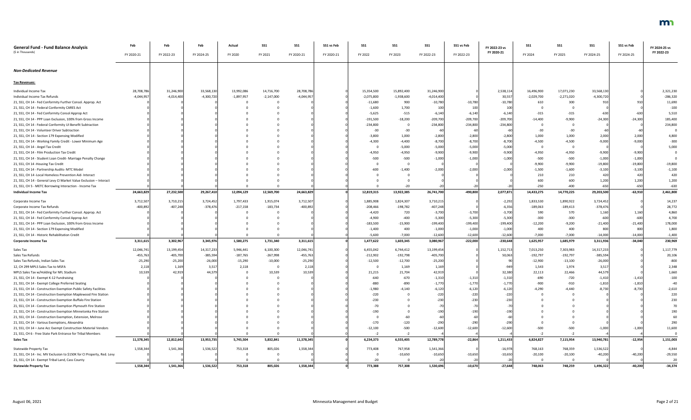| <b>General Fund - Fund Balance Analysis</b><br>(\$ in Thousands)        | Feb          | Feb          | Feb          | Actual       | <b>SS1</b> | SS1          | SS1 vs Feb | SS1          | SS <sub>1</sub> | <b>SS1</b>   | SS1 vs Feb | FY 2022-23 vs | SS1          | SS1          | SS <sub>1</sub> | SS1 vs Feb | FY 2024-25 vs |
|-------------------------------------------------------------------------|--------------|--------------|--------------|--------------|------------|--------------|------------|--------------|-----------------|--------------|------------|---------------|--------------|--------------|-----------------|------------|---------------|
|                                                                         | FY 2020-21   | FY 2022-23   | FY 2024-25   | FY 2020      | FY 2021    | FY 2020-21   | FY 2020-21 | FY 2022      | FY 2023         | FY 2022-23   | FY 2022-23 | FY 2020-21    | FY 2024      | FY 2025      | FY 2024-25      | FY 2024-25 | FY 2022-23    |
| <b>Non-Dedicated Revenue</b>                                            |              |              |              |              |            |              |            |              |                 |              |            |               |              |              |                 |            |               |
| <b>Tax Revenues:</b>                                                    |              |              |              |              |            |              |            |              |                 |              |            |               |              |              |                 |            |               |
| Individual Income Tax                                                   | 28,708,786   | 31,246,900   | 33,568,130   | 13,992,086   | 14,716,700 | 28,708,786   |            | 15,354,500   | 15,892,400      | 31,246,900   |            | 2,538,114     | 16,496,900   | 17,071,230   | 33,568,130      |            | 2,321,230     |
| Individual Income Tax Refunds                                           | $-4,044,957$ | $-4,014,400$ | $-4,300,720$ | $-1,897,957$ | -2,147,000 | $-4,044,957$ |            | $-2,075,800$ | $-1,938,600$    | $-4,014,400$ |            | 30,557        | $-2,029,700$ | $-2,271,020$ | $-4,300,720$    |            | $-286,320$    |
| 21, SS1, CH 14 - Fed Conformity Further Consol. Approp. Act             |              |              |              |              |            |              |            | $-11,680$    | 900             | $-10,780$    | $-10,780$  | $-10,780$     | 610          | 300          | 91(             |            | 11,690        |
| 21, SS1, CH 14 - Federal Conformity CARES Act                           |              |              |              |              |            |              |            | $-1,600$     | 1,700           | 100          | 100        | 100           |              |              |                 |            | $-100$        |
| 21, SS1, CH 14 - Fed Conformity Consol Approp Act                       |              |              |              |              |            |              |            | $-5,625$     | $-515$          | $-6,140$     | $-6,140$   | $-6,140$      | $-315$       | $-315$       | $-630$          |            | 5,510         |
| 21, SS1, CH 14 - PPP Loan Exclusion, 100% from Gross Income             |              |              |              |              |            |              |            | $-191,500$   | $-18,200$       | $-209,700$   | $-209,700$ | $-209,700$    | $-14,400$    | $-9,900$     | $-24,300$       | $-24,300$  | 185,400       |
| 21, SS1, CH 14 - Federal Conformity UI Benefit Subtraction              |              |              |              |              |            |              |            | $-234,800$   | - 0             | $-234,800$   | $-234,800$ | $-234,800$    |              |              |                 |            | 234,800       |
| 21, SS1, CH 14 - Volunteer Driver Subtraction                           |              |              |              |              |            |              |            | $-30$        | $-30$           | -60          |            |               |              | $-30$        | -60             |            |               |
| 21, SS1, CH 14 - Section 179 Expensing Modified                         |              |              |              |              |            |              |            | $-3,800$     | 1,000           | $-2,800$     | $-2,800$   | $-2,800$      | 1,000        | 1,000        | 2,000           | 2,000      | 4,800         |
| 21, SS1, CH 14 - Working Family Credit - Lower Minimum Age              |              |              |              |              |            |              |            | $-4,300$     | $-4,400$        | $-8,700$     | $-8,700$   | $-8,700$      | $-4,500$     | $-4,500$     | $-9,000$        | $-9,000$   | $-300$        |
| 21, SS1, CH 14 - Angel Tax Credit                                       |              |              |              |              |            |              |            |              | $-5,000$        | $-5,000$     | $-5,000$   | $-5,000$      |              |              |                 |            | 5,000         |
| 21, SS1, CH 14 - Film Production Tax Credit                             |              |              |              |              |            |              |            | $-4,950$     | $-4,950$        | $-9,900$     | $-9,900$   | $-9,900$      | $-4,950$     | $-4,950$     | $-9,900$        | $-9,900$   |               |
| 21, SS1, CH 14 - Student Loan Credit- Marriage Penalty Change           |              |              |              |              |            |              |            | $-500$       | $-500$          | $-1,000$     | $-1,000$   | $-1,000$      | $-500$       | $-500$       | $-1,000$        | $-1,000$   |               |
| 21, SS1, CH 14 - Housing Tax Credit                                     |              |              |              |              |            |              |            |              | 0               |              |            |               | $-9,900$     | $-9,900$     | $-19,800$       | $-19,800$  | $-19,800$     |
| 21, SS1, CH 14 - Partnership Audits- MTC Model                          |              |              |              |              |            |              |            | $-600$       | $-1,400$        | $-2,000$     | $-2,000$   | $-2,000$      | $-1,500$     | $-1,600$     | $-3,100$        | $-3,100$   | $-1,100$      |
| 21, SS1, CH 14 - Local Homeless Prevention Aid- Interact                |              |              |              |              |            |              |            |              |                 |              |            |               | 210          | 210          | 420             | 420        | 420           |
| 21, SS1, CH 14 - General Levy CI Market Value Exclusion - Interact      |              |              |              |              |            |              |            |              |                 |              |            |               | 600          | 600          | 1,200           | 1,200      | 1,200         |
| 21, SS1, CH 5 - METC Borrowing Interaction - Income Tax                 |              |              |              |              |            |              |            |              | $-20$           |              |            |               | $-250$       | $-400$       | $-650$          | $-650$     | $-630$        |
| <b>Individual Income Tax</b>                                            | 24,663,829   | 27,232,500   | 29,267,410   | 12,094,129   | 12,569,700 | 24,663,829   |            | 12,819,315   | 13,922,385      | 26,741,700   | $-490,800$ | 2,077,871     | 14,433,275   | 14,770,225   | 29,203,500      | $-63,910$  | 2,461,800     |
| Corporate Income Tax                                                    | 3,712,507    | 3,710,215    | 3,724,452    | 1,797,433    | 1,915,074  | 3,712,507    |            | 1,885,908    | 1,824,307       | 3,710,215    |            | $-2,292$      | 1,833,530    | 1,890,922    | 3,724,452       |            | 14,237        |
| Corporate Income Tax Refunds                                            | $-400,892$   | $-407,24$    | $-378,476$   | $-217,158$   | $-183,734$ | $-400,892$   |            | $-208,466$   | $-198,782$      | $-407,248$   |            | $-6,356$      | $-189,063$   | $-189,413$   | $-378,476$      |            | 28,772        |
| 21, SS1, CH 14 - Fed Conformity Further Consol. Approp. Act             |              |              |              |              |            |              |            | $-4,420$     | 720             | $-3,700$     | $-3,700$   | $-3,700$      | 590          | 570          | 1,160           | 1,160      | 4,860         |
| 21, SS1, CH 14 - Fed Conformity Consol Approp Act                       |              |              |              |              |            |              |            | $-4,900$     | $-400$          | $-5,300$     | $-5,300$   | $-5,300$      | $-300$       | $-300$       | $-600$          |            | 4,700         |
| 21, SS1, CH 14 - PPP Loan Exclusion, 100% from Gross Income             |              |              |              |              |            |              |            | $-183,500$   | $-15,900$       | $-199,400$   | $-199,400$ | $-199,400$    | $-12,200$    | $-9,200$     | $-21,400$       | $-21,400$  | 178,000       |
| 21, SS1, CH 14 - Section 179 Expensing Modified                         |              |              |              |              |            |              |            | $-1,400$     | 400             | $-1,000$     | $-1,000$   | $-1,000$      | 400          | 400          | 800             | 800        | 1,800         |
| 21, SS1, CH 14 - Historic Rehabilitation Credit                         |              |              |              |              |            |              |            | $-5,600$     | $-7,000$        | $-12,600$    | $-12,600$  | $-12,600$     | $-7,000$     | $-7,000$     | $-14,000$       | $-14,000$  | $-1,400$      |
| <b>Corporate Income Tax</b>                                             | 3,311,615    | 3,302,967    | 3,345,976    | 1,580,275    | 1,731,340  | 3,311,615    |            | 1,477,622    | 1,603,345       | 3,080,967    | $-222,000$ | $-230,648$    | 1,625,957    | 1,685,979    | 3,311,936       | $-34,040$  | 230,969       |
| Sales Tax                                                               | 12,046,741   | 13,199,454   | 14,317,233   | 5,946,441    | 6,100,300  | 12,046,741   |            | 6,455,042    | 6,744,412       | 13,199,454   |            | 1,152,713     | 7,013,250    | 7,303,983    | 14,317,233      |            | 1,117,779     |
| Sales Tax Refunds                                                       | $-455,763$   | $-405,700$   | $-385,594$   | $-187,765$   | -267,998   | $-455,763$   |            | $-212,902$   | $-192,798$      | $-405,700$   |            | 50,063        | $-192,797$   | $-192,797$   | $-385,594$      |            | 20,106        |
| Sales Tax Refunds, Indian Sales Tax                                     | $-25,290$    | $-25,200$    | $-26,000$    | $-15,290$    | $-10,000$  | $-25,290$    |            | $-12,500$    | $-12,700$       | $-25,200$    |            |               | $-12,900$    | $-13,100$    | $-26,000$       |            | $-800$        |
| 12, CH 299 MPLS Sales Tax to MSFA                                       | 2,118        | 1,169        | 3,517        | 2,118        |            | 2,118        |            |              | 1,169           | 1,169        |            | $-94$         | 1,543        | 1,974        | 3,517           |            | 2,348         |
| MPLS Sales Tax w/Holding for NFL Stadium                                | 10,539       | 42,91        | 44,579       |              | 10,539     | 10,539       |            | 21,215       | 21,704          | 42,919       |            | 32,380        | 22,113       | 22,466       | 44,579          |            | 1,660         |
| 21, SS1, CH 14 - Exempt K-12 Fundraising                                |              |              |              |              |            |              |            | $-640$       | $-670$          | $-1,310$     | $-1,310$   | $-1,310$      | $-690$       | $-720$       | $-1,410$        | $-1,410$   | $-100$        |
| 21, SS1, CH 14 - Exempt College Preferred Seating                       |              |              |              |              |            |              |            | $-880$       | $-890$          | $-1,770$     | $-1,770$   | $-1,770$      | $-900$       | $-910$       | $-1,810$        | $-1,810$   | $-40$         |
| 21, SS1, CH 14 - Construction Exemption Public Safety Facilities        |              |              |              |              |            |              |            | $-1,980$     | $-4,140$        | $-6,120$     | $-6,120$   | $-6,120$      | $-4,290$     | $-4,440$     | $-8,730$        | $-8,730$   | $-2,610$      |
| 21, SS1, CH 14 - Construction Exemption Maplewood Fire Station          |              |              |              |              |            |              |            | $-220$       |                 | $-220$       | $-220$     | $-220$        |              |              |                 |            | 220           |
| 21, SS1, CH 14 - Construction Exemption Buffalo Fire Station            |              |              |              |              |            |              |            | $-230$       |                 | $-230$       | $-230$     |               |              |              |                 |            | 230           |
| 21, SS1, CH 14 - Construction Exemption Plymouth Fire Station           |              |              |              |              |            |              |            | $-70$        |                 | -70          |            |               |              |              |                 |            |               |
| 21, SS1, CH 14 - Construction Exemption Minnetonka Fire Station         |              |              |              |              |            |              |            | $-190$       |                 | -190         | $-190$     | $-190$        |              |              |                 |            |               |
| 21, SS1, CH 14 - Construction Exemption, Extension, Melrose             |              |              |              |              |            |              |            |              | $-60$           |              |            |               |              |              |                 |            |               |
| 21, SS1, CH 14 - Various Exemptions, Alexandria                         |              |              |              |              |            |              |            | $-170$       | $-120$          | $-290$       | $-290$     | $-290$        |              |              |                 |            | 290           |
| 21, SS1, CH 14 - June Acc Exempt Construction Material Vendors          |              |              |              |              |            |              |            | $-12,100$    | $-500$          | $-12,600$    | $-12,600$  | $-12,600$     | $-500$       | $-500$       | $-1,000$        | $-1,000$   | 11,600        |
| 21, SS1, CH 6 - Free State Park Entrance for Tribal Members             |              |              |              |              |            |              |            |              | $-2$            |              |            |               |              |              |                 |            |               |
| <b>Sales Tax</b>                                                        | 11,578,345   | 12,812,642   | 13,953,735   | 5,745,504    | 5,832,841  | 11,578,345   |            | 6,234,373    | 6,555,405       | 12,789,778   | $-22,864$  | 1,211,433     | 6,824,827    | 7,115,954    | 13,940,781      | $-12,954$  | 1,151,003     |
| <b>Statewide Property Tax</b>                                           | 1,558,344    | 1,541,366    | 1,536,522    | 753,318      | 805,026    | 1,558,344    |            | 773,408      | 767,958         | 1,541,366    |            | $-16,978$     | 768,163      | 768,359      | 1,536,522       |            | $-4,844$      |
| 21, SS1, CH 14 - Inc. MV Exclusion to \$150K for CI Property, Red. Levy |              |              |              |              |            |              |            |              | $-10,650$       | $-10,650$    | $-10,650$  | $-10,650$     | $-20,100$    | $-20,100$    | $-40,200$       | $-40,200$  | $-29,550$     |
| 21, SS1, CH 14 - Exempt Tribal Land, Cass County                        |              |              |              |              |            |              |            | $-20$        |                 | $-20$        |            |               |              |              |                 |            | 20            |
| <b>Statewide Property Tax</b>                                           | 1,558,344    | 1,541,366    | 1,536,522    | 753,318      | 805,026    | 1,558,344    |            | 773,388      | 757,308         | 1,530,696    | $-10,670$  | $-27,648$     | 748,063      | 748,259      | 1,496,322       | $-40,200$  | $-34,374$     |

### m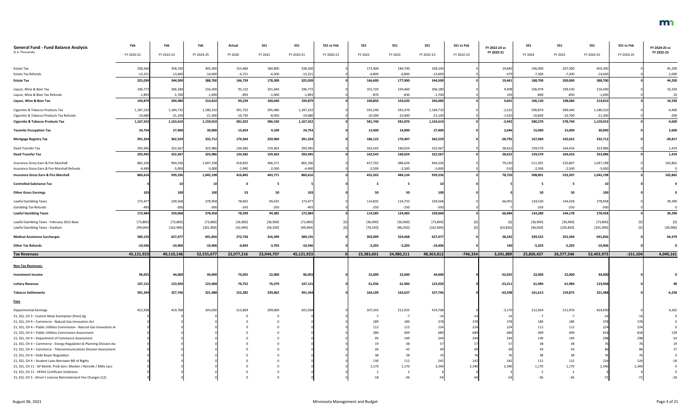| <b>General Fund - Fund Balance Analysis</b><br>(\$ in Thousands)                                                 | Feb        | Feb        | Feb        | Actual     | <b>SS1</b> | <b>SS1</b> | SS1 vs Feb | <b>SS1</b> | <b>SS1</b> | <b>SS1</b> | SS1 vs Feb | FY 2022-23 vs<br>FY 2020-21 | <b>SS1</b> | <b>SS1</b> | <b>SS1</b>      | SS1 vs Feb | FY 2024-25 vs<br>FY 2022-23 |
|------------------------------------------------------------------------------------------------------------------|------------|------------|------------|------------|------------|------------|------------|------------|------------|------------|------------|-----------------------------|------------|------------|-----------------|------------|-----------------------------|
|                                                                                                                  | FY 2020-21 | FY 2022-23 | FY 2024-25 | FY 2020    | FY 2021    | FY 2020-21 | FY 2020-21 | FY 2022    | FY 2023    | FY 2022-23 | FY 2022-23 |                             | FY 2024    | FY 2025    | FY 2024-25      | FY 2024-25 |                             |
| <b>Estate Tax</b>                                                                                                | 338,260    | 358,100    | 403,300    | 153,460    | 184,800    | 338,260    |            | 173,400    | 184,700    | 358,100    |            | 19,840                      | 196,000    | 207,300    | 403,300         |            | 45,200                      |
| <b>Estate Tax Refunds</b>                                                                                        | $-13,221$  | $-13,600$  | $-14,600$  | $-6,721$   | $-6,500$   | $-13,221$  |            | $-6,800$   | $-6,800$   | $-13,600$  |            | $-379$                      | $-7,300$   | $-7,300$   | $-14,600$       |            | $-1,000$                    |
| <b>Estate Tax</b>                                                                                                | 325,039    | 344,500    | 388,700    | 146,739    | 178,300    | 325,039    |            | 166,600    | 177,900    | 344,500    |            | 19,461                      | 188,700    | 200,000    | 388,700         |            | 44,200                      |
| Liquor, Wine & Beer Tax                                                                                          | 196,772    | 206,180    | 216,500    | 95,132     | 101,640    | 196,772    |            | 101,720    | 104,460    | 206,180    |            | 9,408                       | 106,970    | 109,530    | 216,500         |            | 10,320                      |
| Liquor, Wine & Beer Tax Refunds                                                                                  | $-1,893$   | $-1,700$   | $-1,690$   | $-893$     | $-1,000$   | $-1,893$   |            | $-870$     | $-830$     | $-1,700$   |            | 193                         | $-840$     | $-850$     | $-1,690$        |            | 10                          |
| Liquor, Wine & Beer Tax                                                                                          | 194,879    | 204,480    | 214,810    | 94,239     | 100,640    | 194,879    |            | 100,850    | 103,630    | 204,480    |            | 9,601                       | 106,130    | 108,680    | 214,810         |            | 10,330                      |
| Cigarette & Tobacco Products Tax                                                                                 | 1,187,232  | 1,184,710  | 1,180,310  | 591,752    | 595,480    | 1,187,232  |            | 592,240    | 592,470    | 1,184,710  |            | $-2,522$                    | 590,870    | 589,440    | 1,180,310       |            | $-4,400$                    |
| Cigarette & Tobacco Products Tax Refunds                                                                         | $-19,680$  | $-21,100$  | $-21,300$  | $-10,730$  | $-8,950$   | $-19,680$  |            | $-10,500$  | $-10,600$  | $-21,100$  |            | $-1,420$                    | $-10,600$  | $-10,700$  | $-21,300$       |            | $-200$                      |
| <b>Cigarette &amp; Tobacco Products Tax</b>                                                                      | 1,167,552  | 1,163,610  | 1,159,010  | 581,022    | 586,530    | 1,167,552  |            | 581,740    | 581,870    | 1,163,610  |            | $-3,942$                    | 580,270    | 578,740    | 1,159,010       |            | $-4,600$                    |
| <b>Taconite Occupation Tax</b>                                                                                   | 24,754     | 27,400     | 30,000     | 15,654     | 9,100      | 24,754     |            | 13,400     | 14,000     | 27,400     |            | 2,646                       | 15,000     | 15,000     | 30,000          |            | 2,600                       |
| <b>Mortgage Registry Tax</b>                                                                                     | 391,324    | 362,529    | 332,712    | 170,364    | 220,960    | 391,324    |            | 186,122    | 176,407    | 362,529    |            | $-28,795$                   | 167,060    | 165,652    | 332,712         |            | $-29,817$                   |
| Deed Transfer Tax                                                                                                | 293,945    | 322,567    | 323,986    | 134,582    | 159,363    | 293,945    |            | 162,543    | 160,024    | 322,567    |            | 28,622                      | 159,570    | 164,416    | 323,986         |            | 1,419                       |
| <b>Deed Transfer Tax</b>                                                                                         | 293,945    | 322,567    | 323,986    | 134,582    | 159,363    | 293,945    |            | 162,543    | 160,024    | 322,567    |            | 28,622                      | 159,570    | 164,416    | 323,986         |            | 1,419                       |
| Insurance Gross Earn & Fire Marshall                                                                             | 865,106    | 944,336    | 1,047,198  | 418,835    | 446,271    | 865,106    |            | 457,702    | 486,634    | 944,336    |            | 79,230                      | 511,391    | 535,807    | 1,047,198       |            | 102,862                     |
| Insurance Gross Earn & Fire Marshall Refunds                                                                     | $-4,490$   | $-5,000$   | $-5,000$   | $-1,990$   | $-2,500$   | $-4,490$   |            | $-2,500$   | $-2,500$   | $-5,000$   |            | $-510$                      | $-2,500$   | $-2,500$   | $-5,000$        |            |                             |
| <b>Insurance Gross Earn &amp; Fire Marshall</b>                                                                  | 860,616    | 939,336    | 1,042,198  | 416,845    | 443,771    | 860,616    |            | 455,202    | 484,134    | 939,336    |            | 78,720                      | 508,891    | 533,307    | 1,042,198       |            | 102,862                     |
| <b>Controlled Substance Tax</b>                                                                                  |            |            |            |            | - 5        |            |            |            | - 5        |            |            |                             |            |            |                 |            |                             |
| <b>Other Gross Earnings</b>                                                                                      | 103        | 100        | 100        | 53         | 50         | 1031       |            | 50         | 50         | 100        |            |                             | 50         | 50         | 100             |            |                             |
| <b>Lawful Gambling Taxes</b>                                                                                     | 173,477    | 239,568    | 278,958    | 78,842     | 94,635     | 173,477    |            | 114,835    | 124,733    | 239,568    |            | 66,091                      | 134,530    | 144,428    | 278,958         |            | 39,390                      |
| <b>Gambling Tax Refunds</b>                                                                                      |            | $-500$     | $-500$     | $-243$     | $-250$     | $-493$     |            | $-250$     | $-250$     | $-500$     |            |                             | $-250$     | $-250$     | $-500$          |            |                             |
| <b>Lawful Gambling Taxes</b>                                                                                     | 172,984    | 239,068    | 278,458    | 78,599     | 94,385     | 172,984    |            | 114,585    | 124,483    | 239,068    |            | 66,084                      | 134,280    | 144,178    | 278,458         |            | 39,390                      |
| Lawful Gambling Taxes - February 2012 Base                                                                       | [73, 800]  | [73, 800]  | [73,800]   | [36,900]   | [36,900]   | [73,800]   |            | [36,900]   | [36,900]   | [73,800]   |            |                             | [36,900]   | [36,900]   | [73, 800]       |            |                             |
| Lawful Gambling Taxes - Stadium                                                                                  | [99, 044]  | [162,900]  | [201, 900] | [42, 494]  | [56, 550]  | [99, 044]  |            | [76, 550]  | [86, 350]  | [162,900]  |            | [63, 856]                   | [96,050]   | [105, 850] | [201,900]       |            | [39,000]                    |
| <b>Medical Assistance Surcharges</b>                                                                             | 589,135    | 627,477    | 691,856    | 272,736    | 316,399    | 589,135    |            | 303,009    | 324,468    | 627,477    |            | 38,342                      | 339,552    | 352,304    | 691,856         |            | 64,379                      |
| <b>Other Tax Refunds</b>                                                                                         | $-10,546$  | $-10,406$  | $-10,406$  | $-6,843$   | $-3,703$   | $-10,546$  |            | $-5,203$   | $-5,203$   | $-10,406$  |            |                             | $-5,203$   | $-5,203$   | $-10,406$       |            |                             |
| <b>Tax Revenues</b>                                                                                              | 45,121,923 | 49,110,146 | 52,555,077 | 22,077,216 | 23,044,707 | 45,121,923 |            | 23,383,601 | 24,980,211 | 48,363,812 | $-746,334$ | 3,241,889                   | 25,826,427 | 26,577,546 | 52,403,973      | $-151,104$ | 4,040,161                   |
| <b>Non-Tax Revenues:</b>                                                                                         |            |            |            |            |            |            |            |            |            |            |            |                             |            |            |                 |            |                             |
|                                                                                                                  |            |            |            |            |            |            |            |            |            |            |            |                             |            |            |                 |            |                             |
| <b>Investment Income</b>                                                                                         | 96,055     | 44,000     | 44,000     | 74,055     | 22,000     | 96,055     |            | 22,000     | 22,000     | 44,000     |            | $-52,055$                   | 22,000     | 22,000     | 44,000          |            |                             |
| <b>Lottery Revenue</b>                                                                                           | 147,131    | 123,920    | 123,968    | 70,752     | 76,379     | 147,131    |            | 61,936     | 61,984     | 123,920    |            | $-23,21$                    | 61,984     | 61,984     | 123,968         |            |                             |
| <b>Tobacco Settlements</b>                                                                                       | 391,344    | 327,746    | 321,488    | 152,282    | 239,062    | 391,344    |            | 164,109    | 163,637    | 327,746    |            | $-63,598$                   | 161,613    | 159,875    | 321,488         |            | $-6,258$                    |
| <b>Fees</b>                                                                                                      |            |            |            |            |            |            |            |            |            |            |            |                             |            |            |                 |            |                             |
| <b>Departmental Earnings</b>                                                                                     | 422,938    | 419,768    | 424,030    | 213,869    | 209,069    | 422,938    |            | 207,343    | 212,425    | 419,76     |            | $-3,170$                    | 212,054    | 211,976    | 424,030         |            | 4,262                       |
| 21, SS1, CH 3 - Custom Meat Exemption (Fees) Ag                                                                  |            |            |            |            |            |            |            |            | -7         |            |            |                             |            |            |                 |            |                             |
| 21, SS1, CH 4 - Commerce - Natural Gas Innovation Act                                                            |            |            |            |            |            |            |            | 189        | 189        | 378        | 378        |                             | 189        | 189        | 375             |            |                             |
| 21, SS1, CH 4 - Public Utilities Commission - Natural Gas Innovation Ac                                          |            |            |            |            |            |            |            | 112        | 112        | 224        | 224        |                             | 112        | 112        | 22 <sub>4</sub> |            |                             |
| 21, SS1, CH 4 - Public Utilities Commission Assessment                                                           |            |            |            |            |            |            |            | 280        | 409        | 689        | 689        |                             | 409        | 409        | 81              |            |                             |
| 21, SS1, CH 4 - Department of Commerce Assessment                                                                |            |            |            |            |            |            |            |            | 149        | 244        |            |                             |            | 149        |                 |            |                             |
| 21, SS1, CH 4 - Commerce - Energy Regulation & Planning Division Ass                                             |            |            |            |            |            |            |            |            | 38         |            |            |                             |            |            |                 |            |                             |
| 21, SS1, CH 4 - Commerce - Telecommunications Division Assessment                                                |            |            |            |            |            |            |            |            | 43         |            |            |                             |            |            |                 |            |                             |
| 21, SS1, CH 4 - Debt Buyer Regulation                                                                            |            |            |            |            |            |            |            |            | 38         |            |            |                             |            |            |                 |            |                             |
| 21, SS1, CH 4 - Student Loan Borrower Bill of Rights                                                             |            |            |            |            |            |            |            | 130        | 112        | 242        | 242        |                             | 112        | 112        | 22 <sub>4</sub> | 224        |                             |
| 21, SS1, CH 11 - GF Reimb. Prob Serv: Meeker / Renville / Mille Lacs                                             |            |            |            |            |            |            |            | 1,170      | 1,170      | 2,340      | 2,340      | 2,340                       | 1,170      | 1,170      | 2,340           | 2.340      |                             |
| 21, SS1, CH 11 - HF441 Certificate Violations<br>21, SS1, CH 5 - Driver's License Reinstatement Fee Changes (12) |            |            |            |            |            |            |            | $-18$      | $-36$      | $-54$      | -54        |                             | $-36$      | $-36$      |                 |            |                             |
|                                                                                                                  |            |            |            |            |            |            |            |            |            |            |            |                             |            |            |                 |            |                             |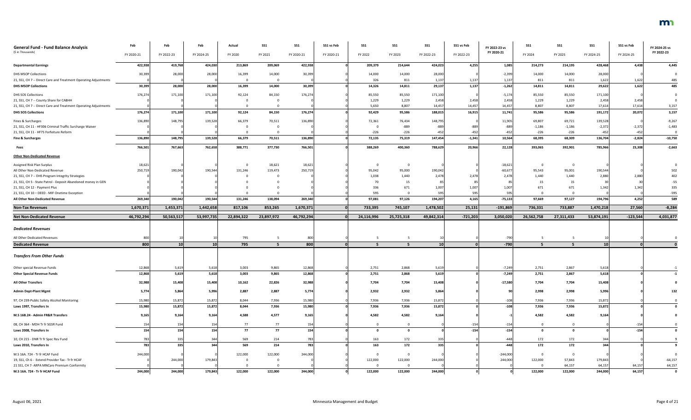| <b>General Fund - Fund Balance Analysis</b><br>(\$ in Thousands)                   | Feb<br>FY 2020-21 | Feb<br>FY 2022-23 | Feb<br>FY 2024-25 | Actual<br>FY 2020 | <b>SS1</b><br>FY 2021 | <b>SS1</b><br>FY 2020-21 | SS1 vs Feb<br>FY 2020-21 | SS1<br>FY 2022 | SS1<br>FY 2023          | <b>SS1</b><br>FY 2022-23 | SS1 vs Feb<br>FY 2022-23 | FY 2022-23 vs<br>FY 2020-21 | <b>SS1</b><br>FY 2024 | <b>SS1</b><br>FY 2025 | SS <sub>1</sub><br>FY 2024-25 | SS1 vs Feb<br>FY 2024-25 | FY 2024-25 vs<br>FY 2022-23 |
|------------------------------------------------------------------------------------|-------------------|-------------------|-------------------|-------------------|-----------------------|--------------------------|--------------------------|----------------|-------------------------|--------------------------|--------------------------|-----------------------------|-----------------------|-----------------------|-------------------------------|--------------------------|-----------------------------|
| <b>Departmental Earnings</b>                                                       | 422,938           | 419,768           | 424,030           | 213,869           | 209,069               | 422,938                  |                          | 209,379        | 214,644                 | 424,023                  | 4,255                    | 1,085                       | 214,273               | 214,195               | 428,468                       | 4,438                    | 4,445                       |
| <b>DHS MSOP Collections</b>                                                        | 30,399            | 28,000            | 28,000            | 16,399            | 14,000                | 30,399                   |                          | 14,000         | 14,000                  | 28,000                   |                          | $-2,399$                    | 14,000                | 14,000                | 28,000                        |                          |                             |
| 21, SS1, CH 7 -- Direct Care and Treatment Operating Adjustments                   |                   |                   |                   |                   |                       |                          |                          | 326            | 811                     | 1,137                    | 1,137                    | 1,137                       | 811                   | 811                   | 1,622                         | 1,622                    | 485                         |
| <b>DHS MSOP Collections</b>                                                        | 30,399            | 28,000            | 28,000            | 16,399            | 14,000                | 30,399                   |                          | 14,326         | 14,811                  | 29,137                   | 1,137                    | $-1,262$                    | 14,811                | 14,811                | 29,622                        | 1,622                    | 485                         |
| <b>DHS SOS Collections</b>                                                         | 176,274           | 171,100           | 171,100           | 92,124            | 84,150                | 176,274                  |                          | 85,550         | 85,550                  | 171,100                  |                          | $-5,174$                    | 85,550                | 85,550                | 171,100                       |                          |                             |
| 21, SS1, CH 7 -- County Share for CABHH                                            |                   |                   |                   |                   |                       |                          |                          | 1,229          | 1,229                   | 2,458                    | 2,458                    | 2,458                       | 1,229                 | 1,229                 | 2,458                         | 2,458                    |                             |
| 21, SS1, CH 7 -- Direct Care and Treatment Operating Adjustments                   |                   |                   |                   |                   |                       |                          |                          | 5,650          | 8,807                   | 14,457                   | 14,457                   | 14,457                      | 8,807                 | 8,807                 | 17,614                        | 17,614                   | 3,157                       |
| <b>DHS SOS Collections</b>                                                         | 176,274           | 171,100           | 171,100           | 92,124            | 84,150                | 176,274                  |                          | 92,429         | 95,586                  | 188,015                  | 16,915                   | 11,741                      | 95,586                | 95,586                | 191,172                       | 20,072                   | 3,157                       |
| Fines & Surcharges                                                                 | 136,890           | 148,795           | 139,528           | 66,379            | 70,511                | 136,890                  |                          | 72,361         | 76,434                  | 148,795                  |                          | 11,905                      | 69,807                | 69,721                | 139,528                       |                          | $-9,267$                    |
| 21, SS1, CH 11 - HF306 Criminal Traffic Surcharge Waiver                           |                   |                   |                   |                   |                       |                          |                          | - 0            | $-889$                  | -889                     | -889                     | -889                        | $-1,186$              | $-1,186$              | $-2,372$                      | $-2,372$                 | $-1,483$                    |
| 21, SS1, CH 11 - HF75 Forfeiture Reform                                            |                   |                   |                   |                   |                       |                          |                          | $-226$         | $-226$                  | -452                     | $-452$                   |                             | $-226$                | $-226$                | $-452$                        | $-452$                   |                             |
| <b>Fine &amp; Surcharges</b>                                                       | 136,890           | 148,795           | 139,528           | 66,379            | 70,511                | 136,890                  |                          | 72,135         | 75,319                  | 147,454                  | $-1,341$                 | 10,564                      | 68,395                | 68,309                | 136,704                       | $-2,824$                 | $-10,750$                   |
| Fees                                                                               | 766,501           | 767,663           | 762,658           | 388,771           | 377,730               | 766,501                  |                          | 388,269        | 400,360                 | 788,629                  | 20,966                   | 22,128                      | 393,065               | 392,901               | 785,966                       | 23,308                   | $-2,663$                    |
| <b>Other Non-Dedicated Revenue</b>                                                 |                   |                   |                   |                   |                       |                          |                          |                |                         |                          |                          |                             |                       |                       |                               |                          |                             |
| Assigned Risk Plan Surplus                                                         | 18,621            |                   |                   |                   | 18,621                | 18,621                   |                          | $\Omega$       | $\overline{0}$          |                          |                          | $-18,62$                    |                       |                       |                               |                          |                             |
| All Other Non-Dedicated Revenue                                                    | 250,719           | 190,042           | 190,544           | 131,246           | 119,473               | 250,719                  |                          | 95,042         | 95,000                  | 190,042                  |                          | $-60,677$                   | 95,543                | 95,001                | 190,54                        |                          | 502                         |
| 21, SS1, CH 7 -- DHS Program Integrity Strategies                                  |                   |                   |                   |                   |                       |                          |                          | 1,038          | 1,440                   | 2,478                    | 2,478                    | 2,478                       | 1,440                 | 1,440                 | 2,880                         | 2,880                    | 402                         |
| 21, SS1, CH 5 - State Patrol - Deposit Abandoned money in GEN                      |                   |                   |                   |                   |                       |                          |                          | 70             | 15                      |                          |                          |                             | 15                    | 15                    |                               |                          | $-55$                       |
| 21, SS1, CH 12 - Payment Plus                                                      |                   |                   |                   |                   |                       |                          |                          | 336            | 671                     | 1,007                    | 1,007                    | 1,007                       | 671                   | 671                   | 1,342                         | 1,342                    | 335                         |
| 21, SS1, CH 10 - DEED - MIF Onetime Exception                                      |                   |                   |                   |                   |                       |                          |                          | 595            | $\Omega$                | 595                      | 595                      | 595                         |                       |                       |                               |                          | $-595$                      |
| All Other Non-Dedicated Revenue                                                    | 269,340           | 190,042           | 190,544           | 131,246           | 138,094               | 269,340                  |                          | 97,081         | 97,126                  | 194,207                  | 4,165                    | $-75,133$                   | 97,669                | 97,127                | 194,796                       | 4,252                    | 589                         |
| <b>Non-Tax Revenues</b>                                                            | 1,670,371         | 1,453,371         | 1,442,658         | 817,106           | 853,265               | 1,670,371                |                          | 733,395        | 745,107                 | 1,478,502                | 25,131                   | $-191,869$                  | 736,331               | 733,887               | 1,470,218                     | 27,560                   | $-8,284$                    |
| <b>Net Non-Dedicated Revenue</b>                                                   | 46,792,294        | 50,563,517        | 53,997,735        | 22,894,322        | 23,897,972            | 46,792,294               |                          | 24,116,996     | 25,725,318              | 49,842,314               | $-721,203$               | 3,050,020                   | 26,562,758            | 27,311,433            | 53,874,191                    | $-123,544$               | 4,031,877                   |
| <b>Dedicated Revenues</b>                                                          |                   |                   |                   |                   |                       |                          |                          |                |                         |                          |                          |                             |                       |                       |                               |                          |                             |
|                                                                                    |                   |                   |                   |                   |                       |                          |                          |                |                         |                          |                          |                             |                       |                       |                               |                          |                             |
| All Other Dedicated Revenues                                                       | 800               |                   |                   | 795               |                       | 800                      |                          |                |                         |                          |                          | $-790$                      |                       |                       |                               |                          |                             |
| <b>Dedicated Revenue</b>                                                           | 800               | 10 <sup>1</sup>   | 10 <sup>1</sup>   | 795               | 5                     | 800                      |                          |                | -5                      | 10                       |                          | $-790$                      | -5                    |                       | <b>10</b>                     |                          |                             |
| <b>Transfers From Other Funds</b>                                                  |                   |                   |                   |                   |                       |                          |                          |                |                         |                          |                          |                             |                       |                       |                               |                          |                             |
| Other special Revenue Funds                                                        | 12,868            | 5,619             | 5,618             | 3,003             | 9,865                 | 12,868                   |                          | 2,751          | 2,868                   | 5,619                    |                          | $-7,249$                    | 2,751                 | 2,867                 | 5,618                         |                          |                             |
| <b>Other Special Revenue Funds</b>                                                 | 12,868            | 5,619             | 5,618             | 3,003             | 9,865                 | 12,868                   |                          | 2,751          | 2,868                   | 5,619                    |                          | $-7,249$                    | 2,751                 | 2,867                 | 5,618                         |                          | $-1$                        |
| <b>All Other Transfers</b>                                                         | 32,988            | 15,408            | 15,408            | 10,162            | 22,826                | 32,988                   |                          | 7,704          | 7,704                   | 15,408                   |                          | $-17,580$                   | 7,704                 | 7,704                 | 15,408                        |                          |                             |
| <b>Admin Dept-Plant Mgmt</b>                                                       | 5,774             | 5,864             | 5,996             | 2,887             | 2,887                 | 5,774                    |                          | 2,932          | 2,932                   | 5,864                    |                          |                             | 2,998                 | 2,998                 | 5,996                         |                          | 132                         |
|                                                                                    |                   | 15,872            | 15,872            | 8,044             | 7,936                 | 15,980                   |                          | 7,936          | 7,936                   |                          |                          |                             | 7,936                 | 7,936                 |                               |                          |                             |
| 97, CH 239-Public Safety Alcohol Monitoring<br>Laws 1997, Transfers In             | 15,980<br>15,980  | 15,872            | 15,872            | 8,044             | 7,936                 | 15,980                   |                          | 7,936          | 7,936                   | 15,872<br>15,872         |                          | $-108$                      | 7,936                 | 7,936                 | 15,872<br>15,872              |                          |                             |
| M.S 16B.24 - Admin FR&R Transfers                                                  | 9,165             | 9,164             | 9,164             | 4,588             | 4,577                 | 9,165                    |                          | 4,582          | 4,582                   | 9,164                    |                          |                             | 4,582                 | 4,582                 | 9,164                         |                          |                             |
| 08, CH 364 - MDH Tr fr SGSR Fund                                                   | 154               | 154               | 154               | 77                | 77                    | 154                      |                          |                | $\overline{0}$          |                          | $-154$                   | $-154$                      |                       |                       |                               | $-154$                   |                             |
| Laws 2008, Transfers In                                                            | 154               | 154               | 154               | 77                | 77                    | 154                      |                          |                | $\overline{\mathbf{0}}$ |                          | $-154$                   | $-154$                      |                       |                       |                               | $-154$                   |                             |
|                                                                                    |                   |                   |                   |                   |                       |                          |                          |                |                         |                          |                          | $-448$                      |                       |                       |                               |                          |                             |
| 10, CH 215 - DNR Tr fr Spec Rev Fund<br>Laws 2010, Transfers In                    | 783<br>783        | 335<br>335        | 344<br>344        | 569<br>569        | 214<br>214            | 783<br>783               |                          | 163<br>163     | 172<br>172              | 335<br>335               |                          | $-448$                      | 172<br>172            | 172<br>172            | 34 <sub>4</sub><br>344        |                          |                             |
|                                                                                    |                   |                   |                   |                   |                       |                          |                          | $\Omega$       |                         |                          |                          |                             |                       |                       |                               |                          |                             |
| M.S 16A. 724 - Tr fr HCAF Fund<br>19, SS1, Ch 6 - Extend Provider Tax - Tr fr HCAF | 244,000           |                   |                   | 122,000           | 122,000               | 244,000                  |                          |                | $\mathbf 0$             |                          |                          | $-244,000$                  |                       |                       |                               |                          |                             |
| 21 SS1, CH 7- ARPA MNCare Premium Conformity                                       |                   | 244,000           | 179,843           |                   |                       |                          |                          | 122,000        | 122,000<br>$\Omega$     | 244,000                  |                          | 244,000                     | 122,000               | 57,843<br>64,157      | 179,843<br>64,157             | 64,157                   | $-64,157$<br>64,157         |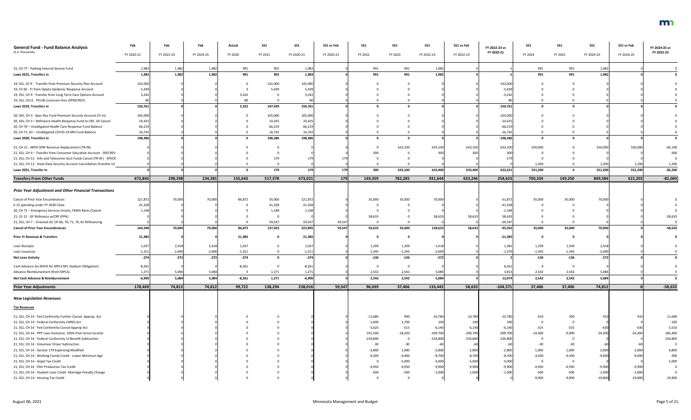| <b>General Fund - Fund Balance Analysis</b>                             | Feb        | Feb        | Feb        | Actual   | <b>SS1</b> | SS1        | SS1 vs Feb | <b>SS1</b> | SS <sub>1</sub>         | <b>SS1</b> | SS1 vs Feb | FY 2022-23 vs | SS1            | SS1      | SS <sub>1</sub> | SS1 vs Feb | FY 2024-25 vs |
|-------------------------------------------------------------------------|------------|------------|------------|----------|------------|------------|------------|------------|-------------------------|------------|------------|---------------|----------------|----------|-----------------|------------|---------------|
| (\$ in Thousands)                                                       | FY 2020-21 | FY 2022-23 | FY 2024-25 | FY 2020  | FY 2021    | FY 2020-21 | FY 2020-21 | FY 2022    | FY 2023                 | FY 2022-23 | FY 2022-23 | FY 2020-21    | FY 2024        | FY 2025  | FY 2024-25      | FY 2024-25 | FY 2022-23    |
| 15, CH 77 - Parking Internal Service Fund                               | 1,98       | 1,982      | 1,982      | 991      | 992        | 1,983      |            | 991        | 991                     | 1,982      |            |               | 991            | 991      | 1,982           |            |               |
| Laws 2015, Transfers In                                                 | 1,983      | 1,982      | 1,982      | 991      | 992        | 1,983      |            | 991        | 991                     | 1,982      |            |               | 991            | 991      | 1,982           |            |               |
| 19, SS1, Ch 9 - Transfer from Premium Security Plan Account             | 142,000    |            |            |          | 142,000    | 142,000    |            |            |                         |            |            | $-142,000$    |                |          |                 |            |               |
| 19, Ch 60 - Tr from Opiate Epidemic Response Account                    | 5,439      |            |            |          | 5,439      | 5,439      |            |            |                         |            |            | $-5,43$       |                |          |                 |            |               |
| 19, SS1, CH 9 - Transfer from Long Term Care Options Account            | 3,242      |            |            | 3,242    |            | 3,242      |            |            |                         |            |            | $-3,24$       |                |          |                 |            |               |
| 19, SS1, CH11 - PELSB Licensure Fees (SPRECREV)                         |            |            |            | 80       |            |            |            |            |                         |            |            |               |                |          |                 |            |               |
| Laws 2019, Transfers In                                                 | 150,761    |            |            | 3,322    | 147,439    | 150,761    |            |            |                         |            |            | $-150,761$    | $\Omega$       |          |                 |            |               |
| 20, SS5, CH 3 - Spec Rev Fund Premium Security Account (Tr In)          | 105,000    |            |            |          | 105,000    | 105,000    |            |            |                         |            |            | $-105,000$    |                |          |                 |            |               |
| 20, SS5, CH 3 - Refinance Health Response Fund to CRF, GF Cancel        | 10,425     |            |            |          | 10,425     | 10,425     |            |            |                         |            |            | $-10,425$     |                |          |                 |            |               |
| 20, CH 70 - Unobligated Health Care Response Fund Balance               | 66,219     |            |            |          | 66,219     | 66,219     |            |            |                         |            |            | $-66,21$      |                |          |                 |            |               |
| 20, CH 71, 81 - Unobligated COVID-19 MN Fund Balance                    | 16,742     |            |            |          | 16,742     | 16,742     |            |            |                         |            |            | $-16,742$     |                |          |                 |            |               |
| Laws 2020, Transfers In                                                 | 198,386    |            |            |          | 198,386    | 198,386    |            |            |                         |            |            | $-198,386$    |                |          |                 |            |               |
| 21, CH 12 - ARPA SFRF Revenue Replacement (TR-IN)                       |            |            |            |          |            |            |            |            | 633,100                 | 633,100    | 633,100    | 633,100       | 550,000        |          | 550,000         | 550,000    | $-83,100$     |
| 21, SS1, CH 4 - Transfer from Consumer Education Account - SPECREV      |            |            |            |          |            |            |            | 300        |                         | 300        |            |               |                |          |                 |            | $-300$        |
| 21, SS1, CH 12 - Info and Telecomm Acct Funds Cancel (TR IN) - SPECR    |            |            |            |          |            |            |            |            |                         |            |            |               |                |          |                 |            |               |
| 21, SS1, CH 12 - State Data Security Account Cancellation (transfer in) |            |            |            |          |            |            |            |            |                         |            |            |               | 1,200          |          | 1,200           | 1,200      | 1,200         |
| Laws 2021, Transfer In                                                  |            |            |            |          | 179        |            | 179        | 300        | 633,100                 | 633,400    | 633,400    | 633,221       | 551,200        |          | 551,200         | 551,200    | $-82,200$     |
| <b>Transfers From Other Funds</b>                                       | 672,842    | 298,398    | 234,381    | 155,643  | 517,378    | 673,021    | 179        | 149,359    | 782,285                 | 931,644    | 633,246    | 258,623       | 700,334        | 149,250  | 849,584         | 615,203    | $-82,060$     |
| <b>Prior Year Adjustment and Other Financial Transactions</b>           |            |            |            |          |            |            |            |            |                         |            |            |               |                |          |                 |            |               |
| Cancel of Prior Year Encumbrances                                       | 121,872    | 70,000     | 70,000     | 86,872   | 35,000     | 121,872    |            | 35,000     | 35,000                  | 70,000     |            | $-51,872$     | 35,000         | 35,000   | 70,000          |            |               |
| E-12 spending under FY 2020 Close                                       | 41,328     |            |            |          | 41,328     | 41,328     |            |            |                         |            |            | $-41,328$     |                |          |                 |            |               |
| 20, CH 71 - Emergency Services Grants, FEMA Reim./Cancel                | 1,148      |            |            |          | 1,148      | 1,148      |            |            |                         |            |            | $-1,14$       |                |          |                 |            |               |
| 21, Ch 12 - GF Refinance w/CRF (PPA)                                    |            |            |            |          |            |            |            | 58,633     |                         | 58,633     | 58,633     | 58,63         |                |          |                 |            | $-58,633$     |
| 21, SS1, CH 7 -- Enacted 20, CH 66, 70, 71, 74, 81 Refinancing          |            |            |            |          | 59,547     | 59,547     | 59,547     |            |                         |            |            | -59,547       |                |          |                 |            |               |
| <b>Cancel of Prior Year Encumbrances</b>                                | 164,348    | 70,000     | 70,000     | 86,872   | 137,023    | 223,895    | 59,547     | 93,633     | 35,000                  | 128,633    | 58,633     | $-95,262$     | 35,000         | 35,000   | 70,000          |            | $-58,633$     |
| <b>Prior Yr Revenue &amp; Transfers</b>                                 | 21,385     |            |            | 21,385   |            | 21,385     |            |            |                         |            |            | $-21,385$     | - 0            |          |                 |            |               |
| Loan Receipts                                                           | 1,037      | 2,418      | 2,418      | 1,037    |            | 1,037      |            | 1,209      | 1,209                   | 2,418      |            | 1,381         | 1,209          | 1,209    | 2,418           |            |               |
| Loan Issuances                                                          | $-1,311$   | $-2,690$   | $-2,690$   | $-1,311$ |            | $-1,311$   |            | $-1,345$   | $-1,345$                | $-2,690$   |            | $-1,379$      | $-1,345$       | $-1,345$ | $-2,690$        |            |               |
| <b>Net Loan Activity</b>                                                | $-274$     | $-272$     | $-272$     | $-274$   |            | $-274$     |            | $-136$     | $-136$                  | $-272$     |            |               | -136           | $-136$   | $-272$          |            |               |
| Cash Advance (to MSFA for MPLS NFL Stadium Obligation)                  | $-8,261$   |            |            | $-8,261$ |            | $-8,261$   |            |            | $\mathbf 0$             |            |            | 8,261         | $\overline{0}$ | $\Omega$ |                 |            |               |
| Advance Reimbursement (from MPLS)                                       | 1,271      | 5,084      | 5,084      |          | 1,271      | 1,271      |            | 2,542      | 2,542                   | 5,084      |            | 3,81          | 2,542          | 2,542    | 5,084           |            |               |
| Net Cash Advance & Reimbursement                                        | $-6,990$   | 5,084      | 5,084      | $-8,261$ | 1,271      | $-6,990$   |            | 2,542      | 2,542                   | 5,084      |            | 12,074        | 2,542          | 2,542    | 5,084           |            |               |
| <b>Prior Year Adjustments</b>                                           | 178,469    | 74,812     | 74,812     | 99,722   | 138,294    | 238,016    | 59,547     | 96,039     | 37,406                  | 133,445    | 58,633     | $-104,571$    | 37,406         | 37,406   | 74,812          |            | $-58,633$     |
| <b>New Legislation Revenues</b>                                         |            |            |            |          |            |            |            |            |                         |            |            |               |                |          |                 |            |               |
| <b>Tax Revenues</b>                                                     |            |            |            |          |            |            |            |            |                         |            |            |               |                |          |                 |            |               |
| 21, SS1, CH 14 - Fed Conformity Further Consol. Approp. Act             |            |            |            |          |            |            |            | $-11,680$  | 900                     | $-10,780$  | $-10,780$  | $-10,780$     | 610            | 300      | 910             | 91         | 11,690        |
| 21, SS1, CH 14 - Federal Conformity CARES Act                           |            |            |            |          |            |            |            | $-1,600$   | 1,700                   | 100        | 100        | 100           |                |          |                 |            | $-100$        |
| 21, SS1, CH 14 - Fed Conformity Consol Approp Act                       |            |            |            |          |            |            |            | $-5,625$   | $-515$                  | $-6,140$   | $-6,140$   | $-6,140$      | $-315$         | $-315$   | $-630$          | $-630$     | 5,510         |
| 21, SS1, CH 14 - PPP Loan Exclusion, 100% from Gross Income             |            |            |            |          |            |            |            | $-191,500$ | $-18,200$               | $-209,700$ | $-209,700$ | $-209,700$    | $-14,400$      | $-9,900$ | $-24,300$       | $-24,300$  | 185,400       |
| 21, SS1, CH 14 - Federal Conformity UI Benefit Subtraction              |            |            |            |          |            |            |            | $-234,800$ | $\overline{\mathbf{0}}$ | $-234,800$ | $-234,800$ | $-234,800$    |                |          |                 |            | 234,800       |
| 21, SS1, CH 14 - Volunteer Driver Subtraction                           |            |            |            |          |            |            |            | $-30$      | $-30$                   | -60        |            |               | $-30$          | $-30$    |                 |            | $\mathbf 0$   |
| 21, SS1, CH 14 - Section 179 Expensing Modified                         |            |            |            |          |            |            |            | $-3,800$   | 1,000                   | $-2,800$   | $-2,800$   | $-2,800$      | 1,000          | 1,000    | 2,000           | 2,000      | 4,800         |
| 21, SS1, CH 14 - Working Family Credit - Lower Minimum Age              |            |            |            |          |            |            |            | $-4,300$   | $-4,400$                | $-8,700$   | $-8,700$   | $-8,700$      | $-4,500$       | $-4,500$ | $-9,000$        | $-9,000$   | $-300$        |
| 21, SS1, CH 14 - Angel Tax Credit                                       |            |            |            |          |            |            |            | - ೧        | $-5,000$                | $-5,000$   | $-5,000$   | $-5,000$      |                | ി        |                 |            | 5,000         |
| 21, SS1, CH 14 - Film Production Tax Credit                             |            |            |            |          |            |            |            | $-4,950$   | $-4,950$                | $-9,900$   | $-9,900$   | $-9,900$      | $-4,950$       | $-4,950$ | $-9,900$        | $-9,900$   |               |
| 21, SS1, CH 14 - Student Loan Credit- Marriage Penalty Change           |            |            |            |          |            |            |            | $-500$     | $-500$                  | $-1,000$   | $-1,000$   | $-1,000$      | $-500$         | $-500$   | $-1,000$        | $-1,000$   |               |
| 21, SS1, CH 14 - Housing Tax Credit                                     |            |            |            |          |            |            |            |            |                         |            |            |               | $-9,900$       | $-9,900$ | $-19,800$       | $-19,800$  | $-19,800$     |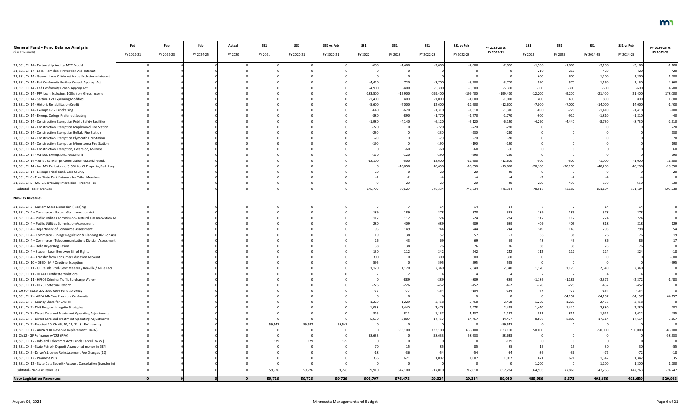| <b>General Fund - Fund Balance Analysis</b><br>(\$ in Thousands)        | Feb        | Feb        | Feb        | Actual   | SS1     | SS1        | SS1 vs Feb | SS1        | SS1             | <b>SS1</b> | SS1 vs Feb | FY 2022-23 vs<br>FY 2020-21 | <b>SS1</b> | SS1       | <b>SS1</b> | SS1 vs Feb | FY 2024-25 vs<br>FY 2022-23 |
|-------------------------------------------------------------------------|------------|------------|------------|----------|---------|------------|------------|------------|-----------------|------------|------------|-----------------------------|------------|-----------|------------|------------|-----------------------------|
|                                                                         | FY 2020-21 | FY 2022-23 | FY 2024-25 | FY 2020  | FY 2021 | FY 2020-21 | FY 2020-21 | FY 2022    | FY 2023         | FY 2022-23 | FY 2022-23 |                             | FY 2024    | FY 2025   | FY 2024-25 | FY 2024-25 |                             |
| 21, SS1, CH 14 - Partnership Audits- MTC Model                          |            |            |            |          |         |            |            | $-600$     | $-1,400$        | $-2,000$   | $-2,000$   | $-2,000$                    | $-1,500$   | $-1,600$  | $-3,100$   | $-3,100$   | $-1,100$                    |
| 21, SS1, CH 14 - Local Homeless Prevention Aid- Interact                |            |            |            |          |         |            |            |            |                 |            |            |                             | 210        | 210       | 420        | 420        | 420                         |
| 21, SS1, CH 14 - General Levy CI Market Value Exclusion - Interact      |            |            |            |          |         |            |            |            |                 |            |            |                             | 600        | 600       | 1,200      | 1,200      | 1,200                       |
| 21, SS1, CH 14 - Fed Conformity Further Consol. Approp. Act             |            |            |            |          |         |            |            | $-4,420$   | 720             | $-3,700$   | $-3,700$   | $-3,700$                    | 590        | 570       | 1,160      | 1,160      | 4,860                       |
| 21, SS1, CH 14 - Fed Conformity Consol Approp Act                       |            |            |            |          |         |            |            | $-4,900$   | $-400$          | $-5,300$   | $-5,300$   | $-5,300$                    | $-300$     | $-300$    | $-600$     | $-600$     | 4,700                       |
| 21, SS1, CH 14 - PPP Loan Exclusion, 100% from Gross Income             |            |            |            |          |         |            |            | $-183,500$ | $-15,900$       | $-199,400$ | $-199,400$ | $-199,400$                  | $-12,200$  | $-9,200$  | $-21,400$  | $-21,400$  | 178,000                     |
| 21, SS1, CH 14 - Section 179 Expensing Modified                         |            |            |            |          |         |            |            | $-1,400$   | 400             | $-1,000$   | $-1,000$   | $-1,000$                    | 400        | 400       | 800        | 800        | 1,800                       |
| 21, SS1, CH 14 - Historic Rehabilitation Credit                         |            |            |            |          |         |            |            | $-5,600$   | $-7,000$        | $-12,600$  | $-12,600$  | $-12,600$                   | $-7,000$   | $-7,000$  | $-14,000$  | $-14,000$  | $-1,400$                    |
| 21, SS1, CH 14 - Exempt K-12 Fundraising                                |            |            |            |          |         |            |            | $-640$     | $-670$          | $-1,310$   | $-1,310$   | $-1,310$                    | -690       | $-720$    | $-1,410$   | $-1,410$   | $-100$                      |
| 21, SS1, CH 14 - Exempt College Preferred Seating                       |            |            |            |          |         |            |            | $-880$     | $-890$          | $-1,770$   | $-1,770$   | $-1,770$                    | $-900$     | $-910$    | $-1,810$   | $-1,810$   | -40                         |
| 21, SS1, CH 14 - Construction Exemption Public Safety Facilities        |            |            |            |          |         |            |            | $-1,980$   | $-4,140$        | $-6,120$   | $-6,120$   | $-6,120$                    | $-4,290$   | $-4,440$  | $-8,730$   | $-8,730$   | $-2,610$                    |
| 21, SS1, CH 14 - Construction Exemption Maplewood Fire Station          |            |            |            |          |         |            |            | $-220$     |                 | $-220$     | $-220$     | $-220$                      |            |           |            |            | 220                         |
| 21, SS1, CH 14 - Construction Exemption Buffalo Fire Station            |            |            |            |          |         |            |            | $-230$     |                 | $-230$     | $-230$     | $-230$                      |            |           |            |            | 230                         |
| 21, SS1, CH 14 - Construction Exemption Plymouth Fire Station           |            |            |            |          |         |            |            |            |                 | -70        |            |                             |            |           |            |            |                             |
| 21, SS1, CH 14 - Construction Exemption Minnetonka Fire Station         |            |            |            |          |         |            |            | $-190$     |                 | $-190$     | -190       |                             |            |           |            |            |                             |
| 21, SS1, CH 14 - Construction Exemption, Extension, Melrose             |            |            |            |          |         |            |            |            |                 | -60        |            |                             |            |           |            |            |                             |
| 21, SS1, CH 14 - Various Exemptions, Alexandria                         |            |            |            |          |         |            |            | $-170$     | $-120$          | $-290$     | $-290$     |                             |            |           |            |            | 290                         |
| 21, SS1, CH 14 - June Acc Exempt Construction Material Vend.            |            |            |            |          |         |            |            | $-12,100$  | $-500$          | $-12,600$  | $-12,600$  | $-12,600$                   | $-500$     | $-500$    | $-1,000$   | $-1,000$   | 11,600                      |
| 21, SS1, CH 14 - Inc. MV Exclusion to \$150K for CI Property, Red. Levy |            |            |            |          |         |            |            |            | $-10,650$       | $-10,650$  | $-10,650$  | $-10,650$                   | $-20,100$  | $-20,100$ | $-40,200$  | $-40,200$  | $-29,550$                   |
| 21, SS1, CH 14 - Exempt Tribal Land, Cass County                        |            |            |            |          |         |            |            |            |                 |            |            |                             |            |           |            |            | 20                          |
| 21, SS1, CH 6 - Free State Park Entrance for Tribal Members             |            |            |            |          |         |            |            |            |                 |            |            |                             |            |           |            |            |                             |
|                                                                         |            |            |            |          |         |            |            |            |                 |            |            |                             |            |           | $-650$     |            |                             |
| 21, SS1, CH 5 - METC Borrowing Interaction - Income Tax                 |            |            |            |          |         |            |            |            | $-20$           |            |            |                             | $-250$     | $-400$    |            | $-650$     | $-630$                      |
| Subtotal - Tax Revenues                                                 |            |            |            |          |         |            |            | $-675,707$ | $-70,627$       | $-746,334$ | $-746,334$ | $-746,334$                  | $-78,917$  | $-72,187$ | $-151,104$ | $-151,104$ | 595,230                     |
| <b>Non-Tax Revenues</b>                                                 |            |            |            |          |         |            |            |            |                 |            |            |                             |            |           |            |            |                             |
| 21, SS1, CH 3 - Custom Meat Exemption (Fees) Ag                         |            |            |            |          |         |            |            |            |                 | -14        |            |                             |            |           |            |            |                             |
| 21, SS1, CH 4 - Commerce - Natural Gas Innovation Act                   |            |            |            |          |         |            |            |            | 189             | 378        |            |                             |            |           |            |            |                             |
| 21, SS1, CH 4 - Public Utilities Commission - Natural Gas Innovation Ac |            |            |            |          |         |            |            | 112        | 112             | 224        |            |                             | 112        | 112       |            | 224        |                             |
| 21, SS1, CH 4 - Public Utilities Commission Assessment                  |            |            |            |          |         |            |            | 280        | 40 <sup>c</sup> |            |            |                             |            |           |            |            |                             |
| 21, SS1, CH 4 - Department of Commerce Assessment                       |            |            |            |          |         |            |            |            |                 | 744        |            |                             |            |           |            |            |                             |
| 21, SS1, CH 4 - Commerce - Energy Regulation & Planning Division Ass    |            |            |            |          |         |            |            |            | 149<br>38       |            |            |                             |            |           |            |            |                             |
|                                                                         |            |            |            |          |         |            |            |            |                 |            |            |                             |            |           |            |            |                             |
| 21, SS1, CH 4 - Commerce - Telecommunications Division Assessment       |            |            |            |          |         |            |            |            |                 |            |            |                             |            |           |            |            |                             |
| 21, SS1, CH 4 - Debt Buyer Regulation                                   |            |            |            |          |         |            |            |            |                 |            |            |                             |            |           |            |            |                             |
| 21, SS1, CH 4 - Student Loan Borrower Bill of Rights                    |            |            |            |          |         |            |            | 130        | 112             | 242        |            |                             |            | 112       |            |            |                             |
| 21, SS1, CH 4 - Transfer from Consumer Education Account                |            |            |            |          |         |            |            | 300        |                 | 300        | 300        |                             |            |           |            |            |                             |
| 21, SS1, CH 10 - DEED - MIF Onetime Exception                           |            |            |            |          |         |            |            | 595        |                 | 595        |            |                             |            |           |            |            | $-595$                      |
| 21, SS1, CH 11 - GF Reimb. Prob Serv: Meeker / Renville / Mille Lacs    |            |            |            |          |         |            |            | 1,170      | 1,170           | 2,340      | 2,340      | 2,340                       | 1,170      | 1,170     | 2,340      | 2,340      |                             |
| 21, SS1, CH 11 - HF441 Certificate Violations                           |            |            |            |          |         |            |            |            |                 |            |            |                             |            |           |            |            |                             |
| 21, SS1, CH 11 - HF306 Criminal Traffic Surcharge Waiver                |            |            |            |          |         |            |            |            | $-889$          | -889       | -889       |                             | $-1,186$   | $-1,186$  | $-2,372$   | $-2,372$   | $-1,483$                    |
| 21, SS1, CH 11 - HF75 Forfeiture Reform                                 |            |            |            |          |         |            |            | $-226$     | $-226$          | $-452$     |            |                             | $-226$     | $-226$    | $-452$     | $-452$     |                             |
| 21, CH 30 - State Gov Spec Reve Fund Solvency                           |            |            |            |          |         |            |            |            | $-77$           | $-154$     | $-154$     |                             |            | $-77$     | $-154$     | $-154$     |                             |
| 21, SS1, CH 7 -- ARPA MNCare Premium Conformity                         |            |            |            |          |         |            |            |            |                 |            |            |                             |            | 64,157    | 64,157     | 64,157     | 64,157                      |
| 21, SS1, CH 7 - County Share for CABHH                                  |            |            |            |          |         |            |            | 1,229      | 1,229           | 2,458      | 2,458      | 2,458                       | 1,229      | 1,229     | 2,458      | 2,458      |                             |
| 21, SS1, CH 7 - DHS Program Integrity Strategies                        |            |            |            |          |         |            |            | 1,038      | 1,440           | 2,478      | 2,478      | 2,478                       | 1,440      | 1,440     | 2,880      | 2,880      |                             |
| 21, SS1, CH 7 - Direct Care and Treatment Operating Adjustments         |            |            |            |          |         |            |            | 326        | 811             | 1,137      | 1,137      | 1,137                       | 811        | 811       | 1,622      | 1,622      | 485                         |
| 21, SS1, CH 7 - Direct Care and Treatment Operating Adjustments         |            |            |            |          |         |            |            | 5,650      | 8,807           | 14,457     | 14,457     | 14,457                      | 8,807      | 8,807     | 17,614     | 17,614     | 3,157                       |
| 21, SS1, CH 7 - Enacted 20, CH 66, 70, 71, 74, 81 Refinancing           |            |            |            |          | 59,547  | 59,547     | 59,54      |            | - 0             |            |            | $-59,547$                   |            |           |            |            |                             |
| 21, SS1, CH 12 - ARPA SFRF Revenue Replacement (TR-IN)                  |            |            |            |          |         |            |            |            | 633,100         | 633,100    | 633,100    | 633,100                     | 550,000    |           | 550,000    | 550,000    | $-83,100$                   |
| 21, Ch 12 - GF Refinance w/CRF (PPA)                                    |            |            |            |          |         |            |            | 58,633     |                 | 58,633     | 58,633     | 58,633                      |            |           |            |            | $-58,633$                   |
| 21, SS1, CH 12 - Info and Telecomm Acct Funds Cancel (TR IN)            |            |            |            |          |         |            |            |            |                 |            |            |                             |            |           |            |            |                             |
| 21, SS1, CH 5 - State Patrol - Deposit Abandoned money in GEN           |            |            |            |          |         |            |            |            |                 |            |            |                             |            |           |            |            | $-55$                       |
| 21, SS1, CH 5 - Driver's License Reinstatement Fee Changes (12)         |            |            |            |          |         |            |            |            |                 |            |            |                             |            |           |            |            | $-18$                       |
| 21, SS1, CH 12 - Payment Plus                                           |            |            |            |          |         |            |            | 336        | 671             | 1,007      | 1,007      | 1,007                       | 671        | 671       | 1,342      | 1,342      | 335                         |
| 21, SS1, CH 12 - State Data Security Account Cancellation (transfer in) |            |            |            |          |         |            |            |            |                 |            |            |                             | 1,200      | $\Omega$  | 1,200      | 1,200      | 1,200                       |
| Subtotal - Non-Tax Revenues                                             |            |            |            |          | 59,726  | 59,726     | 59,726     | 69,910     | 647,100         | 717,010    | 717,010    | 657,284                     | 564,903    | 77,860    | 642,763    | 642,763    | $-74,247$                   |
| <b>New Legislation Revenues</b>                                         |            |            |            | $\bf{0}$ | 59,726  | 59,726     | 59,726     | $-605,797$ | 576,473         | $-29,324$  | $-29,324$  | $-89,050$                   | 485,986    | 5,673     | 491,659    | 491,659    | 520,983                     |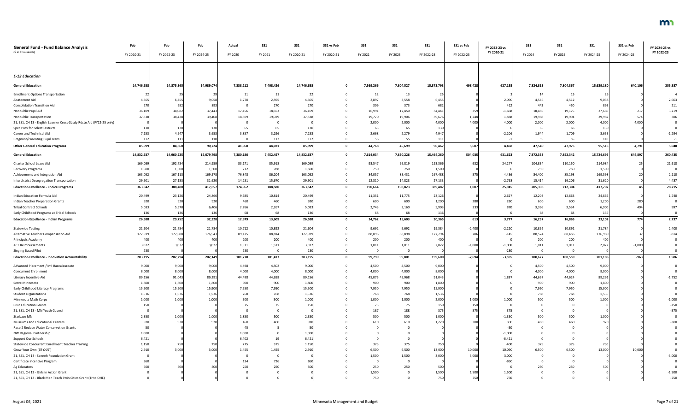| <b>General Fund - Fund Balance Analysis</b><br>(\$ in Thousands)      | Feb          | Feb         | Feb                      | Actual    | <b>SS1</b> | SS1        | SS1 vs Feb | SS1       | <b>SS1</b>     | <b>SS1</b> | SS1 vs Feb       | FY 2022-23 vs<br>FY 2020-21 | <b>SS1</b> | SS1       | SS <sub>1</sub> | SS1 vs Feb | FY 2024-25 vs<br>FY 2022-23 |
|-----------------------------------------------------------------------|--------------|-------------|--------------------------|-----------|------------|------------|------------|-----------|----------------|------------|------------------|-----------------------------|------------|-----------|-----------------|------------|-----------------------------|
|                                                                       | FY 2020-21   | FY 2022-23  | FY 2024-25               | FY 2020   | FY 2021    | FY 2020-21 | FY 2020-21 | FY 2022   | FY 2023        | FY 2022-23 | FY 2022-23       |                             | FY 2024    | FY 2025   | FY 2024-25      | FY 2024-25 |                             |
|                                                                       |              |             |                          |           |            |            |            |           |                |            |                  |                             |            |           |                 |            |                             |
| <b>E-12 Education</b>                                                 |              |             |                          |           |            |            |            |           |                |            |                  |                             |            |           |                 |            |                             |
| <b>General Education</b>                                              | 14,746,638   | 14,875,365  | 14,989,074               | 7,338,212 | 7,408,426  | 14,746,638 |            | 7,569,266 | 7,804,527      | 15,373,793 | 498,428          | 627,155                     | 7,824,813  | 7,804,367 | 15,629,180      | 640,106    | 255,387                     |
| <b>Enrollment Options Transportation</b>                              |              |             | - 29                     | 11        | 11         |            |            | 12        | 13             | 25         |                  |                             | 14         | 15        |                 |            |                             |
| Abatement Aid                                                         | 4,365        | 6,455       | 9,058                    | 1,770     | 2,595      | 4,365      |            | 2,897     | 3,558          | 6,455      |                  | 2,090                       | 4,546      | 4,512     | 9,058           |            | 2,603                       |
| <b>Consolidation Transition Aid</b>                                   | 270          | 682         | 893                      |           | 270        | 270        |            | 309       | 373            | 682        |                  | 412                         | 443        | 450       | 893             |            | 211                         |
| Nonpublic Pupil Aid                                                   | 36,109       | 34,082      | 37,443                   | 17,456    | 18,653     | 36,109     |            | 16,991    | 17,450         | 34,441     | 359              | $-1,668$                    | 18,485     | 19,175    | 37,660          |            | 3,219                       |
| Nonpublic Transportation                                              | 37,838       | 38,428      | 39,408                   | 18,809    | 19,029     | 37,838     |            | 19,770    | 19,906         | 39,676     | 1,248            | 1,838                       | 19,988     | 19,994    | 39,982          | 574        | 306                         |
| 21, SS1, CH 13 - English Learner Cross-Sbsdy Rdctn Aid (FY22-25 only) |              |             |                          |           |            |            |            | 2,000     | 2,000          | 4,000      | 4,000            | 4,000                       | 2,000      | 2,000     | 4,000           | 4,000      |                             |
| Spec Prov for Select Districts                                        |              | 130         | 130                      | 65        | 65         | 130        |            | 65        | 65             | 130        |                  |                             | 65         | 65        | 130             |            |                             |
| Career and Technical Aid                                              | 7,153        | 4,94        | 3,653                    | 3,857     | 3,296      | 7,153      |            | 2,668     | 2,279          | 4,947      |                  | $-2,206$                    | 1,944      | 1,709     | 3,653           |            | $-1,294$                    |
| <b>Pregnant/Parenting Pupil Trans</b>                                 | 112          | 111         | 110                      |           | 112        | 112        |            | 56        | 55             | 111        |                  |                             | 55         | 55        | 110             |            | $-1$                        |
| <b>Other General Education Programs</b>                               | 85,999       | 84,860      | 90,724                   | 41,968    | 44,031     | 85,999     |            | 44,768    | 45,699         | 90,467     | 5,607            | 4,468                       | 47,540     | 47,975    | 95,515          | 4,791      | 5,048                       |
| <b>General Education</b>                                              | 14,832,637   | 14,960,225  | 15,079,798               | 7,380,180 | 7,452,457  | 14,832,637 |            | 7,614,034 | 7,850,226      | 15,464,260 | 504,035          | 631,623                     | 7,872,353  | 7,852,342 | 15,724,695      | 644,897    | 260,435                     |
| Charter School Lease Aid                                              | 169,089      | 192,734     | 214,959                  | 83,171    | 85,918     | 169,089    |            | 93,547    | 99,819         | 193,366    | 632              | 24,277                      | 104,834    | 110,150   | 214,984         |            | 21,618                      |
| Recovery Programs                                                     | 1,500        | 1,500       | 1,500                    | 712       | 788        | 1,500      |            | 750       | 750            | 1,500      |                  |                             | 750        | 750       | 1,500           |            | $\Omega$                    |
| Achievement and Integration Aid                                       | 163,052      | 167,113     | 169,578                  | 76,848    | 86,204     | 163,052    |            | 84,057    | 83,431         | 167,488    |                  | 4,43                        | 84,400     | 85,198    | 169,598         |            | 2,110                       |
| Interdistrict Desegregation Transportation                            | 29,901       | 27,133      | 31,620                   | 14,231    | 15,670     | 29,901     |            | 12,310    | 14,823         | 27,133     |                  | $-2,768$                    | 15,414     | 16,206    | 31,620          |            | 4,487                       |
| <b>Education Excellence - Choice Programs</b>                         | 363,542      | 388,480     | 417,657                  | 174,962   | 188,580    | 363,542    |            | 190,664   | 198,823        | 389,487    | 1,007            | 25,945                      | 205,398    | 212,304   | 417,702         |            | 28,215                      |
| Indian Education Formula Aid                                          | 20,499       | 23,126      | 24,866                   | 9,685     | 10,814     | 20,499     |            | 11,351    | 11,775         | 23,126     |                  | 2,627                       | 12,203     | 12,663    | 24,866          |            | 1,740                       |
| Indian Teacher Preparation Grants                                     | 920          | 920         | 920                      | 460       | 460        | 920        |            | 600       | 600            | 1,200      | 280              | 280                         | 600        | 600       | 1,200           |            |                             |
| <b>Tribal Contract Schools</b>                                        | 5,033        | 5,570       | 6,406                    | 2,766     | 2,267      | 5,033      |            | 2,743     | 3,160          | 5,903      |                  |                             | 3,366      | 3,534     | 6,900           |            | 997                         |
| Early Childhood Programs at Tribal Schools                            | 136          | 136         | 136                      | 68        | 68         | 136        |            | 68        | 68             | 136        |                  |                             | 68         | 68        | 136             |            |                             |
| <b>Education Excellence - Indian Programs</b>                         | 26,588       | 29,752      | 32,328                   | 12,979    | 13,609     | 26,588     |            | 14,762    | 15,603         | 30,365     | 613 <sup> </sup> | 3,777                       | 16,237     | 16,865    | 33,102          | 774 I      | 2,737                       |
| <b>Statewide Testing</b>                                              | 21,604       | 21,784      | 21,784                   | 10,712    | 10,892     | 21,604     |            | 9,692     | 9,692          | 19,38      | $-2,400$         | $-2,220$                    | 10,892     | 10,892    | 21,784          |            | 2,400                       |
| Alternative Teacher Compensation Aid                                  | 177,939      | 177,088     | 176,943                  | 89,125    | 88,814     | 177,939    |            | 88,896    | 88,898         | 177,794    | 706              | $-145$                      | 88,524     | 88,456    | 176,980         |            | $-814$                      |
| Principals Academy                                                    | 400          | 400         | 400                      | 200       | 200        | 400        |            | 200       | 200            | 400        |                  |                             | 200        | 200       | 400             |            |                             |
| <b>ACT Reimbursements</b>                                             | 3,022        | 3,02        | 3,022                    | 1,511     | 1,511      | 3,022      |            | 1,011     | 1,011          | 2,022      | $-1,000$         | $-1,000$                    | 1,011      | 1,011     | 2,022           | $-1,000$   |                             |
| <b>Singing Based Pilot</b>                                            | 230          |             |                          | 230       |            | 230        |            |           | $\mathbf 0$    |            |                  | $-230$                      | $\Omega$   | $\Omega$  |                 |            |                             |
| <b>Education Excellence - Innovation Accountability</b>               | 203,195      | 202,294     | 202,149                  | 101,778   | 101,417    | 203,195    |            | 99,799    | 99,801         | 199,600    | $-2,694$         | $-3,595$                    | 100,627    | 100,559   | 201,186         | $-963$     | 1,586                       |
| Advanced Placement / Intl Baccalaureate                               | 9,000        | 9,000       | 9,000                    | 4,498     | 4,502      | 9,000      |            | 4,500     | 4,500          | 9,000      |                  |                             | 4,500      | 4,500     | 9,000           |            |                             |
| <b>Concurrent Enrollment</b>                                          | 8,000        | 8,000       | 8,000                    | 4,000     | 4,000      | 8,000      |            | 4,000     | 4,000          | 8,000      |                  |                             | 4,000      | 4,000     | 8,000           |            |                             |
| Literacy Incentive Aid                                                | 89,156       | 91,043      | 89,291                   | 44,498    | 44,658     | 89,156     |            | 45,075    | 45,968         | 91,043     |                  | 1,887                       | 44,667     | 44,624    | 89,291          |            | $-1,752$                    |
| Serve Minnesota                                                       | 1,800        | 1,800       | 1,800                    | 900       | 900        | 1,800      |            | 900       | 900            | 1,800      |                  |                             | 900        | 900       | 1,800           |            |                             |
| Early Childhood Literacy Programs                                     | 15,900       | 15,900      | 15,900                   | 7,950     | 7,950      | 15,900     |            | 7,950     | 7,950          | 15,900     |                  |                             | 7,950      | 7,950     | 15,900          |            |                             |
| <b>Student Organizations</b>                                          | 1,536        | 1,53(       | 1,536                    | 768       | 768        | 1,536      |            | 768       | 768            | 1,536      |                  |                             | 768        | 768       | 1,536           |            |                             |
| Minnesota Math Corps                                                  | 1,000        | 1,00        | 1,000                    | 500       | 500        | 1,000      |            | 1,000     | 1,000          | 2,000      | 1,000            | 1,000                       | 500        | 500       | 1,000           |            | $-1,000$                    |
| <b>Civic Education Grants</b>                                         |              |             |                          | 75        | 75         |            |            | -75       | 75             | 150        | 150              |                             |            |           |                 |            | $-150$                      |
| 21, SS1, CH 13 - MN Youth Council                                     |              |             |                          |           |            |            |            | 187       | 188            | 375        | 375              | 37                          |            |           |                 |            | $-375$                      |
| Starbase MN<br>Museums and Educational Centers                        | 2,350<br>92( | 1,000<br>92 | 1,000<br>92 <sub>0</sub> | 1,850     | 500        | 2,350      |            | 500       | 500            | 1,000      |                  | $-1,35$                     | 500<br>460 | 500       | 1,000<br>920    |            |                             |
| Race 2 Reduce Water Conservation Grants                               |              |             |                          | 460<br>45 | 460        |            |            | 610       | 610            | 1,220      |                  | 30                          |            | 460       |                 |            | $-300$                      |
| NW Regional Partnership                                               | 1,000        |             |                          | 1,000     |            | 1,000      |            |           |                |            |                  | $-1,000$                    |            |           |                 |            |                             |
| Support Our Schools                                                   | 6,421        |             |                          | 6,402     | 19         | 6,421      |            |           |                |            |                  | $-6,421$                    |            |           |                 |            |                             |
| <b>Statewide Concurrent Enrollment Teacher Training</b>               | 1,150        | 750         | 750                      | 775       | 375        | 1,150      |            | 375       | 375            | 750        |                  | $-400$                      | 375        | 375       | 750             |            |                             |
| Grow Your Own (TR OUT)                                                | 2,910        | 3,00        | 3.000                    | 1,455     | 1,455      | 2,910      |            | 6,500     | 6,500          | 13,000     | 10,000           | 10,090                      | 6,500      | 6,500     | 13,000          | 10,000     |                             |
| 21, SS1, CH 13 - Sanneh Foundation Grant                              |              |             |                          |           |            |            |            | 1,500     | 1,500          | 3,000      | 3,000            | 3,000                       |            |           |                 |            | $-3,000$                    |
| Certificate Incentive Program                                         | 860          |             |                          | 134       | 726        |            |            |           | $\overline{0}$ |            |                  | $-860$                      |            |           |                 |            |                             |
| Ag Educators                                                          | 500          | 500         |                          | 250       | 250        |            |            | 250       | 250            | 500        |                  |                             | 250        | 250       |                 |            |                             |
| 21, SS1, CH 13 - Girls in Action Grant                                |              |             |                          |           |            |            |            | 1,500     |                | 1,500      | 1,500            | 1,500                       |            |           |                 |            | $-1,500$                    |
| 21, SS1, CH 13 - Black Men Teach Twin Cities Grant (Tr to OHE)        |              |             |                          |           |            |            |            | 750       |                | 750        | 750              | 751                         |            |           |                 |            | $-750$                      |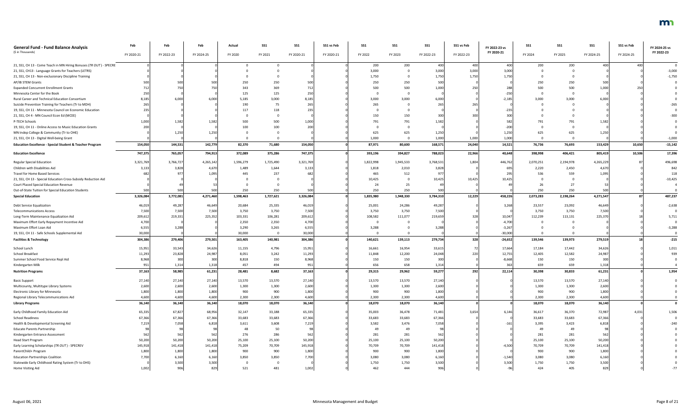| <b>General Fund - Fund Balance Analysis</b>                         | Feb        | Feb        | Feb        | Actual    | SS <sub>1</sub> | SS1        | SS1 vs Feb | SS1       | SS1       | SS1        | SS1 vs Feb | FY 2022-23 vs | <b>SS1</b> | SS1       | <b>SS1</b> | SS1 vs Feb | FY 2024-25 vs |
|---------------------------------------------------------------------|------------|------------|------------|-----------|-----------------|------------|------------|-----------|-----------|------------|------------|---------------|------------|-----------|------------|------------|---------------|
| (\$ in Thousands)                                                   | FY 2020-21 | FY 2022-23 | FY 2024-25 | FY 2020   | FY 2021         | FY 2020-21 | FY 2020-21 | FY 2022   | FY 2023   | FY 2022-23 | FY 2022-23 | FY 2020-21    | FY 2024    | FY 2025   | FY 2024-25 | FY 2024-25 | FY 2022-23    |
| 21, SS1, CH 13 - Come Teach in MN Hiring Bonuses (TR OUT) - SPECRE  |            |            |            |           |                 |            |            | 200       | 200       | 400        | 400        | 400           | 200        | 200       | 400        |            |               |
| 21, SS1, CH13 - Language Grants for Teachers (LETRS)                |            |            |            |           |                 |            |            | 3,000     |           | 3,000      | 3,000      | 3,000         |            |           |            |            | $-3,000$      |
| 21, SS1, CH 13 - Non-exclusionary Discipline Training               |            |            |            |           |                 |            |            | 1,750     |           | 1,750      | 1,750      | 1,750         |            |           |            |            | $-1,750$      |
| AP/IB STEM Grants                                                   |            | 500        |            | 250       | 250             |            |            | 250       | 250       | 500        |            |               |            | 250       |            |            |               |
| <b>Expanded Concurrent Enrollment Grants</b>                        |            |            | 750        | 343       | 369             |            |            | 500       | 500       | 1,000      |            |               |            | 500       | 1.000      |            |               |
| Minnesota Center for the Book                                       |            |            |            | 125       | 125             |            |            |           |           |            |            |               |            |           |            |            |               |
| Rural Career and Technical Education Consortium                     | 8,185      | 6,000      | 6,000      | 5,185     | 3,000           | 8,185      |            | 3,000     | 3,000     | 6,000      |            | $-2,185$      | 3.000      | 3,000     | 6,000      |            |               |
| Suicide Prevention Training for Teachers (Tr to MDH)                |            |            |            | 190       | 75              | 265        |            | 265       |           | 265        |            |               |            |           |            |            |               |
| 19, SS1, CH 11 - Minnesota Council on Economic Education            |            |            |            | 117       | 118             |            |            |           |           |            |            |               |            |           |            |            |               |
| 21, SS1, CH 4 - MN Council Econ Ed (MCEE)                           |            |            |            |           |                 |            |            | 150       | 150       | 300        |            |               |            |           |            |            |               |
| P-TECH Schools                                                      | 1,000      | 1,582      | 1,582      | 500       | 500             | 1,000      |            | 791       | 791       | 1,582      |            |               |            |           | 1.582      |            |               |
| 19, SS1, CH 11 - Online Access to Music Education Grants            |            |            |            | 100       | 100             |            |            |           | - 0       |            |            | $-200$        |            |           |            |            |               |
| MN Indep College & Community (Tr to OHE)                            |            | 1,250      | 1,250      |           |                 |            |            | 625       | 625       | 1,250      |            | 1,250         | 625        | 625       | 1,250      |            |               |
| 21, SS1, CH 13 - Digital Well-being Grant                           |            |            |            |           |                 |            |            | 1,000     |           | 1,000      | 1,000      | 1,000         |            |           |            |            | $-1,000$      |
| <b>Education Excellence - Special Student &amp; Teacher Program</b> | 154,050    | 144,531    | 142,779    | 82,370    | 71,680          | 154,050    |            | 87,971    | 80,600    | 168,571    | 24,040     | 14,521        | 76,736     | 76,693    | 153,429    | 10,650     | $-15,142$     |
| <b>Education Excellence</b>                                         | 747,375    | 765,057    | 794,913    | 372,089   | 375,286         | 747,375    |            | 393,196   | 394,827   | 788,023    | 22,966     | 40,648        | 398,998    | 406,421   | 805,419    | 10,506     | 17,396        |
| <b>Regular Special Education</b>                                    | 3,321,769  | 3,766,727  | 4,265,142  | 1,596,279 | 1,725,490       | 3,321,769  |            | 1,822,998 | 1,945,533 | 3,768,531  | 1,804      | 446,762       | 2,070,251  | 2,194,978 | 4,265,229  |            | 496,698       |
| Children with Disabilities Aid                                      | 3,133      | 3,828      | 4,670      | 1,489     | 1,644           | 3,133      |            | 1,818     | 2,010     | 3,828      |            |               | 2,220      | 2,450     | 4,670      |            | 842           |
| Travel for Home Based Services                                      |            | -97        | 1.095      | 445       | 237             |            |            | 465       | 512       | 977        |            |               | 536        | 559       | 1.095      |            | 118           |
| 21, SS1, CH 13 - Special Education Cross-Subsidy Reduction Aid      |            |            |            |           |                 |            |            | 10,425    | $\Omega$  | 10,425     | 10,425     | 10.425        |            |           |            |            | $-10,425$     |
| <b>Court Placed Special Education Revenue</b>                       |            |            |            |           |                 |            |            | 24        | 25        |            |            |               |            |           |            |            |               |
| Out-of-State Tuition for Special Education Students                 |            | 500        | 500        | 250       | 250             |            |            | 250       | 250       | 500        |            |               | 250        | 250       |            |            |               |
| <b>Special Education</b>                                            | 3,326,084  | 3,772,081  | 4,271,460  | 1,598,463 | 1,727,621       | 3,326,084  |            | 1,835,980 | 1,948,330 | 3,784,310  | 12,229     | 458,226       | 2,073,283  | 2,198,264 | 4,271,547  |            | 487,237       |
| Debt Service Equalization                                           | 46,01      | 49,287     | 46,649     | 20,684    | 25,335          | 46,019     |            | 25,001    | 24,286    | 49,287     |            | 3,268         | 23,557     | 23,092    | 46,649     |            | $-2,638$      |
| <b>Telecommunications Access</b>                                    | 7,500      | 7,500      | 7,500      | 3,750     | 3,750           | 7,500      |            | 3,750     | 3,750     | 7,500      |            |               | 3,750      | 3,750     | 7,500      |            |               |
| Long-Term Maintenance Equalization Aid                              | 209,612    | 219,331    | 225,352    | 103,331   | 106,281         | 209,612    |            | 108,582   | 111,077   | 219,659    |            | 10,047        | 112,239    | 113,131   | 225,370    |            | 5,711         |
| Maximum Effort Early Repayment Incentive Aid                        | 4,700      |            |            | 2,350     | 2,350           | 4,700      |            |           |           |            |            | -4,700        |            |           |            |            |               |
| Maximum Effort Loan Aid                                             | 6,555      | 3,288      |            | 3,290     | 3,265           | 6,555      |            | 3,288     |           | 3,288      |            | $-3,267$      |            |           |            |            | $-3,288$      |
| 19, SS1, CH 11 - Safe Schools Supplemental Aid                      | 30,000     |            |            | 30,000    |                 | 30,000     |            |           |           |            |            | $-30,000$     |            |           |            |            |               |
| <b>Facilities &amp; Technology</b>                                  | 304,386    | 279,406    | 279,501    | 163,405   | 140,981         | 304,386    |            | 140,621   | 139,113   | 279,734    | 328        | $-24,652$     | 139,546    | 139,973   | 279,519    |            | $-215$        |
| School Lunch                                                        | 15,951     | 33,543     | 34,626     | 11,155    | 4,796           | 15,951     |            | 16,661    | 16,954    | 33,61      |            | 17,664        | 17,184     | 17,442    | 34,626     |            | 1,011         |
| <b>School Breakfast</b>                                             | 11,293     | 23,828     | 24,987     | 8,051     | 3,242           | 11,293     |            | 11,848    | 12,200    | 24,048     | 220        | 12,755        | 12,405     | 12,582    | 24,987     |            | 939           |
| Summer School Food Service Repl Aid                                 | 8,968      | 300        | 300        | 8,818     | 150             | 8,968      |            | 150       | 150       | 300        |            | $-8,668$      | 150        | 150       | 300        |            |               |
| Kindergarten Milk                                                   | 951        | 1,314      | 1,318      | 457       | 494             | 951        |            | 656       | 658       | 1,314      |            | 363           | 659        | 659       | 1,318      |            |               |
| <b>Nutrition Programs</b>                                           | 37,163     | 58,985     | 61,231     | 28,481    | 8,682           | 37,163     |            | 29,315    | 29,962    | 59,277     | 292        | 22,114        | 30,398     | 30,833    | 61,231     |            | 1,954         |
| <b>Basic Support</b>                                                | 27,140     | 27,140     | 27,140     | 13,570    | 13,570          | 27,140     |            | 13,570    | 13,570    | 27,140     |            |               | 13,570     | 13,570    | 27,140     |            |               |
| Multicounty, Multitype Library Systems                              | 2,600      | 2,600      | 2,600      | 1,300     | 1,300           | 2,600      |            | 1,300     | 1,300     | 2,600      |            |               | 1,300      | 1,300     | 2,600      |            |               |
| Electronic Library for Minnesota                                    | 1,800      | 1,800      | 1,800      | 900       | 900             | 1,800      |            | 900       | 900       | 1,800      |            |               | 900        | 900       | 1,800      |            |               |
| Regional Library Telecommunications Aid                             | 4,600      | 4,600      | 4,600      | 2,300     | 2,300           | 4,600      |            | 2,300     | 2,300     | 4,600      |            |               | 2,300      | 2,300     | 4,600      |            |               |
| <b>Library Programs</b>                                             | 36,140     | 36,140     | 36,140     | 18,070    | 18,070          | 36,140     |            | 18,070    | 18,070    | 36,140     |            |               | 18,070     | 18,070    | 36,140     |            |               |
| Early Childhood Family Education Aid                                | 65,335     | 67,827     | 68,956     | 32,147    | 33,188          | 65,335     |            | 35,003    | 36,478    | 71,481     | 3,654      | 6,146         | 36,617     | 36,370    | 72,987     | 4,031      | 1,506         |
| <b>School Readiness</b>                                             | 67,366     | 67,366     | 67,366     | 33,683    | 33,683          | 67,366     |            | 33,683    | 33,683    | 67,36      |            |               | 33,683     | 33,683    | 67,366     |            |               |
| Health & Developmental Screening Aid                                | 7,219      | 7,058      | 6,818      | 3,611     | 3,608           | 7,219      |            | 3,582     | 3,476     | 7,058      |            |               | 3,395      | 3,423     | 6,818      |            | $-240$        |
| <b>Educate Parents Partnership</b>                                  |            |            |            | 48        | 50              |            |            | -49       | 49        | 98         |            |               | -49        | 49        |            |            |               |
| Kindergarten Entrance Assessment                                    |            | 562        | 562        | 276       | 286             |            |            | 281       | 281       | 562        |            |               | 281        | 281       | 562        |            |               |
| Head Start Program                                                  | 50,200     | 50,200     | 50,200     | 25,100    | 25,100          | 50,200     |            | 25,100    | 25,100    | 50,200     |            |               | 25,100     | 25,100    | 50,200     |            |               |
| Early Learning Scholarships (TR OUT) - SPECREV                      | 145,918    | 141,418    | 141,418    | 75,209    | 70,709          | 145,918    |            | 70,709    | 70,709    | 141,418    |            | $-4,500$      | 70,709     | 70,709    | 141,418    |            |               |
| ParentChild+ Program                                                | 1,800      | 1,800      | 1,800      | 900       | 900             | 1,800      |            | 900       | 900       | 1,800      |            |               | 900        | 900       | 1,800      |            |               |
| <b>Education Partnerships Coalition</b>                             | 7,700      | 6,160      | 6,160      | 3,850     | 3,850           | 7,700      |            | 3,080     | 3,080     | 6,160      |            | $-1,540$      | 3.080      | 3,080     | 6,160      |            |               |
| Statewide Early Childhood Rating System (Tr to DHS)                 |            | 3,500      | 3,500      |           |                 |            |            | 1,750     | 1,750     | 3,500      |            | 3,500         | 1,750      | 1,750     | 3,500      |            |               |
| Home Visiting Aid                                                   | 1,002      | 906        | 829        | 521       | 481             | 1,002      |            | 462       | 444       | 906        |            |               | 424        | 405       | 829        |            |               |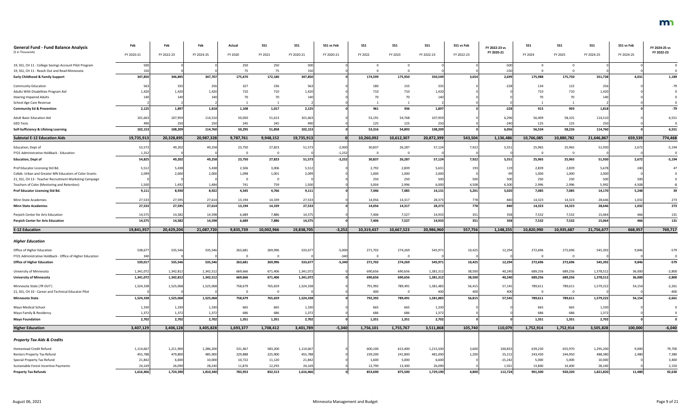| <b>General Fund - Fund Balance Analysis</b>                                                             | Feb               | Feb              | Feb               | Actual            | <b>SS1</b>        | <b>SS1</b>        | SS1 vs Feb | SS1              | SS1              | <b>SS1</b>       | SS1 vs Feb | FY 2022-23 vs       | SS1              | SS <sub>1</sub>  | SS <sub>1</sub>   | SS1 vs Feb | FY 2024-25 vs  |
|---------------------------------------------------------------------------------------------------------|-------------------|------------------|-------------------|-------------------|-------------------|-------------------|------------|------------------|------------------|------------------|------------|---------------------|------------------|------------------|-------------------|------------|----------------|
| (\$ in Thousands)                                                                                       | FY 2020-21        | FY 2022-23       | FY 2024-25        | FY 2020           | FY 2021           | FY 2020-21        | FY 2020-21 | FY 2022          | FY 2023          | FY 2022-23       | FY 2022-23 | FY 2020-21          | FY 2024          | FY 2025          | FY 2024-25        | FY 2024-25 | FY 2022-23     |
| 19, SS1, CH 11 - College Savings Account Pilot Program<br>19, SS1, CH 11 - Reach Out and Read Minnesota | 500               |                  |                   | 250<br>75         | 250<br>75         | 500               |            |                  |                  |                  |            | $-500$<br>$-150$    |                  |                  |                   |            |                |
| <b>Early Childhood &amp; Family Support</b>                                                             | 347,850           | 346,895          | 347,707           | 175,670           | 172,180           | 347,850           |            | 174,599          | 175,950          | 350,549          | 3,654      | 2,699               | 175,988          | 175,750          | 351,738           | 4,031      | 1,189          |
| Community Education                                                                                     |                   | 335              | 256               | 327               | 236               | 563               |            | 180              | 155              | 335              |            | $-228$              | 134              | 122              | 25 <sub>0</sub>   |            |                |
| Adults With Disabilities Program Aid                                                                    | 1,420             | 1,420            | 1,420             | 710               | 710               | 1,420             |            | 710              | 710              | 1,420            |            |                     | 710              | 710              | 1,420             |            |                |
| <b>Hearing Impaired Adults</b>                                                                          |                   | 140              | 14(               | 70                |                   |                   |            |                  | 70               | 14(              |            |                     |                  |                  | 14                |            |                |
| School Age Care Revenue                                                                                 |                   |                  |                   |                   |                   |                   |            |                  |                  |                  |            |                     |                  |                  |                   |            |                |
| <b>Community Ed &amp; Prevention</b>                                                                    | 2,125             | 1,897            | 1,818             | 1,108             | 1,017             | 2,125             |            | 961              | 936              | 1,897            |            | $-228$              | 915              | 903              | 1,818             |            | $-79$          |
| <b>Adult Basic Education Aid</b>                                                                        | 101,663           | 107,959          | 114,510           | 50,050            | 51,613            | 101,663           |            | 53,191           | 54,768           | 107,959          |            | 6,296               | 56,409           | 58,101           | 114,510           |            | 6,551          |
| <b>GED Tests</b>                                                                                        | 490               | 250              | 250               | 245               | 245               | 490               |            | 125              | 125              | 250              |            |                     | 125              | 125              | 25                |            |                |
| Self-Sufficiency & Lifelong Learning                                                                    | 102,153           | 108,209          | 114,760           | 50,295            | 51,858            | 102,153           |            | 53,316           | 54,893           | 108,209          |            | 6,056               | 56,534           | 58,226           | 114,760           |            | 6,551          |
| <b>Subtotal E-12 Education Aids</b>                                                                     | 19,735,913        | 20,328,895       | 20,987,328        | 9,787,761         | 9,948,152         | 19,735,913        |            | 10,260,092       | 10,612,307       | 20,872,399       | 543,504    | 1,136,486           | 10,766,085       | 10,880,782       | 21,646,867        | 659,539    | 774,468        |
| Education, Dept of                                                                                      | 53,573            | 49,202           | 49,258            | 23,750            | 27,823            | 51,573            | $-2,000$   | 30,837           | 26,287           | 57,124           | 7,922      | 5,55                | 25,965           | 25,965           | 51,930            | 2,672      | $-5,194$       |
| FY21 Administrative Holdback - Education                                                                | 1,252             |                  |                   |                   |                   |                   | $-1,252$   | $\Omega$         | $\overline{0}$   |                  |            |                     |                  |                  |                   |            |                |
| <b>Education, Dept of</b>                                                                               | 54,825            | 49,202           | 49,258            | 23,750            | 27,823            | 51,573            | $-3,252$   | 30,837           | 26,287           | 57,124           | 7,922      | 5,551               | 25,965           | 25,965           | 51,930            | 2,672      | $-5,194$       |
| Prof Educator Licensing Std Bd.                                                                         | 5,512             | 5,438            | 5,438             | 2,506             | 3,006             | 5,512             |            | 2,792            | 2,839            | 5,631            | 193        |                     | 2,839            | 2,839            | 5,678             |            |                |
| Collab. Urban and Greater MN Educators of Color Grants                                                  | 2,099             | 2,000            | 2.000             | 1,098             | 1,001             | 2,099             |            | 1,000            | 1,000            | 2,000            |            |                     | 1,000            | 1,000            | 2,000             |            |                |
| 21, SS1, CH 13 - Teacher Recruitment Marketing Campaign                                                 |                   |                  |                   |                   |                   |                   |            | 250              | 250              | 500              | 500        | 500                 | 250              | 250              | 500               |            |                |
| Teachers of Color (Mentoring and Retention)                                                             | 1,500             | 1,492            | 1,484             | 741               | 759               | 1,500             |            | 3,004            | 2,996            | 6,000            | 4,508      | 4,500               | 2,996            | 2,996            | 5,992             | 4,508      |                |
| Prof Educator Licensing Std Bd.                                                                         | 9,111             | 8,930            | 8,922             | 4,345             | 4,766             | 9,111             |            | 7,046            | 7,085            | 14,131           | 5,201      | 5,020               | 7,085            | 7,085            | 14,170            | 5,248      | 39             |
| Minn State Academies                                                                                    | 27,533            | 27,595           | 27,614            | 13,194            | 14,339            | 27,533            |            | 14,056           | 14,317           | 28,373           | 778        |                     | 14,323           | 14,323           | 28,646            | 1,032      | 273            |
| <b>Minn State Academies</b>                                                                             | 27,533            | 27,595           | 27,614            | 13,194            | 14,339            | 27,533            |            | 14,056           | 14,317           | 28,373           | 778        | 840I                | 14,323           | 14,323           | 28,646            | 1,032      | 273            |
| Perpich Center for Arts Education                                                                       | 14,575            | 14,582           | 14,598            | 6,689             | 7,886             | 14,575            |            | 7,406            | 7,527            | 14,933           | 351        |                     | 7,532            | 7,532            | 15,064            | 466        | 131            |
| <b>Perpich Center for Arts Education</b>                                                                | 14,575            | 14,582           | 14,598            | 6,689             | 7,886             | 14,575            |            | 7,406            | 7,527            | 14,933           | 351        | 358                 | 7,532            | 7,532            | 15,064            | 466        | 131            |
| <b>E-12 Education</b>                                                                                   | 19,841,957        | 20,429,204       | 21,087,720        | 9,835,739         | 10,002,966        | 19,838,705        | $-3,252$   | 10,319,437       | 10,667,523       | 20,986,960       | 557,756    | 1,148,255           | 10,820,990       | 10,935,687       | 21,756,677        | 668,957    | 769,717        |
| <b>Higher Education</b>                                                                                 |                   |                  |                   |                   |                   |                   |            |                  |                  |                  |            |                     |                  |                  |                   |            |                |
| Office of Higher Education                                                                              | 538,67            | 535,546          | 535,546           | 263,681           | 269,996           | 533,677           | $-5,000$   | 271,702          | 274,269          | 545,971          | 10,425     | 12,294              | 272,696          | 272,696          | 545,392           | 9,846      | $-579$         |
| FY21 Administrative Holdback - Office of Higher Education                                               |                   |                  |                   |                   |                   |                   | $-340$     | $\mathbf 0$      | $\overline{0}$   |                  |            |                     |                  |                  |                   |            |                |
| <b>Office of Higher Education</b>                                                                       | 539,017           | 535,546          | 535,546           | 263,681           | 269,996           | 533,677           | $-5,340$   | 271,702          | 274,269          | 545,971          | 10,425     | 12,294              | 272,696          | 272,696          | 545,392           | 9,846      | $-579$         |
| University of Minnesota                                                                                 | 1,341,072         | 1,342,812        | 1,342,512         | 669,666           | 671,406           | 1,341,072         |            | 690,656          | 690,656          | 1,381,312        | 38,500     | 40,240              | 689,256          | 689,256          | 1,378,512         | 36,000     | $-2,800$       |
| <b>University of Minnesota</b>                                                                          | 1,341,072         | 1,342,812        | 1,342,512         | 669,666           | 671,406           | 1,341,072         |            | 690,656          | 690,656          | 1,381,312        | 38,500     | 40,240              | 689,256          | 689,256          | 1,378,512         | 36,000     | $-2,800$       |
| Minnesota State (TR OUT)                                                                                | 1,524,338         | 1,525,068        | 1,525,068         | 758,679           | 765,659           | 1,524,338         |            | 791,992          | 789,491          | 1,581,483        | 56,415     | 57,145              | 789,611          | 789,611          | 1,579,222         | 54,154     | $-2,261$       |
| 21, SS1, CH 10 - Career and Technical Educator Pilot                                                    |                   |                  |                   |                   |                   |                   |            | 400              | $\overline{0}$   | 400              | 400        | 400                 |                  |                  |                   |            | $-400$         |
| <b>Minnesota State</b>                                                                                  | 1,524,338         | 1,525,068        | 1,525,068         | 758,679           | 765,659           | 1,524,338         |            | 792,392          | 789,491          | 1,581,883        | 56,815     | 57,545              | 789,611          | 789,611          | 1,579,222         | 54,154     | $-2,661$       |
| Mayo Medical School                                                                                     | 1,330             | 1,330            | 1,330             | 665               | 665               | 1,330             |            | 665              | 665              | 1,330            |            |                     | 665              | 665              | 1,330             |            |                |
| Mayo Family & Residency                                                                                 | 1,372             | 1,372            | 1,372             | 686               | 686               | 1,372             |            | 686              | 686              | 1,372            |            |                     | 686              | 686              | 1,372             |            |                |
| <b>Mayo Foundation</b>                                                                                  | 2,702             | 2,702            | 2,702             | 1,351             | 1,351             | 2,702             |            | 1,351            | 1,351            | 2,702            |            |                     | 1,351            | 1,351            | 2,702             |            |                |
| <b>Higher Education</b>                                                                                 | 3,407,129         | 3,406,128        | 3,405,828         | 1,693,377         | 1,708,412         | 3,401,789         | $-5,340$   | 1,756,101        | 1,755,767        | 3,511,868        | 105,740    | 110,079             | 1,752,914        | 1,752,914        | 3,505,828         | 100,000    | $-6,040$       |
| <b>Property Tax Aids &amp; Credits</b>                                                                  |                   |                  |                   |                   |                   |                   |            |                  |                  |                  |            |                     |                  |                  |                   |            |                |
|                                                                                                         |                   |                  |                   |                   |                   |                   |            |                  |                  |                  |            |                     |                  |                  |                   |            |                |
| Homestead Credit Refund                                                                                 | 1,114,667         | 1,211,900        | 1,286,200         | 531,467           | 583,200           | 1,114,667         |            | 600,100          | 615,400          | 1,215,500        | 3,600      | 100,833             | 639,230          | 655,970          | 1,295,200         | 9,000      | 79,700         |
| Renters Property Tax Refund<br>Special Property Tax Refund                                              | 455,788<br>21,842 | 479,800<br>6,600 | 485,900<br>10,000 | 229,888<br>10,722 | 225,900<br>11,120 | 455,788<br>21,842 |            | 239,200<br>1,600 | 241,800<br>5,000 | 481,000<br>6,600 | 1,200      | 25,212<br>$-15,242$ | 243,430<br>5,000 | 244,950<br>5,000 | 488,380<br>10,000 | 2,480      | 7,380<br>3,400 |
| Sustainable Forest Incentive Payments                                                                   | 24,169            | 26,090           | 28,240            | 11,876            | 12,293            | 24,169            |            | 12,790           | 13,300           | 26,090           |            | 1,92.               | 13,840           | 14,400           | 28,240            |            | 2,150          |
| <b>Property Tax Refunds</b>                                                                             | 1,616,466         | 1,724,390        | 1,810,340         | 783,953           | 832,513           | 1,616,466         |            | 853,690          | 875,500          | 1,729,190        | 4,800      | 112,724             | 901,500          | 920,320          | 1,821,820         | 11,480     | 92,630         |
|                                                                                                         |                   |                  |                   |                   |                   |                   |            |                  |                  |                  |            |                     |                  |                  |                   |            |                |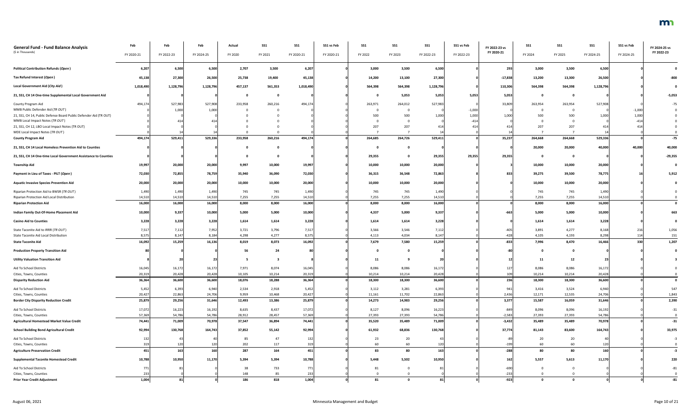| <b>General Fund - Fund Balance Analysis</b><br>(\$ in Thousands)  | Feb        | Feb        | Feb        | Actual  | <b>SS1</b> | <b>SS1</b> | SS1 vs Feb | <b>SS1</b> | <b>SS1</b>   | <b>SS1</b>     | SS1 vs Feb | FY 2022-23 vs | <b>SS1</b> | <b>SS1</b>  | SS <sub>1</sub> | SS1 vs Feb | FY 2024-25 vs<br>FY 2022-23 |
|-------------------------------------------------------------------|------------|------------|------------|---------|------------|------------|------------|------------|--------------|----------------|------------|---------------|------------|-------------|-----------------|------------|-----------------------------|
|                                                                   | FY 2020-21 | FY 2022-23 | FY 2024-25 | FY 2020 | FY 2021    | FY 2020-21 | FY 2020-21 | FY 2022    | FY 2023      | FY 2022-23     | FY 2022-23 | FY 2020-21    | FY 2024    | FY 2025     | FY 2024-25      | FY 2024-25 |                             |
| <b>Political Contribution Refunds (Open)</b>                      | 6,207      | 6,500      | 6,500      | 2,707   | 3,500      | 6,207      |            | 3,000      | 3,500        | 6,500          |            | 293           | 3,000      | 3,500       | 6,500           |            |                             |
| Tax Refund Interest (Open)                                        | 45,138     | 27,300     | 26,500     | 25,738  | 19,400     | 45,138     |            | 14,200     | 13,100       | 27,300         |            | $-17,838$     | 13,200     | 13,300      | 26,500          |            |                             |
| <b>Local Government Aid (City Aid)</b>                            | 1,018,490  | 1,128,796  | 1,128,796  | 457,137 | 561,353    | 1,018,490  |            | 564,398    | 564,398      | 1,128,796      |            | 110,306       | 564,398    | 564,398     | 1,128,796       |            |                             |
| 21, SS1, CH 14 One-time Supplemental Local Government Aid         |            |            |            |         |            |            |            |            | 5,053        | 5,053          | 5,053      | 5,053         |            |             |                 |            | $-5,053$                    |
| County Program Aid                                                | 494,174    | 527,983    | 527,908    | 233,958 | 260,216    | 494,174    |            | 263,971    | 264,012      | 527,983        |            | 33,809        | 263,954    | 263,954     | 527,908         |            |                             |
| MMB Public Defender Aid (TR OUT)                                  |            | 1,000      | 1,000      |         |            |            |            |            | 0            |                | $-1,000$   |               |            |             |                 | $-1,000$   |                             |
| 21, SS1, CH 14, Public Defense Board Public Defender Aid (TR OUT) |            |            |            |         |            |            |            | 500        | 500          | 1,000          | 1,000      | 1,000         | 500        | 500         | 1,000           | 1,000      |                             |
| MMB Local Impact Notes (TR OUT)                                   |            |            |            |         |            |            |            |            | $\mathbf 0$  |                | $-414$     |               |            |             |                 |            |                             |
| 21, SS1, CH 12, LBO Local Impact Notes (TR OUT)                   |            |            |            |         |            |            |            | 207        | 207          | 414            |            |               | 207        | 207         |                 |            |                             |
| MDE Local Impact Notes (TR OUT)                                   |            |            |            |         |            |            |            |            |              |                |            |               |            |             |                 |            |                             |
| <b>County Program Aid</b>                                         | 494,174    | 529,411    | 529,336    | 233,958 | 260,216    | 494,174    |            | 264,685    | 264,726      | 529,411        |            | 35,237        | 264,668    | 264,668     | 529,336         |            | $-75$                       |
| 21, SS1, CH 14 Local Homeless Prevention Aid to Counties          |            |            |            |         |            |            |            |            | $\mathbf 0$  |                |            |               | 20,000     | 20,000      | 40,000          | 40,000     | 40,000                      |
| 21, SS1, CH 14 One-time Local Government Assistance to Counties   |            |            |            |         |            |            |            | 29,355     | $\mathbf 0$  | 29,355         | 29,355     | 29,355        |            |             |                 |            | $-29,355$                   |
| <b>Township Aid</b>                                               | 19,997     | 20,000     | 20,000     | 9,997   | 10,000     | 19,997     |            | 10,000     | 10,000       | 20,000         |            |               | 10,000     | 10,000      | 20,000          |            |                             |
| Payment in Lieu of Taxes - PILT (Open)                            | 72,030     | 72,855     | 78,759     | 35,940  | 36,090     | 72,030     |            | 36,315     | 36,548       | 72,863         |            | 833           | 39,275     | 39,500      | 78,775          |            | 5,912                       |
| <b>Aquatic Invasive Species Prevention Aid</b>                    | 20,000     | 20,000     | 20,000     | 10,000  | 10,000     | 20,000     |            | 10,000     | 10,000       | 20,000         |            |               | 10,000     | 10,000      | 20,000          |            |                             |
| Riparian Protection Aid to BWSR (TR OUT)                          | 1,490      | 1,490      | 1,490      | 745     | 745        | 1,490      |            | 745        | 745          | 1,490          |            |               | 745        | 745         | 1,490           |            |                             |
| Riparian Protection Aid Local Distribution                        | 14,51      | 14,510     | 14,510     | 7,255   | 7,255      | 14,510     |            | 7,255      | 7,255        | 14,510         |            |               | 7,255      | 7,255       | 14,510          |            |                             |
| <b>Riparian Protection Aid</b>                                    | 16,000     | 16,000     | 16,000     | 8,000   | 8,000      | 16,000     |            | 8,000      | 8,000        | 16,000         |            |               | 8,000      | 8,000       | 16,000          |            |                             |
| Indian Family Out-Of-Home Placement Aid                           | 10,000     | 9,337      | 10,000     | 5,000   | 5,000      | 10,000     |            | 4,337      | 5,000        | 9,337          |            |               | 5,000      | 5,000       | 10,000          |            | 663                         |
| <b>Casino Aid to Counties</b>                                     | 3,228      | 3,228      | 3,228      | 1,614   | 1,614      | 3,228      |            | 1,614      | 1,614        | 3,228          |            |               | 1,614      | 1,614       | 3,228           |            |                             |
| State Taconite Aid to IRRR (TR OUT)                               | 7,517      | 7,112      | 7,952      | 3,721   | 3,796      | 7,517      |            | 3,566      | 3,546        | 7,112          |            | $-405$        | 3,891      | 4,277       | 8,168           | 216        | 1,056                       |
| State Taconite Aid Local Distribution                             | 8,575      | 8,147      | 8,184      | 4,298   | 4,277      | 8,575      |            | 4,113      | 4,034        | 8,147          |            | $-428$        | 4,105      | 4,193       | 8,298           | 114        | 151                         |
| <b>State Taconite Aid</b>                                         | 16,092     | 15,259     | 16,136     | 8,019   | 8,073      | 16,092     |            | 7,679      | 7,580        | 15,259         |            | $-833$        | 7,996      | 8,470       | 16,466          | 330        | 1,207                       |
| <b>Production Property Transition Aid</b>                         |            |            |            | 56      | 24         |            |            |            | $\mathbf{0}$ |                |            |               |            |             |                 |            |                             |
| <b>Utility Valuation Transition Aid</b>                           |            |            |            | - 5     |            |            |            | 11         |              | 2 <sub>0</sub> |            |               | 11         | 12          |                 |            |                             |
| Aid To School Districts                                           | 16,045     | 16,172     | 16,172     | 7,971   | 8,074      | 16,045     |            | 8,086      | 8,086        | 16,172         |            |               | 8,086      | 8,086       | 16,172          |            |                             |
| Cities, Towns, Counties                                           | 20,31      | 20,428     | 20,428     | 10,105  | 10,214     | 20,319     |            | 10,214     | 10,214       | 20,428         |            | 109           | 10,214     | 10,214      | 20,428          |            |                             |
| <b>Disparity Reduction Aid</b>                                    | 36,364     | 36,600     | 36,600     | 18,076  | 18,288     | 36,364     |            | 18,300     | 18,300       | 36,600         |            | 236           | 18,300     | 18,300      | 36,600          |            | $\mathbf 0$                 |
| Aid To School Districts                                           | 5,452      | 6,393      | 6,940      | 2,534   | 2,918      | 5,452      |            | 3,112      | 3,281        | 6,393          |            | 941           | 3,416      | 3,524       | 6,940           |            | 547                         |
| Cities, Towns, Counties                                           | 20,427     | 22,863     | 24,706     | 9,959   | 10,468     | 20,427     |            | 11,161     | 11,702       | 22,863         |            | 2,436         | 12,171     | 12,535      | 24,706          |            | 1,843                       |
| <b>Border City Disparity Reduction Credit</b>                     | 25,879     | 29,256     | 31,646     | 12,493  | 13,386     | 25,879     |            | 14,273     | 14,983       | 29,256         |            | 3,377         | 15,587     | 16,059      | 31,646          |            | 2,390                       |
| Aid To School Districts                                           | 17,072     | 16,223     | 16,192     | 8,635   | 8,437      | 17,072     |            | 8,127      | 8,096        | 16,223         |            | $-849$        | 8,096      | 8,096       | 16,192          |            | $-31$                       |
| Cities, Towns, Counties                                           | 57,369     | 54,786     | 54,786     | 28,912  | 28,457     | 57,369     |            | 27,393     | 27,393       | 54,786         |            | $-2,583$      | 27,393     | 27,393      | 54,786          |            |                             |
| Agricultural Homestead Market Value Credit                        | 74,441     | 71,009     | 70,978     | 37,547  | 36,894     | 74,441     |            | 35,520     | 35,489       | 71,009         |            | $-3,432$      | 35,489     | 35,489      | 70,978          |            | $-31$                       |
| <b>School Building Bond Agricultural Credit</b>                   | 92,994     | 130,768    | 164,743    | 37,852  | 55,142     | 92,994     |            | 61,932     | 68,836       | 130,768        |            | 37,774        | 81,143     | 83,600      | 164,743         |            | 33,975                      |
| Aid To School Districts                                           | 132        |            |            | 85      | 47         | 132        |            | 23         | 20           |                |            |               | 20         | $20\degree$ |                 |            |                             |
| Cities, Towns, Counties                                           | 319        | 120        | 120        | 202     | 117        | 319        |            | 60         | 60           | 120            |            | $-199$        | 60         | 60          | 120             |            |                             |
| <b>Agriculture Preservation Credit</b>                            | 451        | 163        | 160        | 287     | 164        | 451        |            | 83         | 80           | 163            |            | $-288$        | 80         | 80          | 160             |            | $-3$                        |
| <b>Supplemental Taconite Homestead Credit</b>                     | 10,788     | 10,950     | 11,170     | 5,394   | 5,394      | 10,788     |            | 5,448      | 5,502        | 10,950         |            | 162           | 5,557      | 5,613       | 11,170          |            | 220                         |
| Aid To School Districts                                           | 771        |            |            | 38      | 733        | 771        |            | 81         | 0            |                |            | $-690$        |            |             |                 |            |                             |
| Cities, Towns, Counties                                           | 233        |            |            | 148     | 85         | 233        |            |            |              |                |            | $-233$        |            |             |                 |            |                             |
| <b>Prior Year Credit Adjustment</b>                               | 1,004      |            |            | 186     | 818        | 1,004      |            | 81         | $\Omega$     | 81             |            | $-923$        |            |             |                 |            | $-81$                       |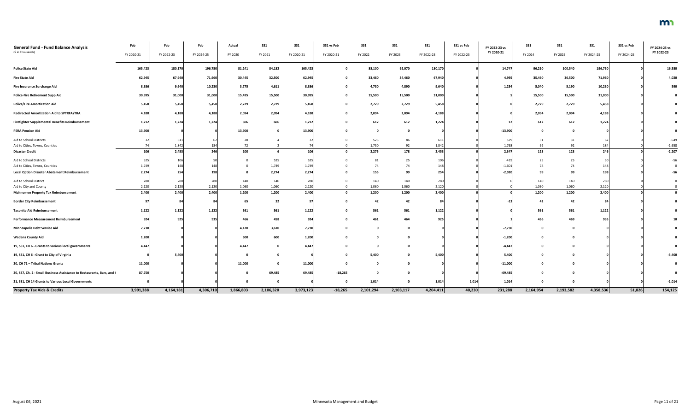| <b>General Fund - Fund Balance Analysis</b><br>(\$ in Thousands)       | Feb        | Feb        | Feb        | Actual    | <b>SS1</b> | <b>SS1</b> | SS1 vs Feb | <b>SS1</b> | SS1       | $SS1$      | SS1 vs Feb | FY 2022-23 vs<br>FY 2020-21 | <b>SS1</b>  | <b>SS1</b> | <b>SS1</b> | SS1 vs Feb | FY 2024-25 vs<br>FY 2022-23 |
|------------------------------------------------------------------------|------------|------------|------------|-----------|------------|------------|------------|------------|-----------|------------|------------|-----------------------------|-------------|------------|------------|------------|-----------------------------|
|                                                                        | FY 2020-21 | FY 2022-23 | FY 2024-25 | FY 2020   | FY 2021    | FY 2020-21 | FY 2020-21 | FY 2022    | FY 2023   | FY 2022-23 | FY 2022-23 |                             | FY 2024     | FY 2025    | FY 2024-25 | FY 2024-25 |                             |
| <b>Police State Aid</b>                                                | 165,423    | 180,170    | 196,750    | 81,241    | 84,182     | 165,423    |            | 88,100     | 92,070    | 180,17     |            | 14,747                      | 96,210      | 100,540    | 196,750    |            | 16,580                      |
| <b>Fire State Aid</b>                                                  | 62,945     | 67,940     | 71,960     | 30,445    | 32,500     | 62,945     |            | 33,480     | 34,460    | 67,940     |            | 4,995                       | 35,460      | 36,500     | 71,960     |            | 4,020                       |
| Fire Insurance Surcharge Aid                                           | 8,386      | 9,640      | 10,230     | 3,775     | 4,611      | 8,386      |            | 4,750      | 4,890     | 9,640      |            | 1,254                       | 5,040       | 5,190      | 10,230     |            | 590                         |
| <b>Police-Fire Retirement Supp Aid</b>                                 | 30,995     | 31,000     | 31,000     | 15,495    | 15,500     | 30,995     |            | 15,500     | 15,500    | 31,000     |            |                             | 15,500      | 15,500     | 31,000     |            |                             |
| <b>Police/Fire Amortization Aid</b>                                    | 5,458      | 5,458      | 5,458      | 2,729     | 2,729      | 5,458      |            | 2,729      | 2,729     | 5,458      |            |                             | 2,729       | 2,729      | 5,458      |            |                             |
| <b>Redirected Amortization Aid to SPTRFA/TRA</b>                       | 4,188      | 4,188      | 4,188      | 2,094     | 2,094      | 4,188      |            | 2,094      | 2,094     | 4,188      |            |                             | 2,094       | 2,094      | 4,188      |            |                             |
| Firefighter Supplemental Benefits Reimbursement                        | 1,212      | 1,224      | 1,224      | 606       | 606        | 1,212      |            | 612        | 612       | 1,224      |            |                             | 612         | 612        | 1,224      |            |                             |
| <b>PERA Pension Aid</b>                                                | 13,900     |            |            | 13,900    |            | 13,900     |            |            | 0         |            |            | $-13,900$                   | $\mathbf 0$ |            |            |            |                             |
| Aid to School Districts                                                |            | 611        | 62         | 28        |            |            |            | 525        | 86        | 611        |            | 579                         | 31          | 31         |            |            | $-549$                      |
| Aid to Cities, Towns, Counties                                         |            | 1,842      | 184        | 72        |            |            |            | 1,750      | 92        | 1,842      |            | 1,768                       | 92          | 92         |            |            | $-1,658$                    |
| <b>Disaster Credit</b>                                                 | 106        | 2,453      | 246        | 100       |            | 106        |            | 2,275      | 178       | 2,453      |            | 2,347                       | 123         | 123        | 246        |            | $-2,207$                    |
| Aid to School Districts                                                | 525        | 106        |            |           | 525        | 525        |            | 81         | 25        | 106        |            | $-419$                      | 25          | 25         |            |            | $-56$                       |
| Aid to Cities, Towns, Counties                                         | 1,749      | 148        | 148        |           | 1,749      | 1,749      |            | 74         | 74        | 148        |            | $-1,601$                    | 74          | 74         | 148        |            |                             |
| <b>Local Option Disaster Abatement Reimbursement</b>                   | 2,274      | 254        | 198        | 0         | 2,274      | 2,274      |            | 155        | 99        | 254        |            | $-2,020$                    | 99          | 99         | 198        |            | $-56$                       |
| Aid to School District                                                 | 280        | 280        | 280        | 140       | 140        | 280        |            | 140        | 140       | 280        |            |                             | 140         | 140        | 280        |            |                             |
| Aid to City and County                                                 | 2,120      | 2,120      | 2,120      | 1,060     | 1,060      | 2,120      |            | 1,060      | 1,060     | 2,120      |            |                             | 1,060       | 1,060      | 2,120      |            |                             |
| <b>Mahnomen Property Tax Reimbursement</b>                             | 2,400      | 2,400      | 2,400      | 1,200     | 1,200      | 2,400      |            | 1,200      | 1,200     | 2,400      |            |                             | 1,200       | 1,200      | 2,400      |            |                             |
| <b>Border City Reimbursement</b>                                       |            |            | 84         | 65        | 32         |            |            | 42         | 42        | 84         |            |                             | 42          | 42         |            |            |                             |
| <b>Taconite Aid Reimbursement</b>                                      | 1,122      | 1,122      | 1,122      | 561       | 561        | 1,122      |            | 561        | 561       | 1,122      |            |                             | 561         | 561        | 1,122      |            |                             |
| <b>Performance Measurement Reimbursement</b>                           | 924        | 925        | 935        | 466       | 458        | 924        |            | 461        | 464       | 925        |            |                             | 466         | 469        | 935        |            |                             |
| <b>Minneapolis Debt Service Aid</b>                                    | 7,730      |            |            | 4,120     | 3,610      | 7,730      |            |            |           |            |            | $-7,730$                    | 0           |            |            |            |                             |
| <b>Wadena County Aid</b>                                               | 1,200      |            |            | 600       | 600        | 1,200      |            |            |           |            |            | $-1,200$                    | - 0         |            |            |            |                             |
| 19, SS1, CH 6 - Grants to various local governments                    | 4,447      |            |            | 4,447     |            | 4,447      |            |            |           |            |            | $-4,44$                     |             |            |            |            |                             |
| 19, SS1, CH 6 - Grant to City of Virginia                              |            | 5,400      |            |           |            |            |            | 5,400      |           | 5,400      |            | 5,400                       |             |            |            |            | $-5,400$                    |
| 20, CH 71 - Tribal Nations Grants                                      | 11,000     |            |            | 11,000    |            | 11,000     |            |            |           |            |            | $-11,000$                   |             |            |            |            |                             |
| 20, SS7, Ch. 2 - Small Business Assistance to Restaurants, Bars, and ( | 87,750     |            |            |           | 69,485     | 69,485     | $-18,265$  |            |           |            |            | $-69,485$                   |             |            |            |            |                             |
| 21, SS1, CH 14 Grants to Various Local Governments                     |            |            |            |           |            |            |            | 1,014      |           | 1,014      | 1,014      | 1,014                       |             |            |            |            | $-1,014$                    |
| <b>Property Tax Aids &amp; Credits</b>                                 | 3,991,388  | 4,164,181  | 4,306,710  | 1,866,803 | 2,106,320  | 3,973,123  | $-18,265$  | 2,101,294  | 2,103,117 | 4,204,411  | 40,230     | 231,288                     | 2,164,954   | 2,193,582  | 4,358,536  | 51,826     | 154,125                     |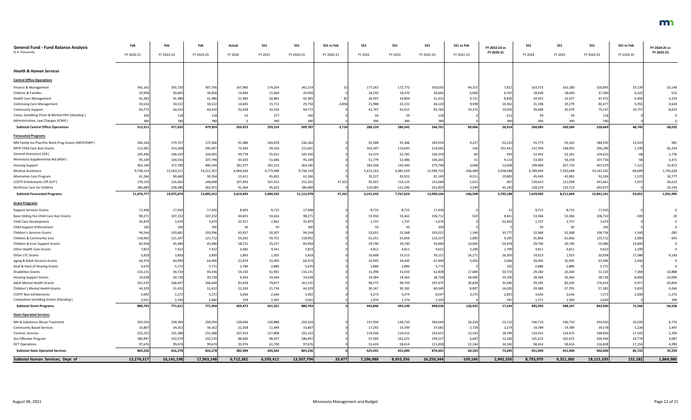| <b>General Fund - Fund Balance Analysis</b><br>(\$ in Thousands) | Feb<br>FY 2020-21 | Feb<br>FY 2022-23 | Feb<br>FY 2024-25 | Actual<br>FY 2020 | <b>SS1</b><br>FY 2021 | <b>SS1</b><br>FY 2020-21 | SS1 vs Feb<br>FY 2020-21 | SS1<br>FY 2022 | <b>SS1</b><br>FY 2023 | <b>SS1</b><br>FY 2022-23 | SS1 vs Feb<br>FY 2022-23 | FY 2022-23 vs<br>FY 2020-21 | SS1<br>FY 2024 | SS1<br>FY 2025 | <b>SS1</b><br>FY 2024-25 | SS1 vs Feb<br>FY 2024-25 | FY 2024-25 vs<br>FY 2022-23 |
|------------------------------------------------------------------|-------------------|-------------------|-------------------|-------------------|-----------------------|--------------------------|--------------------------|----------------|-----------------------|--------------------------|--------------------------|-----------------------------|----------------|----------------|--------------------------|--------------------------|-----------------------------|
|                                                                  |                   |                   |                   |                   |                       |                          |                          |                |                       |                          |                          |                             |                |                |                          |                          |                             |
| <b>Health &amp; Human Services</b>                               |                   |                   |                   |                   |                       |                          |                          |                |                       |                          |                          |                             |                |                |                          |                          |                             |
| <b>Central Office Operations</b>                                 |                   |                   |                   |                   |                       |                          |                          |                |                       |                          |                          |                             |                |                |                          |                          |                             |
| Finance & Management                                             | 342,162           | 305,720           | 307,756           | 167,960           | 174,254               | 342,214                  |                          | 177,263        | 172,772               | 350,035                  | 44,315                   | 7,821                       | 163,715        | 163,180        | 326,895                  | 19,139                   | $-23,140$                   |
| Children & Families                                              | 29,958            | 30,605            | 30,858            | 14,494            | 15,464                | 29,958                   |                          | 18,295         | 18,370                | 36,66                    | 6,060                    | 6,707                       | 18,640         | 18,640         | 37,280                   | 6,422                    | 615                         |
| <b>Health Care Management</b>                                    | 42,283            | 41,480            | 41,480            | 21,483            | 20,882                | 42,365                   |                          | 26,397         | 24,804                | 51,201                   | 9,721                    | 8,836                       | 24,415         | 23,557         | 47,972                   | 6,492                    | $-3,229$                    |
| <b>Continuing Care Management</b>                                | 33,616            | 34,522            | 34,522            | 14,045            | 15,713                | 29,758                   | $-3,858$                 | 21,988         | 22,132                | 44,120                   | 9,598                    | 14,362                      | 21,198         | 19,279         | 40,477                   | 5,955                    | $-3,643$                    |
| <b>Community Support</b>                                         | 64,772            | 64,410            | 64,410            | 32,438            | 32,334                | 64,772                   |                          | 41,767         | 42,015                | 83,78                    | 19,372                   | 19,010                      | 39,668         | 35,479         | 75,147                   | 10,737                   | $-8,635$                    |
| Comp. Gambling Chem & Mental Hlth (Standing)                     | 330               | 118               | 118               | 53                | 277                   | 330                      |                          | -59            | 59                    | 118                      |                          | $-212$                      | 59             | 59             | 118                      |                          |                             |
| Administration, Law Changes (ICWA)                               | 390               | 78                | 780               |                   | 390                   | 390                      |                          | 390            | 390                   | 780                      |                          | 390                         | 390            | 390            | 780                      |                          |                             |
| <b>Subtotal Central Office Operations</b>                        | 513,511           | 477,635           | 479,924           | 250,473           | 259,314               | 509,787                  | $-3,724$                 | 286,159        | 280,542               | 566,701                  | 89,066                   | 56,914                      | 268,085        | 260,584        | 528,669                  | 48,745                   | $-38,032$                   |
| <b>Forecasted Programs</b>                                       |                   |                   |                   |                   |                       |                          |                          |                |                       |                          |                          |                             |                |                |                          |                          |                             |
| MN Family Inv Plan/Div Work Prog Grants (MFIP/DWP)               | 236,164           | 179,727           | 172,506           | 91,486            | 144,678               | 236,164                  |                          | 92,588         | 91,366                | 183,954                  | 4,227                    | $-52,210$                   | 91,773         | 93,162         | 184,935                  | 12,429                   | 981                         |
| MFIP Child Care Asst Grants                                      | 112,601           | 214,208           | 295,097           | 73,445            | 39,156                | 112,601                  |                          | 103,347        | 110,695               | 214,04                   | $-166$                   | 101,441                     | 147,394        | 148,902        | 296,296                  | 1,199                    | 82,254                      |
| General Assistance (GA)                                          | 105,430           | 106,41            | 104,691           | 49,778            | 55,652                | 105,430                  |                          | 53,574         | 52,785                | 106,359                  |                          | 929                         | 52,442         | 52,181         | 104,623                  | $-68$                    | $-1,736$                    |
| Minnesota Supplemental Aid (MSA)                                 | 95,149            | 104,316           | 107,794           | 43,503            | 51,646                | 95,149                   |                          | 51,779         | 52,486                | 104,265                  | $-51$                    | 9,116                       | 53,402         | 54,334         | 107,736                  | $-58$                    | 3,471                       |
| <b>Housing Support</b>                                           | 363,190           | 372,790           | 400,549           | 181,977           | 181,213               | 363,190                  |                          | 183,358        | 192,440               | 375,798                  | 3,008                    | 12,608                      | 199,960        | 207,710        | 407,670                  | 7,121                    | 31,872                      |
| <b>Medical Assistance</b>                                        | 9,738,134         | 12,563,211        | 14,211,351        | 4,964,636         | 4,773,498             | 9,738,134                |                          | 5,415,163      | 6,981,559             | 12,396,722               | $-166,489$               | 2,658,588                   | 6,789,694      | 7,352,648      | 14,142,342               | $-69,009$                | 1,745,620                   |
| Alternative Care Program                                         | 61,266            | 90,660            | 90,354            | 15,611            | 45,655                | 61,266                   |                          | 35,227         | 45,922                | 81,14                    | $-9,51.$                 | 19,883                      | 45,945         | 45,981         | 91,926                   | 1,572                    | 10,777                      |
| <b>CCDTF Entitlements (TR OUT)</b>                               | 178,154           | 216,063           | 248,698           | 107,943           | 107,412               | 215,355                  | 37,201                   | 95,923         | 119,125               | 215,048                  | $-1,015$                 | $-307$                      | 120,623        | 121,038        | 241,661                  | $-7,037$                 | 26,613                      |
| Northstar Care for Children                                      | 186,68            | 228,280           | 263,972           | 91,064            | 95,625                | 186,689                  |                          | 110,583        | 121,246               | 231,829                  | 3,549                    | 45,140                      | 128,259        | 135,713        | 263,972                  |                          | 32,143                      |
| <b>Subtotal Forecasted Programs</b>                              | 11,076,777        | 14,075,67         | 15,895,012        | 5,619,443         | 5,494,535             | 11,113,978               | 37,201                   | 6,141,542      | 7,767,624             | 13,909,16                | $-166,508$               | 2,795,188                   | 7,629,492      | 8,211,669      | 15,841,161               | $-53,851$                | 1,931,995                   |
| <b>Grant Programs</b>                                            |                   |                   |                   |                   |                       |                          |                          |                |                       |                          |                          |                             |                |                |                          |                          |                             |
| <b>Support Services Grants</b>                                   | 17,408            | 17,430            | 17,430            | 8,693             | 8,715                 | 17,408                   |                          | 8,715          | 8,715                 | 17,43                    |                          |                             | 8,715          | 8,715          | 17,430                   |                          |                             |
| Basic Sliding Fee Child Care Asst Grants                         | 98,271            | 107,232           | 107,232           | 44,655            | 53,616                | 98,271                   |                          | 53,350         | 53,362                | 106,712                  | $-520$                   | 8,441                       | 53,366         | 53,366         | 106,732                  |                          |                             |
| Child Care Development                                           | 35,879            | 3,474             | 3,474             | 32,917            | 2,962                 | 35,879                   |                          | 1,737          | 1,737                 | 3,474                    |                          | $-32,405$                   | 1,737          | 1,737          | 3,474                    |                          |                             |
| <b>Child Support Enforcement</b>                                 | 100               | 100               | 100               | 50                | 50                    | 100                      |                          | 50             | 50                    | 100                      |                          |                             | 50             | 50             | 100                      |                          |                             |
| Children's Services Grants                                       | 94,244            | 103,681           | 103,396           | 43,937            | 50,307                | 94,244                   |                          | 52,653         | 52,368                | 105,021                  | 1,340                    | 10,777                      | 52,368         | 52,368         | 104,736                  | 1,340                    | $-285$                      |
| Children & Community Svcs                                        | 118,902           | 121,107           | 121,712           | 59,201            | 59,701                | 118,902                  |                          | 61,251         | 61,856                | 123,107                  | 2,000                    | 4,205                       | 61,856         | 61,856         | 123,712                  | 2,000                    | 605                         |
| Children & Econ Support Grants                                   | 83,958            | 45,480            | 45,480            | 58,721            | 25,237                | 83,958                   |                          | 29,740         | 29,740                | 59,480                   | 14,000                   | $-24,478$                   | 29,740         | 29,740         | 59,480                   | 14,000                   |                             |
| Other Health Care Grants                                         | 7,823             | 7,422             | 7,422             | 3,482             | 4,341                 | 7,823                    |                          | 4,811          | 4,811                 | 9,622                    | 2,200                    | 1,799                       | 4,811          | 4,811          | 9,622                    | 2,200                    |                             |
| Other LTC Grants                                                 | 3,818             | 3,850             | 3,850             | 1,893             | 1,925                 | 3,818                    |                          | 10,608         | 19,513                | 30,12                    | 26,27                    | 26,303                      | 19,013         | 1,925          | 20,938                   | 17,088                   | $-9,183$                    |
| Aging & Adult Services Grants                                    | 64,374            | 64,990            | 64,990            | 31,879            | 32,495                | 64,374                   |                          | 32,995         | 34,445                | 67,440                   | 2,450                    | 3,066                       | 34,445         | 32,995         | 67,440                   | 2,450                    |                             |
| Deaf & Hard of Hearing Grants                                    | 5,670             | 5,772             | 5,772             | 2,784             | 2,886                 | 5,670                    |                          | 2,886          | 2,886                 | 5,772                    |                          | 102                         | 2,886          | 2,886          | 5,772                    |                          |                             |
| <b>Disabilities Grants</b>                                       | 116,131           | 44,724            | 44,336            | 54,150            | 61,981                | 116,131                  |                          | 31,398         | 31,010                | 62,408                   | 17,684                   | $-53,723$                   | 29,260         | 22,260         | 51,520                   | 7,184                    | $-10,888$                   |
| <b>Housing Support Grants</b>                                    | 19,628            | 20,72             | 20,728            | 9,264             | 10,364                | 19,628                   |                          | 19,364         | 19,364                | 38,728                   | 18,000                   | 19,100                      | 18,364         | 10,364         | 28,728                   | 8,000                    | $-10,000$                   |
| <b>Adult Mental Health Grants</b>                                | 161,535           | 166,647           | 166,648           | 81,658            | 79,877                | 161,535                  |                          | 98,772         | 98,703                | 197,47                   | 30,828                   | 35,940                      | 93,295         | 83,324         | 176,619                  | 9,971                    | $-20,856$                   |
| Children's Mental Health Grants                                  | 44,329            | 51,452            | 51,452            | 22,593            | 21,736                | 44,329                   |                          | 30,167         | 30,182                | 60,349                   | 8,897                    | 16,020                      | 29,580         | 27,705         | 57,285                   | 5,833                    | $-3,064$                    |
| <b>CCDTF Non-Entitlements</b>                                    | 5,692             | 5,272             | 5,272             | 3,056             | 2,636                 | 5,692                    |                          | 4,273          | 4,274                 | 8,54                     | 3,275                    | 2,855                       | 4,636          | 2,636          | 7,272                    | 2,000                    | $-1,275$                    |
| <b>Compulsive Gambling Grants (Standing)</b>                     | 3,031             | 2,250             | 2,640             | 539               | 2,492                 | 3,031                    |                          | 1,076          | 1,174                 | 2,250                    |                          | $-781$                      | 1,271          | 1,369          | 2,640                    |                          | 390                         |
| <b>Subtotal Grant Programs</b>                                   | 880,793           | 771,611           | 771,934           | 459,472           | 421,321               | 880,793                  |                          | 443,846        | 454,190               | 898,036                  | 126,425                  | 17,243                      | 445,393        | 398,107        | 843,500                  | 71,566                   | $-54,536$                   |
| <b>State Operated Services</b>                                   |                   |                   |                   |                   |                       |                          |                          |                |                       |                          |                          |                             |                |                |                          |                          |                             |
| MH & Substance Abuse Treatment                                   | 259,534           | 258,394           | 258,394           | 128,646           | 130,888               | 259,534                  |                          | 137,934        | 146,710               | 284,644                  | 26,250                   | 25,110                      | 146,710        | 146,710        | 293,420                  | 35,026                   | 8,776                       |
| <b>Community Based Services</b>                                  | 33,807            | 34,352            | 34,352            | 22,358            | 11,449                | 33,807                   |                          | 17,292         | 19,789                | 37,08                    | 2,729                    | 3,274                       | 19,789         | 19,789         | 39,578                   | 5,226                    | 2,497                       |
| <b>Forensic Services</b>                                         | 225,222           | 231,288           | 231,288           | 107,414           | 117,808               | 225,222                  |                          | 119,206        | 124,415               | 243,621                  | 12,333                   | 18,399                      | 124,415        | 124,415        | 248,830                  | 17,542                   | 5,209                       |
| Sex Offender Program                                             | 186,997           | 192,570           | 192,570           | 88,600            | 98,397                | 186,997                  |                          | 97,585         | 101,672               | 199,25                   | 6,687                    | 12,260                      | 101,672        | 101,672        | 203,344                  | 10,774                   | 4,087                       |
| <b>DCT Operations</b>                                            | 97,67             | 99,67             | 99,674            | 35,976            | 61,700                | 97,676                   |                          | 53,424         | 58,414                | 111,83                   | 12,164                   | 14,162                      | 58,414         | 58,414         | 116,828                  | 17,154                   | 4,990                       |
| <b>Subtotal State Operated Services</b>                          | 803,236           | 816,27            | 816,278           | 382,994           | 420,242               | 803,236                  |                          | 425,441        | 451,000               | 876,44                   | 60,163                   | 73,205                      | 451,000        | 451,000        | 902,000                  | 85,722                   | 25,559                      |
| Subtotal Human Services, Dept of                                 | 13,274,317        | 16,141,198        | 17,963,148        | 6,712,382         | 6,595,412             | 13,307,794               | 33,477                   | 7,296,988      | 8,953,356             | 16,250,344               | 109,146                  | 2,942,550                   | 8,793,970      | 9,321,360      | 18,115,330               | 152,182                  | 1,864,986                   |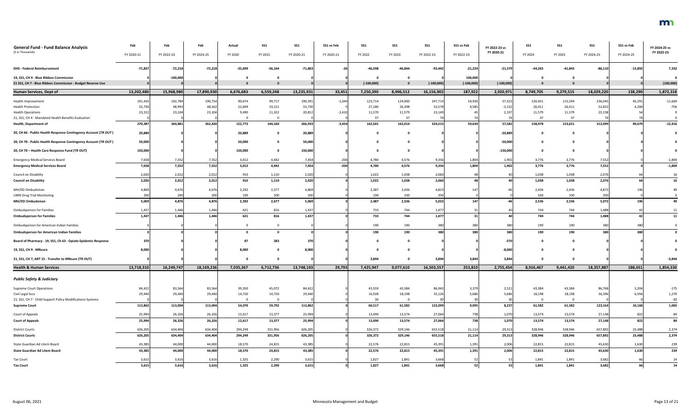| <b>General Fund - Fund Balance Analysis</b>                     | Feb              | Feb              | Feb              | Actual           | <b>SS1</b>       | <b>SS1</b>       | SS1 vs Feb | SS1              | SS1              | <b>SS1</b>       | SS1 vs Feb     | FY 2022-23 vs  | <b>SS1</b>       | <b>SS1</b>       | SS <sub>1</sub>  | SS1 vs Feb     | FY 2024-25 vs   |
|-----------------------------------------------------------------|------------------|------------------|------------------|------------------|------------------|------------------|------------|------------------|------------------|------------------|----------------|----------------|------------------|------------------|------------------|----------------|-----------------|
| (\$ in Thousands)                                               | FY 2020-21       | FY 2022-23       | FY 2024-25       | FY 2020          | FY 2021          | FY 2020-21       | FY 2020-21 | FY 2022          | FY 2023          | FY 2022-23       | FY 2022-23     | FY 2020-21     | FY 2024          | FY 2025          | FY 2024-25       | FY 2024-25     | FY 2022-23      |
| <b>DHS - Federal Reimbursement</b>                              | $-71,837$        | $-72,218$        | $-72,218$        | $-35,699$        | $-36,164$        | $-71,863$        |            | $-46,598$        | $-46,844$        | $-93,442$        | $-21,224$      | $-21,579$      | $-44,265$        | $-41,845$        | $-86,110$        | $-13,892$      | 7,332           |
| 19, SS1, CH 9 - Blue Ribbon Commission                          |                  | $-100,000$       |                  |                  |                  |                  |            |                  | $\mathbf 0$      |                  | 100,000        |                |                  |                  |                  |                |                 |
| 21 SS1, CH 7 - Blue Ribbon Commission - Budget Reserve Use      |                  |                  |                  |                  |                  |                  |            | $[-100,000]$     | $\mathbf{0}$     | $[-100,000]$     | $[-100,000]$   | $[-100,000]$   |                  |                  |                  |                | [100, 000]      |
| <b>Human Services, Dept of</b>                                  | 13,202,480       | 15,968,980       | 17,890,930       | 6,676,683        | 6,559,248        | 13,235,931       | 33,451     | 7,250,390        | 8,906,512        | 16,156,902       | 187,922        | 2,920,971      | 8,749,705        | 9,279,515        | 18,029,220       | 138,290        | 1,872,318       |
| Health Improvement                                              | 191,435          | 192,784          | 190,754          | 90,674           | 99,717           | 190,391          | $-1,044$   | 123,714          | 124,000          | 247,714          | 54,930         | 57,323         | 120,451          | 115,594          | 236,045          | 45,291         | $-11,669$       |
| <b>Health Protection</b>                                        | 55,730           | 48,993           | 48,562           | 22,609           | 33,121           | 55,730           |            | 27,180           | 26,398           | 53,578           | 4,585          | $-2,152$       | 26,411           | 26,411           | 52,822           | 4,260          | $-756$          |
| <b>Health Operations</b>                                        | 23,222           | 23,104           | 23,104           | 9,490            | 11,322           | 20,812           | $-2,410$   | 11,570           | 11,579           | 23,149           |                | 2,337          | 11,579           | 11,579           | 23,158           |                |                 |
| 21, SS1, CH 4 - Mandated Health Benefits Evaluation             |                  |                  |                  |                  |                  |                  |            | 37               | 37               | 74               |                |                | 37               | 37               |                  |                |                 |
| <b>Health, Department of</b>                                    | 270,387          | 264,881          | 262,420          | 122,773          | 144,160          | 266,933          | $-3,454$   | 162,501          | 162,014          | 324,515          | 59,634         | 57,582         | 158,478          | 153,621          | 312,099          | 49,679         | $-12,416$       |
| 20, CH 66 - Public Health Response Contingency Account (TR OUT) | 20,889           |                  |                  | 20,889           |                  | 20,889           |            |                  | $\mathbf 0$      |                  |                | $-20,889$      |                  |                  |                  |                |                 |
| 20, CH 70 - Public Health Response Contingency Account (TR OUT) | 50,000           |                  |                  | 50,000           |                  | 50,000           |            |                  | $\Omega$         |                  |                | $-50,000$      |                  |                  |                  |                |                 |
| 20, CH 70 - Health Care Response Fund (TR OUT)                  | 150,000          |                  |                  | 150,000          |                  | 150,000          |            |                  | $\mathbf{0}$     |                  |                | $-150,000$     |                  |                  |                  |                |                 |
| <b>Emergency Medical Services Board</b>                         | 7,658            | 7,552            | 7,552            | 3,012            | 4,442            | 7,454            | $-204$     | 4,780            | 4,576            | 9,356            | 1,804          | 1,902          | 3,776            | 3,776            | 7,552            |                | $-1,804$        |
| <b>Emergency Medical Services Board</b>                         | 7,658            | 7,552            | 7,552            | 3,012            | 4,442            | 7,454            | $-204$     | 4,780            | 4,576            | 9,356            | 1,804          | 1,902          | 3,776            | 3,776            | 7,552            |                | $-1,804$        |
| Council on Disability                                           | 2,020            | 2,012            | 2,012            | 910              | 1,110            | 2,020            |            | 1,022            | 1,038            | 2,060            |                |                | 1,038            | 1,038            | 2,076            |                |                 |
| <b>Council on Disability</b>                                    | 2,020            | 2,012            | 2,012            | 910              | 1,110            | 2,020            |            | 1,022            | 1,038            | 2,060            |                |                | 1,038            | 1,038            | 2,076            |                | 16              |
| MH/DD Ombudsman                                                 | 4,869            | 4,676            | 4,676            | 2,292            | 2,577            | 4,869            |            | 2,387            | 2,436            | 4,823            | 147            |                | 2,436            | 2,436            | 4,872            |                |                 |
| <b>UMN Drug Trial Monitoring</b>                                | 200              | 200              | 200              | 100              | 100              | 200              |            | 100              | 100              | 200              |                |                | 100              | 100              | 200              |                |                 |
| MH/DD Ombudsman                                                 | 5,069            | 4,876            | 4,876            | 2,392            | 2,677            | 5,069            |            | 2,487            | 2,536            | 5,023            | 147            |                | 2,536            | 2,536            | 5,072            | 196            | 49              |
| <b>Ombudsperson for Families</b>                                | 1,437            | 1,446            | 1,446            | 621              | 816              | 1,437            |            | 733              | 744              | 1,477            | 31             |                | 744              | 744              | 1,488            |                |                 |
| <b>Ombudsperson for Families</b>                                | 1,437            | 1,446            | 1,446            | 621              | 816              | 1,437            |            | 733              | 744              | 1,477            | 31             |                | 744              | 744              | 1,488            |                | 11              |
| Ombudsperson for American Indian Families                       |                  |                  |                  |                  |                  |                  |            | 190              | 190              | 380              | 380            | 380l           | 190              | 190              |                  | 380            |                 |
| <b>Ombudsperson for American Indian Families</b>                |                  |                  |                  |                  |                  |                  |            | 190              | 190              | 380              | 380            | <b>380</b>     | 190              | 190              | 380              | 380            |                 |
| Board of Pharmacy - 19, SS1, Ch 63 - Opiate Epidemic Response   | 370              |                  |                  | 87               | 283              | 370              |            |                  | $\mathbf 0$      |                  |                | -370           |                  |                  |                  |                |                 |
| 19, SS1, CH 9 - MNsure                                          | 8,000            |                  |                  | 8,000            |                  | 8,000            |            |                  | $\mathbf 0$      |                  |                | $-8,000$       |                  |                  |                  |                |                 |
| 21, SS1, CH 7, ART 15 - Transfer to MNsure (TR OUT)             |                  |                  |                  |                  |                  |                  |            | 3,844            | $\mathbf 0$      | 3,844            | 3,844          | 3,844          |                  |                  |                  |                | $-3,844$        |
| <b>Health &amp; Human Services</b>                              | 13,718,310       | 16,249,747       | 18,169,236       | 7,035,367        | 6,712,736        | 13,748,103       | 29,793     | 7,425,947        | 9,077,610        | 16,503,557       | 253,810        | 2,755,454      | 8,916,467        | 9,441,420        | 18,357,887       | 188,651        | 1,854,330       |
| <b>Public Safety &amp; Judiciary</b>                            |                  |                  |                  |                  |                  |                  |            |                  |                  |                  |                |                |                  |                  |                  |                |                 |
|                                                                 |                  |                  |                  |                  |                  |                  |            |                  |                  |                  |                |                |                  |                  |                  |                |                 |
| <b>Supreme Court Operations</b><br>Civil Legal Svcs             | 84,422<br>29,440 | 83,564<br>29,440 | 83,564<br>29,440 | 39,350<br>14,720 | 45,072<br>14,720 | 84,422<br>29,440 |            | 43,559<br>16,928 | 43,384<br>18,198 | 86,943<br>35,126 | 3,379<br>5,686 | 2,52.<br>5,686 | 43,384<br>18,198 | 43,384<br>18,198 | 86,768<br>36,396 | 3,204<br>6,956 | $-175$<br>1,270 |
| 21, SS1, CH 7 - Child Support Policy Modifications-Systems      |                  |                  |                  | - റ              |                  |                  |            | 30 <sup>°</sup>  | $\overline{0}$   | 30               |                |                |                  |                  |                  |                | $-30$           |
| <b>Supreme Court</b>                                            | 113,862          | 113,004          | 113,004          | 54,070           | 59,792           | 113,862          |            | 60,517           | 61,582           | 122,099          | 9,095          | 8,237          | 61,582           | 61,582           | 123,164          | 10,160         | 1,065           |
| Court of Appeals                                                | 25,994           | 26,326           | 26,326           | 12,617           | 13,377           | 25,994           |            | 13,490           | 13,574           | 27,064           | 738            | 1,070          | 13,574           | 13,574           | 27,148           | 822            | 84              |
| <b>Court of Appeals</b>                                         | 25,994           | 26,326           | 26,326           | 12,617           | 13,377           | 25,994           |            | 13,490           | 13,574           | 27,064           | 738            | 1,070          | 13,574           | 13,574           | 27,148           | 822            | 84              |
|                                                                 |                  |                  |                  |                  |                  |                  |            |                  |                  |                  |                |                |                  |                  |                  |                |                 |
| <b>District Courts</b>                                          | 626,205          | 634,404          | 634,404          | 294,249          | 331,956          | 626,205          |            | 326,372          | 329,146          | 655,518          | 21,114         | 29,313         | 328,946          | 328,946          | 657,892          | 23,488         | 2,374           |
| <b>District Courts</b>                                          | 626,205          | 634,404          | 634,404          | 294,249          | 331,956          | 626,205          |            | 326,372          | 329,146          | 655,518          | 21,114         | 29,313         | 328,946          | 328,946          | 657,892          | 23,488         | 2,374           |
| State Guardian Ad Litem Board                                   | 43,385           | 44,000           | 44,000           | 18,570           | 24,815           | 43,385           |            | 22,576           | 22,815           | 45,391           | 1,391          | 2,006          | 22,815           | 22,815           | 45,630           | 1,630          | 239             |
| <b>State Guardian Ad Litem Board</b>                            | 43,385           | 44,000           | 44,000           | 18,570           | 24,815           | 43,385           |            | 22,576           | 22,815           | 45,391           | 1,391          | 2,006          | 22,815           | 22,815           | 45,630           | 1,630          | 239             |
| <b>Tax Court</b>                                                | 3,615            | 3,616            | 3,616            | 1,325            | 2,290            | 3,615            |            | 1,827            | 1,841            | 3,668            | 52             |                | 1,841            | 1,841            | 3,682            |                |                 |
| <b>Tax Court</b>                                                | 3,615            | 3,616            | 3,616            | 1,325            | 2,290            | 3,615            |            | 1,827            | 1,841            | 3,668            | 52             | 53             | 1,841            | 1,841            | 3,682            | <b>66</b>      | ${\bf 14}$      |

### m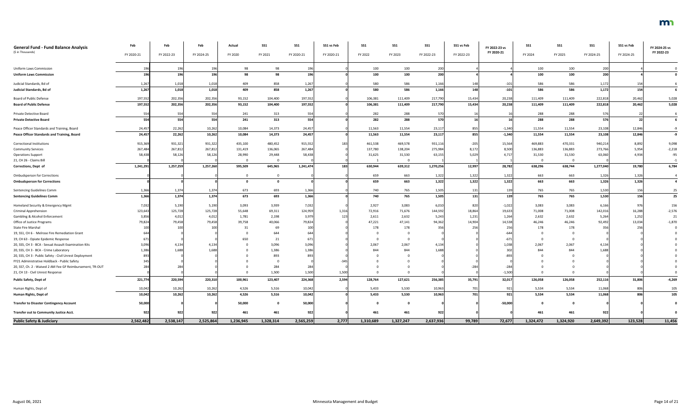| <b>General Fund - Fund Balance Analysis</b>               | Feb        | Feb        | Feb        | Actual    | <b>SS1</b> | <b>SS1</b> | SS1 vs Feb       | SS1       | <b>SS1</b>     | <b>SS1</b> | SS1 vs Feb | FY 2022-23 vs | <b>SS1</b> | <b>SS1</b> | SS1             | SS1 vs Feb | FY 2024-25 vs |
|-----------------------------------------------------------|------------|------------|------------|-----------|------------|------------|------------------|-----------|----------------|------------|------------|---------------|------------|------------|-----------------|------------|---------------|
| (\$ in Thousands)                                         | FY 2020-21 | FY 2022-23 | FY 2024-25 | FY 2020   | FY 2021    | FY 2020-21 | FY 2020-21       | FY 2022   | FY 2023        | FY 2022-23 | FY 2022-23 | FY 2020-21    | FY 2024    | FY 2025    | FY 2024-25      | FY 2024-25 | FY 2022-23    |
|                                                           |            |            |            |           |            |            |                  |           |                |            |            |               |            |            |                 |            |               |
| <b>Uniform Laws Commission</b>                            |            | 196        | 196        | 98        | 98         | 196        |                  | 100       | 100            | 200        |            |               | 100        | 100        | 200             |            |               |
| <b>Uniform Laws Commission</b>                            | 196        | 196        | 196        | 98        | 98         | 196        |                  | 100       | 100            | 200        |            |               | 100        | 100        | 200             |            |               |
| Judicial Standards, Bd of                                 | 1,26       | 1,018      | 1,018      | 409       | 858        | 1,267      |                  | 580       | 586            | 1,166      | 148        | $-10$         | 586        | 586        | 1,172           | 154        |               |
| Judicial Standards, Bd of                                 | 1,267      | 1,018      | 1,018      | 409       | 858        | 1,267      |                  | 580       | 586            | 1,166      | 148        | $-101$        | 586        | 586        | 1,172           | 154        |               |
| Board of Public Defense                                   | 197,552    | 202,356    | 202,356    | 93,152    | 104,400    | 197,552    |                  | 106,381   | 111,409        | 217,790    | 15,434     | 20,238        | 111,409    | 111,409    | 222,818         | 20,462     | 5,028         |
| <b>Board of Public Defense</b>                            | 197,552    | 202,356    | 202,356    | 93,152    | 104,400    | 197,552    |                  | 106,381   | 111,409        | 217,790    | 15,434     | 20,238        | 111,409    | 111,409    | 222,818         | 20,462     | 5,028         |
| Private Detective Board                                   |            | 554        | 554        | 241       | 313        | 554        |                  | 282       | 288            | 570        |            |               | 288        | 288        | 576             |            |               |
| <b>Private Detective Board</b>                            | 554        | 554        | 554        | 241       | 313        | 554        |                  | 282       | 288            | 570        | 16         |               | 288        | 288        | 576             | 22         |               |
|                                                           |            |            |            |           |            |            |                  |           |                |            |            |               |            |            |                 |            |               |
| Peace Officer Standards and Training, Board               | 24,457     | 22,262     | 10,262     | 10,084    | 14,373     | 24,457     |                  | 11,563    | 11,554         | 23,117     | 855        | $-1,340$      | 11,554     | 11,554     | 23,108          | 12,846     |               |
| Peace Officer Standards and Training, Board               | 24,457     | 22,262     | 10,262     | 10,084    | 14,373     | 24,457     |                  | 11,563    | 11,554         | 23,117     | 855        | $-1,340$      | 11,554     | 11,554     | 23,108          | 12,846     | $-9$          |
| Correctional Institutions                                 | 915,369    | 931,321    | 931,322    | 435,100   | 480,452    | 915,552    | 183              | 461,538   | 469,578        | 931,116    | $-205$     | 15,564        | 469,883    | 470,331    | 940,214         | 8,892      | 9,098         |
| <b>Community Services</b>                                 | 267,484    | 267,812    | 267,812    | 131,419   | 136,065    | 267,484    |                  | 137,780   | 138,204        | 275,984    | 8,172      | 8,500         | 136,883    | 136,883    | 273,766         | 5,954      | $-2,218$      |
| <b>Operations Support</b>                                 | 58,438     | 58,126     | 58,126     | 28,990    | 29,448     | 58,438     |                  | 31,625    | 31,530         | 63,155     | 5,029      | 4,717         | 31,530     | 31,530     | 63,060          | 4,934      | $-95$         |
| 21, CH 26 - Claims Bill                                   |            |            |            |           |            |            |                  |           | $\overline{0}$ |            |            |               |            |            |                 |            |               |
| Corrections, Dept of                                      | 1,241,291  | 1,257,259  | 1,257,260  | 595,509   | 645,965    | 1,241,474  | 183 <sup>1</sup> | 630,944   | 639,312        | 1,270,256  | 12,997     | 28,782        | 638,296    | 638,744    | 1,277,040       | 19,780     | 6,784         |
| <b>Ombudsperson for Corrections</b>                       |            |            |            |           |            |            |                  | 659       | 663            | 1,322      | 1,322      | 1,322         | 663        | 663        | 1,326           | 1,326      |               |
| <b>Ombudsperson for Corrections</b>                       |            |            |            | - റ       |            |            |                  | 659       | 663            | 1,322      | 1,322      | 1,322         | 663        | 663        | 1,326           | 1,326      |               |
| Sentencing Guidelines Comm                                | 1,366      | 1,374      | 1,374      | 673       | 693        | 1,366      |                  | 740       | 765            | 1,505      | 131        | 139           | 765        | 765        | 1,530           | 156        | 25            |
| <b>Sentencing Guidelines Comm</b>                         | 1,366      | 1,374      | 1,374      | 673       | 693        | 1,366      |                  | 740       | 765            | 1,505      | <b>131</b> | 139           | 765        | 765        | 1,530           | 156        | 25            |
| Homeland Security & Emergency Mgmt                        | 7,032      | 5,190      | 5,190      | 3,093     | 3,939      | 7,032      |                  | 2,927     | 3,083          | 6,010      | 820        | $-1,022$      | 3,083      | 3,083      | 6,166           | 976        | 156           |
| <b>Criminal Apprehension</b>                              | 123,643    | 125,728    | 125,728    | 55,648    | 69,311     | 124,959    | 1,316            | 72,916    | 71,676         | 144,592    | 18,864     | 19,633        | 71,008     | 71,008     | 142,016         | 16,288     | $-2,576$      |
| <b>Gambling &amp; Alcohol Enforcement</b>                 | 3,856      | 4,012      | 4,012      | 1,781     | 2,198      | 3,979      | 123              | 2,611     | 2,632          | 5,243      | 1,231      | 1,264         | 2,632      | 2,632      | 5,264           | 1,252      | 21            |
| Office of Justice Programs                                | 79,824     | 79,458     | 79,458     | 39,758    | 40,066     | 79,824     |                  | 47,221    | 47,141         | 94,362     | 14,904     | 14,538        | 46,246     | 46,246     | 92,492          | 13,034     | $-1,870$      |
| <b>State Fire Marshal</b>                                 |            | 100        | 100        | 31        | 69         |            |                  | 178       | 178            | 356        | 256        | 256           | 178        | 178        | 35 <sub>0</sub> | 256        |               |
| 19, SS1, CH 6 - Melrose Fire Remediation Grant            |            |            |            |           | 644        |            |                  |           |                |            |            |               |            |            |                 |            |               |
| 19, CH 63 - Opiate Epidemic Response                      |            |            |            |           | 21         |            |                  |           | 0              |            |            |               |            |            |                 |            |               |
| 20, SS5, CH 3 - BCA - Sexual Assault Examination Kits     | 3,096      | 4,134      | 4,134      |           | 3,096      | 3,096      |                  | 2,067     | 2,067          | 4,134      |            | 1,038         | 2,067      | 2,067      | 4,134           |            |               |
| 20, SS5, CH 3 - BCA - Crime Laboratory                    | 1,386      | 1,688      | 1.688      |           | 1,386      | 1,386      |                  | 844       | 844            | 1,688      |            |               | 844        | 844        | 1,688           |            |               |
| 20, SS5, CH 3 - Public Safety - Civil Unrest Deployment   |            |            |            |           | 893        |            |                  |           |                |            |            |               |            |            |                 |            |               |
| FY21 Administrative Holdback - Public Safety              |            |            |            |           |            |            |                  |           |                |            |            |               |            |            |                 |            |               |
| 20, SS7, Ch. 2 - Waived 2 AM Fee GF Reimbursement, TR-OUT |            |            |            |           | 284        |            |                  |           |                |            | $-284$     |               |            |            |                 |            |               |
| 21, CH 13 - Civil Unrest Response                         |            |            |            |           | 1,500      | 1,500      | 1,500            |           |                |            |            | $-1,500$      |            |            |                 |            |               |
| <b>Public Safety, Dept of</b>                             | 221,774    | 220,594    | 220,310    | 100,961   | 123,407    | 224,368    | 2,594            | 128,764   | 127,621        | 256,385    | 35,791     | 32,017        | 126,058    | 126,058    | 252,116         | 31,806     | $-4,269$      |
| Human Rights, Dept of                                     | 10,042     | 10,262     | 10,262     | 4,526     | 5,516      | 10,042     |                  | 5,433     | 5,530          | 10,963     | 701        | 921           | 5,534      | 5,534      | 11,068          | 806        | 105           |
| Human Rights, Dept of                                     | 10,042     | 10,262     | 10,262     | 4,526     | 5,516      | 10,042     |                  | 5,433     | 5,530          | 10,963     | 701        | 921           | 5,534      | 5,534      | 11,068          | 806        | 105           |
|                                                           |            |            |            |           |            |            |                  |           |                |            |            |               |            |            |                 |            |               |
| <b>Transfer to Disaster Contingency Account</b>           | 50,000     |            |            | 50,000    |            | 50,000     |                  |           | 0              |            |            | $-50,000$     |            |            |                 |            |               |
| Transfer out to Community Justice Acct.                   | 922        | 922        | 922        | 461       | 461        | 922        |                  | 461       | 461            | 922        |            |               | 461        | 461        | 92              |            |               |
| <b>Public Safety &amp; Judiciary</b>                      | 2,562,482  | 2,538,147  | 2,525,864  | 1,236,945 | 1,328,314  | 2,565,259  | 2,777            | 1,310,689 | 1,327,247      | 2,637,936  | 99,789     | 72,677        | 1,324,472  | 1,324,920  | 2,649,392       | 123,528    | 11,456        |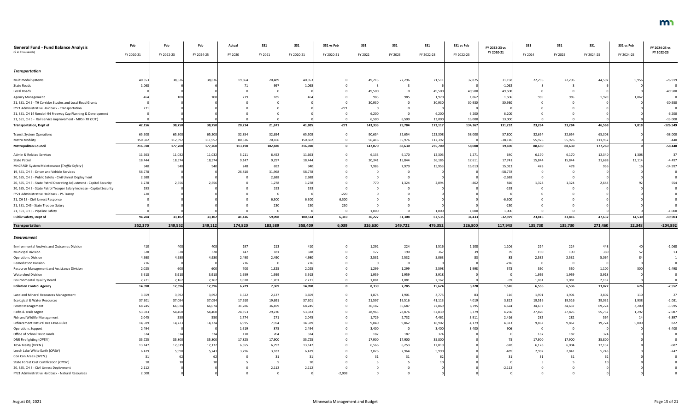| <b>General Fund - Fund Balance Analysis</b>                             | Feb        | Feb        | Feb        | Actual  | <b>SS1</b>   | <b>SS1</b> | SS1 vs Feb | SS1     | <b>SS1</b>              | <b>SS1</b> | SS1 vs Feb | FY 2022-23 vs | <b>SS1</b> | SS1     | SS <sub>1</sub> | SS1 vs Feb | FY 2024-25 vs |
|-------------------------------------------------------------------------|------------|------------|------------|---------|--------------|------------|------------|---------|-------------------------|------------|------------|---------------|------------|---------|-----------------|------------|---------------|
| (\$ in Thousands)                                                       | FY 2020-21 | FY 2022-23 | FY 2024-25 | FY 2020 | FY 2021      | FY 2020-21 | FY 2020-21 | FY 2022 | FY 2023                 | FY 2022-23 | FY 2022-23 | FY 2020-21    | FY 2024    | FY 2025 | FY 2024-25      | FY 2024-25 | FY 2022-23    |
| <b>Transportation</b>                                                   |            |            |            |         |              |            |            |         |                         |            |            |               |            |         |                 |            |               |
| Multimodal Systems                                                      | 40,353     | 38,636     | 38,636     | 19,864  | 20,489       | 40,353     |            | 49,215  | 22,296                  | 71,511     | 32,875     | 31,158        | 22,296     | 22,296  | 44,592          | 5,956      | $-26,919$     |
| <b>State Roads</b>                                                      | 1,06       |            |            | 71      | 997          | 1,068      |            |         |                         |            |            | $-1,062$      |            |         |                 |            |               |
| Local Roads                                                             |            |            |            |         |              |            |            | 49,500  |                         | 49,500     | 49,500     | 49,500        |            |         |                 |            | $-49,500$     |
| <b>Agency Management</b>                                                |            |            |            | 279     | 185          |            |            | 985     | 985                     | 1,970      | 1,862      | 1,506         | 985        | 985     | 1,970           | 1,862      |               |
| 21, SS1, CH 5 - TH Corridor Studies and Local Road Grants               |            |            |            |         |              |            |            | 30,930  |                         | 30,930     | 30,930     | 30,930        |            |         |                 |            | $-30,930$     |
| FY21 Administrative Holdback - Transportation                           |            |            |            |         |              |            |            |         |                         |            |            |               |            |         |                 |            |               |
| 21, SS1, CH 14 Rondo I-94 Freeway Cap Planning & Development            |            |            |            |         |              |            |            | 6,200   |                         | 6,200      | 6,200      | 6,200         |            |         |                 |            | $-6,200$      |
| 21, SS1, CH 5 - Rail service improvement - MRSI (TR OUT)                |            |            |            |         |              |            |            | 6,500   | 6,500                   | 13,000     | 13,000     | 13,000        |            |         |                 |            | $-13,000$     |
| <b>Transportation, Dept of</b>                                          | 42,156     | 38,750     | 38,750     | 20,214  | 21,671       | 41,885     | $-271$     | 143,333 | 29,784                  | 173,117    | 134,367    | 131,232       | 23,284     | 23,284  | 46,568          | 7,818      | $-126,549$    |
| <b>Transit System Operations</b>                                        | 65,508     | 65,308     | 65,308     | 32,854  | 32,654       | 65,508     |            | 90,654  | 32,654                  | 123,308    | 58,000     | 57,800        | 32,654     | 32,654  | 65,308          |            | $-58,000$     |
| <b>Metro Mobility</b>                                                   | 150,502    | 112,392    | 111,952    | 80,336  | 70,166       | 150,502    |            | 56,416  | 55,976                  | 112,392    |            | $-38,110$     | 55,976     | 55,976  | 111,952         |            | $-440$        |
| <b>Metropolitan Council</b>                                             | 216,010    | 177,700    | 177,260    | 113,190 | 102,820      | 216,010    |            | 147,070 | 88,630                  | 235,700    | 58,000     | 19,690        | 88,630     | 88,630  | 177,260         |            | $-58,440$     |
| Admin & Related Services                                                | 11,663     | 11,032     | 11,032     | 5,211   | 6,452        | 11,663     |            | 6,133   | 6,170                   | 12,303     | 1,271      | 640           | 6,170      | 6,170   | 12,340          | 1,308      | 37            |
| <b>State Patrol</b>                                                     | 18,444     | 18,574     | 18,574     | 9,147   | 9,297        | 18,444     |            | 20,341  | 15,844                  | 36,185     | 17,611     | 17,741        | 15,844     | 15,844  | 31,688          | 13,114     | $-4,497$      |
| MnCRASH System Maintenance (Traffic Safety)                             |            |            |            | 248     | 692          | 94         |            | 7,983   | 7,970                   | 15,953     | 15,013     | 15,013        | 478        | 478     | 956             |            | $-14,997$     |
| 19, SS1, CH 3 - Driver and Vehicle Services                             | 58,778     |            |            | 26,810  | 31,968       | 58,778     |            |         |                         |            |            | $-58,778$     |            |         |                 |            |               |
| 20, SS5, CH 3 - Public Safety - Civil Unrest Deployment                 | 2,688      |            |            |         | 2,688        | 2,688      |            |         |                         |            |            | $-2,688$      |            |         |                 |            |               |
| 20, SS5, CH 3 - State Patrol Operating Adjustment - Capitol Security    | 1,278      | 2,556      | 2,556      |         | 1,278        | 1,278      |            | 770     | 1,324                   | 2,094      |            | 816           | 1,324      | 1,324   | 2,648           |            |               |
| 20, SS5, CH 3 - State Patrol Trooper Salary Increase - Capitol Security | 193        |            |            |         | 193          |            |            |         |                         |            |            | $-19$         |            |         |                 |            |               |
| FY21 Administrative Holdback - PS Transp                                |            |            |            |         |              |            |            |         |                         |            |            |               |            |         |                 |            |               |
| 21, CH 13 - Civil Unrest Response                                       |            |            |            |         | 6,300        | 6,300      | 6.300      |         |                         |            |            | $-6,300$      |            |         |                 |            |               |
| 21, SS1, CH5 - State Trooper Salary                                     |            |            |            |         | 230          | 230        | 230        |         |                         |            |            | $-230$        |            |         |                 |            |               |
| 21, SS1, CH 5 - Pipeline Safety                                         |            |            |            |         | - 0          |            |            | 1,000   |                         | 1,000      | 1,000      | 1,000         |            |         |                 |            | $-1,000$      |
| Public Safety, Dept of                                                  | 94,204     | 33,102     | 33,102     | 41,416  | 59,098       | 100,514    | 6,310      | 36,227  | 31,308                  | 67,535     | 34,433     | $-32,979$     | 23,816     | 23,816  | 47,632          | 14,530     | $-19,903$     |
| <b>Transportation</b>                                                   | 352,370    | 249,552    | 249,112    | 174,820 | 183,589      | 358,409    | 6,039      | 326,630 | 149,722                 | 476,352    | 226,800    | 117,943       | 135,730    | 135,730 | 271,460         | 22,348     | $-204,892$    |
| <b>Environment</b>                                                      |            |            |            |         |              |            |            |         |                         |            |            |               |            |         |                 |            |               |
| Environmental Analysis and Outcomes Division                            |            | 408        | 408        | 197     | 213          |            |            | 1,292   | 224                     | 1,516      | 1,108      | 1,106         | 224        | 224     | 448             |            | $-1,068$      |
| <b>Municipal Division</b>                                               | 328        | 328        | 328        | 147     | 181          | 328        |            | 177     | 190                     | 367        |            |               | 190        | 190     | 380             |            |               |
| <b>Operations Division</b>                                              | 4,98       | 4,980      | 4,980      | 2,490   | 2,490        | 4.980      |            | 2,531   | 2,532                   | 5,063      |            |               | 2,532      | 2,532   | 5,064           |            |               |
| <b>Remediation Division</b>                                             |            |            |            | 216     | - 0          | 216        |            |         | $\overline{\mathbf{0}}$ |            |            | $-210$        |            |         |                 |            |               |
| Resource Management and Assistance Division                             | 2,025      | 600        | 600        | 700     | 1,325        | 2,025      |            | 1,299   | 1,299                   | 2,598      | 1,998      | 573           | 550        | 550     | 1,100           | 500        | $-1,498$      |
| <b>Watershed Division</b>                                               | 3,91       | 3,918      | 3,918      | 1,959   | 1,959        | 3,918      |            | 1,959   | 1,959                   | 3,918      |            |               | 1,959      | 1,959   | 3,918           |            |               |
| <b>Environmental Quality Board</b>                                      | 2,22       | 2,162      | 2,162      | 1,020   | 1,201        | 2,221      |            | 1,081   | 1,081                   | 2,162      |            |               | 1,081      | 1,081   | 2,162           |            |               |
| <b>Pollution Control Agency</b>                                         | 14,098     | 12,396     | 12,396     | 6,729   | 7,369        | 14,098     |            | 8,339   | 7,285                   | 15,624     | 3,228      | 1,526         | 6,536      | 6,536   | 13,072          | 676        | $-2,552$      |
| Land and Mineral Resources Management                                   | 3,659      | 3,692      | 3,692      | 1,522   | 2,137        | 3,659      |            | 1,874   | 1,901                   | 3,775      | 83         | 116           | 1,901      | 1,901   | 3,802           | 110        | 27            |
| Ecological & Water Resources                                            | 37,301     | 37,094     | 37,094     | 17,610  | 19,691       | 37,301     |            | 21,597  | 19,516                  | 41,113     | 4,019      | 3,81          | 19,516     | 19,516  | 39,032          | 1,938      | $-2,081$      |
| Forest Management                                                       | 68,245     | 66,074     | 66,074     | 31,786  | 36,459       | 68,245     |            | 36,182  | 36,687                  | 72,869     | 6,795      | 4,624         | 34,637     | 34,637  | 69,274          | 3,200      | $-3,595$      |
| Parks & Trails Mgmt                                                     | 53,583     | 54,460     | 54,460     | 24,353  | 29,230       | 53,583     |            | 28,963  | 28,876                  | 57,839     | 3,379      | 4,256         | 27,876     | 27,876  | 55,752          | 1,292      | $-2,087$      |
| Fish and Wildlife Management                                            | 2,045      | 550        | 550        | 1,774   | 271          | 2,045      |            | 1,729   | 2,732                   | 4,461      | 3,911      | 2,41          | 282        | 282     | 564             | 14         | $-3,897$      |
| Enforcement Natural Res Laws-Rules                                      | 14,58      | 14,723     | 14,724     | 6,995   | 7,594        | 14,589     |            | 9,040   | 9,862                   | 18,902     | 4,179      | 4,31          | 9,862      | 9,862   | 19,724          | 5,000      | 822           |
| <b>Operations Support</b>                                               | 2,494      |            |            | 1,619   | 875          | 2,494      |            | 3,400   | 0                       | 3,400      | 3,400      | 90            |            |         |                 |            | $-3,400$      |
| Office of School Trust Lands                                            |            | 374        | 374        | 170     | 204          | 374        |            | 187     | 187                     | 374        |            |               | 187        | 187     | 374             |            |               |
| DNR Firefighting (OPEN)                                                 | 35,72      | 35,800     | 35,800     | 17,825  | 17,900       | 35,725     |            | 17,900  | 17,900                  | 35,800     |            |               | 17,900     | 17,900  | 35,800          |            |               |
| 1854 Treaty (OPEN)                                                      | 13,147     | 12,819     | 12,132     | 6,355   | 6,792        | 13,147     |            | 6,566   | 6,253                   | 12,819     |            | $-328$        | 6,128      | 6,004   | 12,132          |            | $-687$        |
| Leech Lake White Earth (OPEN)                                           | 6,47       | 5,990      | 5,743      | 3,296   | 3,183        | 6,479      |            | 3,026   | 2,964                   | 5,990      |            | $-48$         | 2,902      | 2,841   | 5,743           |            | $-247$        |
| Con Con Areas (OPEN)                                                    |            |            |            |         | 31           |            |            |         | 31                      | 62         |            |               |            |         |                 |            |               |
| State Forest Cost Certification (OPEN)                                  |            |            |            |         |              |            |            |         |                         |            |            |               |            |         |                 |            |               |
| 20, SS5, CH 3 - Civil Unrest Deployment                                 | 2,11       |            |            |         | 2,112<br>- 0 | 2,11       |            |         |                         |            |            | $-2,11$       |            |         |                 |            |               |
| FY21 Administrative Holdback - Natural Resources                        | 2,008      |            |            |         |              |            | $-2,008$   |         |                         |            |            |               |            |         |                 |            |               |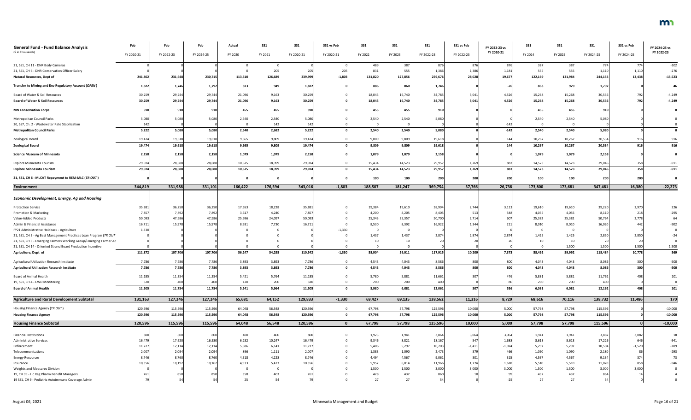| <b>General Fund - Fund Balance Analysis</b>                                                                                      | Feb        | Feb        | Feb        | Actual  | <b>SS1</b> | SS1        | SS1 vs Feb | SS1        | SS1                     | <b>SS1</b>   | SS1 vs Feb   | FY 2022-23 vs | <b>SS1</b> | <b>SS1</b>  | SS1          | SS1 vs Feb      | FY 2024-25 vs    |
|----------------------------------------------------------------------------------------------------------------------------------|------------|------------|------------|---------|------------|------------|------------|------------|-------------------------|--------------|--------------|---------------|------------|-------------|--------------|-----------------|------------------|
| (\$ in Thousands)                                                                                                                | FY 2020-21 | FY 2022-23 | FY 2024-25 | FY 2020 | FY 2021    | FY 2020-21 | FY 2020-21 | FY 2022    | FY 2023                 | FY 2022-23   | FY 2022-23   | FY 2020-21    | FY 2024    | FY 2025     | FY 2024-25   | FY 2024-25      | FY 2022-23       |
| 21, SS1, CH 11 - DNR Body Cameras<br>21, SS1, CH 6 - DNR Conservation Officer Salary                                             |            |            |            |         | 205        |            | 205        | 489<br>831 | 387<br>555              | 876<br>1,386 | 876<br>1,386 | 876<br>1,18   | 387<br>555 | 387<br>555  | 774<br>1,110 | 774<br>1,110    | $-102$<br>$-276$ |
| <b>Natural Resources, Dept of</b>                                                                                                | 241,802    | 231,648    | 230,715    | 113,310 | 126,689    | 239,999    | $-1,803$   | 131,820    | 127,856                 | 259,676      | 28,028       | 19,677        | 122,169    | 121,984     | 244,153      | 13,438          | $-15,523$        |
| Transfer to Mining and Env Regulatory Account (OPEN)                                                                             | 1,822      | 1,746      | 1,792      | 873     | 949        | 1,822      |            | 886        | 860                     | 1,746        |              |               | 863        | 929         | 1,792        |                 | 46               |
| Board of Water & Soil Resources                                                                                                  | 30,259     | 29,744     | 29,744     | 21,096  | 9,163      | 30,259     |            | 18,045     | 16,740                  | 34,785       | 5,041        | 4,526         | 15,268     | 15,268      | 30,536       | 792             | $-4,249$         |
| <b>Board of Water &amp; Soil Resources</b>                                                                                       | 30,259     | 29,744     | 29,744     | 21,096  | 9,163      | 30,259     |            | 18,045     | 16,740                  | 34,785       | 5,041        | 4,526         | 15,268     | 15,268      | 30,536       | 792             | $-4,249$         |
| <b>MN Conservation Corps</b>                                                                                                     | 910        | 910        | 910        | 455     | 455        | 910        |            | 455        | 455                     | 910          |              |               | 455        | 455         | 910          |                 |                  |
| Metropolitan Council Parks                                                                                                       | 5,080      | 5,080      | 5,080      | 2,540   | 2,540      | 5,080      |            | 2,540      | 2,540                   | 5,080        |              |               | 2,540      | 2,540       | 5,080        |                 |                  |
| 20, SS7, Ch. 2 - Wastewater Rate Stabilization                                                                                   |            |            |            | $\cap$  | 142        | 142        |            | $\Omega$   | $\overline{0}$          |              |              | $-142$        |            |             |              |                 |                  |
| <b>Metropolitan Council Parks</b>                                                                                                | 5,222      | 5,080      | 5,080      | 2,540   | 2,682      | 5,222      |            | 2,540      | 2,540                   | 5,080        |              | $-142$        | 2,540      | 2,540       | 5,080        |                 |                  |
| Zoological Board                                                                                                                 | 19,474     | 19,618     | 19,618     | 9,665   | 9,809      | 19,474     |            | 9,809      | 9,809                   | 19,618       |              | 144           | 10,267     | 10,267      | 20,534       | 916             | 916              |
| <b>Zoological Board</b>                                                                                                          | 19,474     | 19,618     | 19,618     | 9,665   | 9,809      | 19,474     |            | 9,809      | 9,809                   | 19,618       |              | 144           | 10,267     | 10,267      | 20,534       | 916             | 916              |
| <b>Science Museum of Minnesota</b>                                                                                               | 2,158      | 2,158      | 2,158      | 1,079   | 1,079      | 2,158      |            | 1,079      | 1,079                   | 2,158        |              |               | 1,079      | 1,079       | 2,158        |                 |                  |
| Explore Minnesota Tourism                                                                                                        | 29,074     | 28,688     | 28,688     | 10,675  | 18,399     | 29,074     |            | 15,434     | 14,523                  | 29,957       | 1,269        | 883           | 14,523     | 14,523      | 29,046       | 358             | $-911$           |
| <b>Explore Minnesota Tourism</b>                                                                                                 | 29,074     | 28,688     | 28,688     | 10,675  | 18,399     | 29,074     |            | 15,434     | 14,523                  | 29,957       | 1,269        | 883           | 14,523     | 14,523      | 29,046       | 358             | $-911$           |
| 21, SS1, CH 6 - MLCAT Repayment to REM-MLC (TR OUT)                                                                              |            |            |            |         |            |            |            | 100        | 100                     | 200          | 200          | 200           | 100        | 100         | 200          | 200             |                  |
| <b>Environment</b>                                                                                                               | 344,819    | 331,988    | 331,101    | 166,422 | 176,594    | 343,016    | $-1,803$   | 188,507    | 181,247                 | 369,754      | 37,766       | 26,738        | 173,800    | 173,681     | 347,481      | 16,380          | $-22,273$        |
| <b>Economic Development, Energy, Ag and Housing</b>                                                                              |            |            |            |         |            |            |            |            |                         |              |              |               |            |             |              |                 |                  |
| <b>Protection Service</b>                                                                                                        | 35,881     | 36,250     | 36,250     | 17,653  | 18,228     | 35,881     |            | 19,384     | 19,610                  | 38,994       | 2,744        | 3,113         | 19,610     | 19,610      | 39,220       | 2,970           | 226              |
| Promotion & Marketing                                                                                                            | 7,857      | 7,892      | 7,892      | 3,617   | 4,240      | 7,857      |            | 4,200      | 4,205                   | 8,405        | 513          | 548           | 4,055      | 4,055       | 8,110        | 218             | $-295$           |
| Value-Added Products                                                                                                             | 50,093     | 47,986     | 47,986     | 25,996  | 24,097     | 50,093     |            | 25,343     | 25,357                  | 50,700       | 2,714        | 607           | 25,382     | 25,382      | 50,764       | 2,778           | 64               |
| Admin & Financial Assistance                                                                                                     | 16,711     | 15,578     | 15,578     | 8,981   | 7,730      | 16,711     |            | 8,530      | 8,392                   | 16,922       | 1,344        | 21.           | 8,010      | 8,010       | 16,02        |                 |                  |
| FY21 Administrative Holdback - Agriculture                                                                                       | 1,330      |            |            |         |            |            | $-1,330$   | - 0        | $\overline{\mathbf{0}}$ |              |              |               |            |             |              |                 |                  |
| 21, SS1, CH 3 - Ag Best Management Practices Loan Program (TR OUT                                                                |            |            |            |         |            |            |            | 1,437      | 1,437                   | 2,874        | 2,874        | 2,874         | 1,425      | 1,425       | 2,850        | 2,850           |                  |
| 21, SS1, CH 3 - Emerging Farmers Working Group/Emerging Farmer Ac<br>21, SS1, CH 14 - Oriented Strand Board Production Incentive |            |            |            |         |            |            |            | 10         | $10\,$<br>0             |              |              |               | 10         | 10<br>1,500 | 1,500        |                 | 1,500            |
| Agriculture, Dept of                                                                                                             | 111,872    | 107,706    | 107,706    | 56,247  | 54,295     | 110,542    | $-1,330$   | 58,904     | 59,011                  | 117,915      | 10,209       | 7,373         | 58,492     | 59,992      | 118,484      | 1,500<br>10,778 | 569              |
|                                                                                                                                  |            |            |            |         |            |            |            |            |                         |              |              |               |            |             |              |                 |                  |
| Agricultural Utilization Research Institute                                                                                      | 7,786      | 7,786      | 7,786      | 3,893   | 3,893      | 7,786      |            | 4,543      | 4,043                   | 8,586        | 800          | 800           | 4,043      | 4,043       | 8,086        | 300             | $-500$           |
| <b>Agricultural Utilization Research Institute</b>                                                                               | 7,786      | 7,786      | 7,786      | 3,893   | 3,893      | 7,786      |            | 4,543      | 4,043                   | 8,586        | 800          | 800l          | 4,043      | 4,043       | 8,086        | 300             | $-500$           |
| Board of Animal Health                                                                                                           | 11,185     | 11,354     | 11,354     | 5,421   | 5,764      | 11,185     |            | 5,780      | 5,881                   | 11,661       | 307          | 476           | 5,881      | 5,881       | 11,762       |                 | 101              |
| 19, SS1, CH 4 - CWD Monitoring                                                                                                   | 320        | 400        | 400        | 120     | 200        | 320        |            | 200        | 200                     | 400          |              |               | 200        | 200         | 40           |                 |                  |
| <b>Board of Animal Health</b>                                                                                                    | 11,505     | 11,754     | 11,754     | 5,541   | 5,964      | 11,505     |            | 5,980      | 6,081                   | 12,061       | 307          | 556           | 6,081      | 6,081       | 12,162       | 408             | 101              |
| <b>Agriculture and Rural Development Subtotal</b>                                                                                | 131,163    | 127,246    | 127,246    | 65,681  | 64,152     | 129,833    | $-1,330$   | 69,427     | 69,135                  | 138,562      | 11,316       | 8,729         | 68,616     | 70,116      | 138,732      | 11,486          | 170              |
| Housing Finance Agency (TR OUT)                                                                                                  | 120,596    | 115,596    | 115,596    | 64,048  | 56,548     | 120,596    |            | 67,798     | 57,798                  | 125,596      | 10,000       | 5,000         | 57,798     | 57,798      | 115,596      |                 | $-10,000$        |
| <b>Housing Finance Agency</b>                                                                                                    | 120,596    | 115,596    | 115,596    | 64,048  | 56,548     | 120,596    |            | 67,798     | 57,798                  | 125,596      | 10,000       | 5,000         | 57,798     | 57,798      | 115,596      |                 | $-10,000$        |
| <b>Housing Finance Subtotal</b>                                                                                                  | 120,596    | 115,596    | 115,596    | 64,048  | 56,548     | 120,596    |            | 67,798     | 57,798                  | 125,596      | 10,000       | 5,000         | 57,798     | 57,798      | 115,596      |                 | $-10,000$        |
| <b>Financial Institutions</b>                                                                                                    | 800        | 800        | 800        | 400     | 400        | 800        |            | 1,923      | 1,941                   | 3,864        | 3,064        | 3,064         | 1,941      | 1,941       | 3,882        | 3,082           | 18               |
| <b>Administrative Services</b>                                                                                                   | 16,479     | 17,620     | 16,580     | 6,232   | 10,247     | 16,479     |            | 9,346      | 8,821                   | 18,167       | 547          | 1,688         | 8,613      | 8,613       | 17,226       | 646             | $-941$           |
| Enforcement                                                                                                                      | 11,727     | 12,114     | 12,114     | 5,586   | 6,141      | 11,727     |            | 5,406      | 5,297                   | 10,703       | $-1,411$     | $-1,024$      | 5,297      | 5,297       | 10,594       | $-1,520$        | $-109$           |
| Telecommunications                                                                                                               | 2,007      | 2,094      | 2,094      | 896     | 1,111      | 2,007      |            | 1,383      | 1,090                   | 2,473        | 379          | 466           | 1,090      | 1,090       | 2,180        |                 | $-293$           |
| <b>Energy Resources</b>                                                                                                          | 8,746      | 8,760      | 8,760      | 4,518   | 4,228      | 8,746      |            | 4,494      | 4,567                   | 9,061        | 301          | 315           | 4,567      | 4,567       | 9,134        |                 | 73               |
| Insurance                                                                                                                        | 10,356     | 10,192     | 10,162     | 4,933   | 5,423      | 10,356     |            | 5,952      | 6,014                   | 11,966       | 1,774        | 1,610         | 5,510      | 5,510       | 11,020       | 858             | -946             |
| <b>Weights and Measures Division</b>                                                                                             |            |            |            |         |            |            |            | 1,500      | 1,500                   | 3,000        | 3,000        | 3,000         | 1,500      | 1,500       | 3,000        | 3.000           |                  |
| 19, CH 39 - Lic Reg Pharm Benefit Managers                                                                                       |            | 85         | 850        | 358     | 403        |            |            | 428        | 432                     | 860          |              |               | 432        | 432         |              |                 |                  |
| 19 SS1, CH 9 - Pediatric Autoimmune Coverage Admin                                                                               |            |            |            | 25      | 54         |            |            | 27         | 27                      | 54           |              |               | 27         | 27          |              |                 |                  |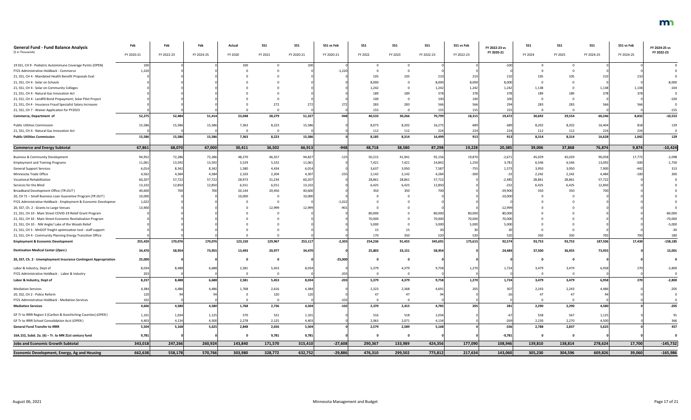| <b>General Fund - Fund Balance Analysis</b><br>(\$ in Thousands) | Feb<br>FY 2020-21 | Feb<br>FY 2022-23 | Feb<br>FY 2024-25 | Actual<br>FY 2020 | <b>SS1</b><br>FY 2021 | <b>SS1</b><br>FY 2020-21 | SS1 vs Feb<br>FY 2020-21 | SS1<br>FY 2022 | SS1<br>FY 2023 | SS1<br>FY 2022-23 | SS1 vs Feb<br>FY 2022-23 | FY 2022-23 vs<br>FY 2020-21 | <b>SS1</b><br>FY 2024 | <b>SS1</b><br>FY 2025 | <b>SS1</b><br>FY 2024-25 | SS1 vs Feb<br>FY 2024-25 | FY 2024-25 vs<br>FY 2022-23 |
|------------------------------------------------------------------|-------------------|-------------------|-------------------|-------------------|-----------------------|--------------------------|--------------------------|----------------|----------------|-------------------|--------------------------|-----------------------------|-----------------------|-----------------------|--------------------------|--------------------------|-----------------------------|
| 19 SS1, CH 9 - Pediatric Autoimmune Coverage Pymts (OPEN)        | 10 <sup>C</sup>   |                   |                   | 100               |                       |                          |                          |                |                |                   |                          | $-100$                      |                       |                       |                          |                          |                             |
| FY21 Administrative Holdback - Commerce                          | 1,220             |                   |                   |                   |                       |                          | $-1,220$                 |                |                |                   |                          |                             |                       |                       |                          |                          |                             |
| 21, SS1, CH 4 - Mandated Health Benefit Proposals Eval           |                   |                   |                   |                   |                       |                          |                          | 105            | 105            |                   |                          |                             | 105                   |                       |                          |                          |                             |
| 21, SS1, CH 4 - Solar on Schools                                 |                   |                   |                   |                   |                       |                          |                          | 8,000          |                | 8,000             | 8,000                    | 8,000                       |                       |                       |                          |                          | $-8,000$                    |
| 21, SS1, CH 4 - Solar on Community Colleges                      |                   |                   |                   |                   |                       |                          |                          | 1,242          |                | 1,242             | 1,242                    | 1,242                       | 1,138                 |                       | 1,138                    | 1,138                    | $-104$                      |
| 21, SS1, CH 4 - Natural Gas Innovation Act                       |                   |                   |                   |                   |                       |                          |                          | 189            | 189            | 378               | 378                      |                             | 189                   |                       |                          |                          |                             |
| 21, SS1, CH 4 - Landfill Bond Prepayment; Solar Pilot Project    |                   |                   |                   |                   |                       |                          |                          | 100            |                | 100               | 100                      |                             |                       |                       |                          |                          | -100                        |
| 21, SS1, CH 4 - Insurance Fraud Specialist Salary Increases      |                   |                   |                   |                   | 272                   |                          |                          | 283            | 283            | 566               | 566                      |                             | 283                   | 283                   | 56                       |                          |                             |
| 21, SS1, CH 7 - Waiver Application for PY2023                    |                   |                   |                   |                   |                       |                          |                          | 155            |                | 155               | 155                      |                             |                       |                       |                          |                          | $-155$                      |
| Commerce, Department of                                          | 52,275            | 52,484            | 51,414            | 23,048            | 28,279                | 51,327                   | $-948$                   | 40,533         | 30,266         | 70,799            | 18,315                   | 19,472                      | 30,692                | 29,554                | 60,246                   | 8,832                    | $-10,553$                   |
| <b>Public Utilities Commission</b>                               | 15,586            | 15,586            | 15,586            | 7,363             | 8,223                 | 15,586                   |                          | 8,073          | 8,202          | 16,275            | 689                      | 689                         | 8,202                 | 8,202                 | 16,404                   | 818                      | 129                         |
| 21, SS1, CH 4 - Natural Gas Innovation Act                       |                   |                   |                   |                   |                       |                          |                          | 112            | 112            | 224               | 224                      |                             | 112                   | 112                   | 224                      | 224                      |                             |
| <b>Public Utilities Commission</b>                               | 15,586            | 15,586            | 15,586            | 7,363             | 8,223                 | 15,586                   |                          | 8,185          | 8,314          | 16,499            | 913                      | 913                         | 8,314                 | 8,314                 | 16,628                   | 1,042                    | 129                         |
| <b>Commerce and Energy Subtotal</b>                              | 67,861            | 68,070            | 67,000            | 30,411            | 36,502                | 66,913                   | $-948$                   | 48,718         | 38,580         | 87,298            | 19,228                   | 20,385                      | 39,006                | 37,868                | 76,874                   | 9,874                    | $-10,424$                   |
| <b>Business &amp; Community Development</b>                      | 94,952            | 72,286            | 72,286            | 48,270            | 46,557                | 94,827                   | $-125$                   | 50,215         | 41,941         | 92,156            | 19,870                   | $-2,671$                    | 45,029                | 45,029                | 90,058                   | 17,772                   | $-2,098$                    |
| <b>Employment and Training Programs</b>                          | 11,061            | 13,592            | 13,592            | 5,529             | 5,532                 | 11,061                   |                          | 7,421          | 7,421          | 14,842            | 1,250                    | 3,781                       | 6,546                 | 6,546                 | 13,092                   | $-500$                   | $-1,750$                    |
| <b>General Support Services</b>                                  | 6,014             | 8,34              | 8,342             | 1,580             | 4,434                 | 6,014                    |                          | 3,637          | 3,950          | 7,587             | $-755$                   | 1,573                       | 3,950                 | 3,950                 | 7,900                    |                          | 313                         |
| Minnesota Trade Office                                           | 4,562             | 4,584             | 4,584             | 2,103             | 2,204                 | 4,307                    | $-25$                    | 2,142          | 2,142          | 4,284             | $-300$                   |                             | 2,242                 | 2,242                 | 4,484                    |                          | 200                         |
| <b>Vocational Rehabilitation</b>                                 | 60,207            | 57,722            | 57,722            | 28,973            | 31,234                | 60,207                   |                          | 28,861         | 28,861         | 57,722            |                          | $-2,485$                    | 28,861                | 28,861                | 57,722                   |                          |                             |
| Services for the Blind                                           | 13,102            | 12,850            | 12,850            | 6,551             | 6,551                 | 13,102                   |                          | 6,425          | 6,425          | 12,850            |                          | $-252$                      | 6,425                 | 6,425                 | 12,850                   |                          |                             |
| Broadband Development Office (TR-OUT)                            | 40,600            |                   | 700               | 20,144            | 20,456                | 40,600                   |                          | 350            | 350            | 700               |                          | $-39,900$                   | 350                   | 350                   |                          |                          |                             |
| 20, CH 71 - Small Business Loan Guarantee Program (TR OUT)       | 10,000            |                   |                   | 10,000            |                       | 10,000                   |                          |                |                |                   |                          | $-10,000$                   |                       |                       |                          |                          |                             |
| FY21 Administrative Holdback - Employment & Economic Developmer  | 1,022             |                   |                   |                   |                       |                          | $-1,022$                 |                |                |                   |                          |                             |                       |                       |                          |                          |                             |
| 20, SS7, Ch. 2 - Grants to Large Venues                          | 13,900            |                   |                   |                   | 12,999                | 12,999                   | $-901$                   |                |                |                   |                          | $-12,999$                   |                       |                       |                          |                          |                             |
| 21, SS1, CH 10 - Main Street COVID-19 Relief Grant Program       |                   |                   |                   |                   |                       |                          |                          | 80,000         |                | 80,000            | 80,000                   | 80,000                      |                       |                       |                          |                          | $-80,000$                   |
| 21, SS1, CH 10 - Main Street Economic Revitalization Program     |                   |                   |                   |                   |                       |                          |                          | 70,000         |                | 70,000            | 70,000                   | 70,000                      |                       |                       |                          |                          | $-70,000$                   |
| 21, SS1, CH 10 - NW Angle/ Lake of the Woods Relief              |                   |                   |                   |                   |                       |                          |                          | 5,000          |                | 5,000             | 5,000                    | 5,000                       |                       |                       |                          |                          | $-5,000$                    |
| 21, SS1, CH 5 - MnDOT freight optimization tool - staff support  |                   |                   |                   |                   |                       |                          |                          | 15             | 15             |                   |                          |                             |                       |                       |                          |                          | $-30$                       |
| 21, SS1, CH 4 - Community Planning Energy Transition Office      |                   |                   |                   |                   |                       |                          |                          | 170            | 350            | 520               | 520                      |                             | 350                   | 350                   | 700                      | 700                      | 180                         |
| <b>Employment &amp; Economic Development</b>                     | 255,420           | 170,076           | 170,076           | 123,150           | 129,967               | 253,117                  | $-2,303$                 | 254,236        | 91,455         | 345,691           | 175,615                  | 92,574                      | 93,753                | 93,753                | 187,506                  | 17,430                   | $-158,185$                  |
| <b>Destination Medical Center (Open)</b>                         | 34,470            | 58,954            | 73,955            | 13,493            | 20,977                | 34,470                   |                          | 25,803         | 33,151         | 58,954            |                          | 24,484                      | 37,500                | 36,455                | 73,955                   |                          | 15,001                      |
| 20, SS7, Ch. 2 - Unemployment Insurance Contingent Appropriation | 25,000            |                   |                   |                   |                       |                          | $-25,000$                |                |                |                   |                          |                             |                       |                       |                          |                          |                             |
| Labor & Industry, Dept of                                        | 8,034             | 8,488             | 6,688             | 2,581             | 5,453                 | 8,034                    |                          | 5,379          | 4,379          | 9,758             | 1,270                    | 1,724                       | 3,479                 | 3,479                 | 6,958                    |                          | $-2,800$                    |
| FY21 Administrative Holdback - Labor & Industry                  | 203               |                   |                   |                   |                       |                          | $-203$                   |                |                |                   |                          |                             |                       |                       |                          |                          |                             |
| Labor & Industry, Dept of                                        | 8,237             | 8,488             | 6,688             | 2,581             | 5,453                 | 8,034                    | $-203$                   | 5,379          | 4,379          | 9,758             | 1,270                    | 1,724                       | 3,479                 | 3,479                 | 6,958                    | 270                      | $-2,800$                    |
| <b>Mediation Services</b>                                        | 4,384             | 4,48              | 4,486             | 1,768             | 2,616                 | 4,384                    |                          | 2,323          | 2,368          | 4,691             |                          |                             | 2,243                 | 2,243                 | 4,486                    |                          | $-205$                      |
| 20, SS2, CH 2 - Police Reform                                    |                   |                   |                   |                   | 120                   |                          |                          |                | 47             |                   |                          |                             | 47                    |                       |                          |                          |                             |
| FY21 Administrative Holdback - Mediation Services                | 102               |                   |                   |                   |                       |                          | $-102$                   |                |                |                   |                          |                             |                       |                       |                          |                          |                             |
| <b>Mediation Services</b>                                        | 4,606             | 4,580             | 4,580             | 1,768             | 2,736                 | 4,504                    | $-102$                   | 2,370          | 2,415          | 4,785             | 205                      | 281                         | 2,290                 | 2,290                 | 4,580                    |                          | $-205$                      |
| GF Tr to IRRR Region 3 (Carlton & Koochiching Counties) (OPEN)   | 1,101             | 1,034             | 1,125             | 570               | 531                   | 1,101                    |                          | 516            | 518            | 1,034             |                          |                             | 558                   | 567                   | 1,125                    |                          | 91                          |
| GF Tr to IRRR School Consolidation Acct (OPEN)                   | 4,403             | 4,134             | 4,500             | 2,278             | 2,125                 | 4,403                    |                          | 2,063          | 2,071          | 4,134             |                          |                             | 2,230                 | 2,270                 | 4,500                    |                          | 366                         |
| <b>General Fund Transfer to IRRR</b>                             | 5,504             | 5,168             | 5,625             | 2,848             | 2,656                 | 5,504                    |                          | 2,579          | 2,589          | 5,168             |                          | $-336$                      | 2,788                 | 2,837                 | 5,625                    |                          | 457                         |
| 16A.152, Subd. 2a. (6) - Tr. to MN 21st century fund             | 9,781             |                   |                   |                   | 9,781                 | 9,781                    |                          |                |                |                   |                          | $-9,781$                    |                       |                       |                          |                          |                             |
| <b>Jobs and Economic Growth Subtotal</b>                         | 343,018           | 247,266           | 260,924           | 143,840           | 171,570               | 315,410                  | $-27,608$                | 290,367        | 133,989        | 424,356           | 177,090                  | 108,946                     | 139,810               | 138,814               | 278,624                  | 17,700                   | $-145,732$                  |
| <b>Economic Development, Energy, Ag and Housing</b>              | 662,638           | 558,178           | 570,766           | 303,980           | 328,772               | 632,752                  | $-29,886$                | 476,310        | 299,502        | 775,812           | 217,634                  | 143,060                     | 305,230               | 304,596               | 609,826                  | 39,060                   | $-165,986$                  |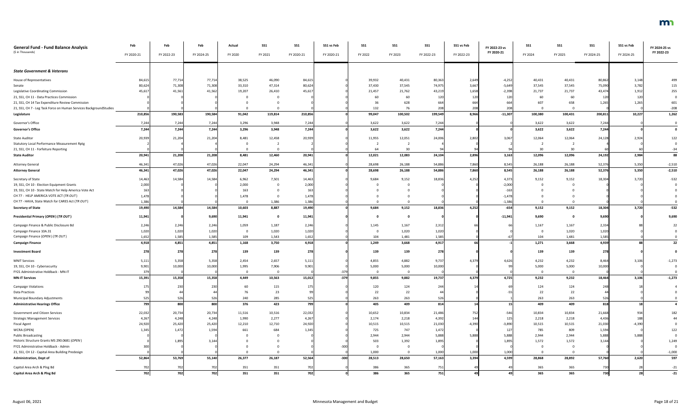| <b>General Fund - Fund Balance Analysis</b>                        | Feb        | Feb        | Feb        | Actual                  | <b>SS1</b>     | <b>SS1</b> | SS1 vs Feb | SS1     | SS <sub>1</sub> | <b>SS1</b>      | SS1 vs Feb | FY 2022-23 vs | <b>SS1</b> | <b>SS1</b> | SS <sub>1</sub> | SS1 vs Feb | FY 2024-25 vs |
|--------------------------------------------------------------------|------------|------------|------------|-------------------------|----------------|------------|------------|---------|-----------------|-----------------|------------|---------------|------------|------------|-----------------|------------|---------------|
| (\$ in Thousands)                                                  | FY 2020-21 | FY 2022-23 | FY 2024-25 | FY 2020                 | FY 2021        | FY 2020-21 | FY 2020-21 | FY 2022 | FY 2023         | FY 2022-23      | FY 2022-23 | FY 2020-21    | FY 2024    | FY 2025    | FY 2024-25      | FY 2024-25 | FY 2022-23    |
|                                                                    |            |            |            |                         |                |            |            |         |                 |                 |            |               |            |            |                 |            |               |
| <b>State Government &amp; Veterans</b>                             |            |            |            |                         |                |            |            |         |                 |                 |            |               |            |            |                 |            |               |
| House of Representatives                                           | 84,615     | 77,714     | 77,714     | 38,525                  | 46,090         | 84,615     |            | 39,932  | 40,431          | 80,363          | 2,649      | $-4,252$      | 40,431     | 40,431     | 80,862          | 3,148      | 499           |
| Senate                                                             | 80,624     | 71,308     | 71,308     | 33,310                  | 47,314         | 80,624     |            | 37,430  | 37,545          | 74,97           | 3,667      | $-5,649$      | 37,545     | 37,545     | 75,090          | 3,782      | 115           |
| Legislative Coordinating Commission                                | 45,617     | 41,561     | 41,562     | 19,207                  | 26,410         | 45,61      |            | 21,457  | 21,762          | 43,21           | 1,658      | $-2,398$      | 21,737     | 21,737     | 43,474          | 1,912      | 255           |
| 21, SS1, CH 11 - Data Practices Commission                         |            |            |            |                         |                |            |            | 60      | 60              | 120             | 120        | 120           | 60         | 60         | 120             | 120        |               |
| 21, SS1, CH 14 Tax Expenditure Review Commission                   |            |            |            |                         |                |            |            | -36     | 628             | 664             | 664        | 664           | 607        | 658        | 1,265           | 1,265      | 601           |
| 21, SS1, CH 7 - Leg Task Force on Human Services BackgroundStudies |            |            |            |                         |                |            |            | 132     | 76              | 208             | 208        | 208           |            | $\Omega$   |                 |            | $-208$        |
| Legislature                                                        | 210,856    | 190,583    | 190,584    | 91,042                  | 119,814        | 210,856    |            | 99,047  | 100,502         | 199,549         | 8,966      | $-11,307$     | 100,380    | 100,431    | 200,811         | 10,227     | 1,262         |
| Governor's Office                                                  | 7,244      | 7,244      | 7,244      | 3,296                   | 3,948          | 7,244      |            | 3,622   | 3,622           | 7,244           |            |               | 3,622      | 3,622      | 7,244           |            |               |
| <b>Governor's Office</b>                                           | 7,244      | 7,244      | 7,244      | 3,296                   | 3,948          | 7,244      |            | 3,622   | 3,622           | 7,244           |            |               | 3,622      | 3,622      | 7,244           |            |               |
| <b>State Auditor</b>                                               | 20,939     | 21,204     | 21,204     | 8,481                   | 12,458         | 20,939     |            | 11,955  | 12,051          | 24,006          | 2,802      | 3,067         | 12,064     | 12,064     | 24,128          | 2,924      | 122           |
| <b>Statutory Local Performance Measurement Rptg</b>                |            |            |            |                         |                |            |            |         |                 |                 |            |               |            |            |                 |            |               |
| 21, SS1, CH 11 - Forfeiture Reporting                              |            |            |            |                         |                |            |            | 64      | 30              |                 |            |               | 30         | 30         |                 |            | $-34$         |
| <b>State Auditor</b>                                               | 20,941     | 21,208     | 21,208     | 8,481                   | 12,460         | 20,941     |            | 12,021  | 12,083          | 24,104          | 2,896      | 3,163         | 12,096     | 12,096     | 24,192          | 2,984      | 88            |
| <b>Attorney General</b>                                            | 46,341     | 47,026     | 47,026     | 22,047                  | 24,294         | 46,341     |            | 28,698  | 26,188          | 54,886          | 7,860      | 8,545         | 26,188     | 26,188     | 52,376          | 5,350      | $-2,510$      |
| <b>Attorney General</b>                                            | 46,341     | 47,026     | 47,026     | 22,047                  | 24,294         | 46,341     |            | 28,698  | 26,188          | 54,886          | 7,860      | 8,545         | 26,188     | 26,188     | 52,376          | 5,350      | $-2,510$      |
| Secretary of State                                                 | 14,463     | 14,584     | 14,584     | 6,962                   | 7,501          | 14,463     |            | 9,684   | 9,152           | 18,836          | 4,252      | 4,373         | 9,152      | 9,152      | 18,304          | 3,720      | $-532$        |
| 19, SS1, CH 10 - Election Equipment Grants                         | 2,000      |            |            | 2,000                   |                | 2,000      |            |         |                 |                 |            | $-2,000$      |            |            |                 |            |               |
| 19, SS1, CH 10 - State Match for Help America Vote Act             | 163        |            |            | 163                     |                |            |            |         |                 |                 |            | $-163$        |            |            |                 |            |               |
| CH 77 - HELP AMERICA VOTE ACT (TR OUT)                             | 1,478      |            |            | 1,478                   |                | 1,478      |            |         |                 |                 |            | $-1,47$       |            |            |                 |            |               |
| CH 77 - HAVA, State Match for CARES Act (TR OUT)                   | 1,386      |            |            | 0                       | 1,386          | 1,386      |            |         |                 |                 |            | $-1,38$       |            |            |                 |            |               |
| <b>Secretary of State</b>                                          | 19,490     | 14,584     | 14,584     | 10,603                  | 8,887          | 19,490     |            | 9,684   | 9,152           | 18,836          | 4,252      | $-654$        | 9,152      | 9,152      | 18,304          | 3,720      | $-532$        |
| Presidential Primary (OPEN) (TR OUT)                               | 11,941     |            | 9,690      | 11,941                  |                | 11,941     |            |         |                 |                 |            | $-11,941$     | 9,690      |            | 9,690           |            | 9,690         |
| Campaign Finance & Public Disclosure Bd                            | 2,246      | 2,246      | 2,246      | 1,059                   | 1,187          | 2,246      |            | 1,145   | 1,167           | 2,31            |            |               | 1,167      | 1,167      | 2,334           |            |               |
| Campaign Finance 10A.31                                            | 1,020      | 1,020      | 1,020      | - 0                     | 1,020          | 1,020      |            |         | 1,020           | 1,020           |            |               | 0          | 1,020      | 1,020           |            |               |
| Campaign Finance (OPEN) (TR OUT)                                   | 1,652      | 1,585      | 1,585      | 109                     | 1,543          | 1,652      |            | 104     | 1,481           | 1,585           |            |               | 104        | 1,481      | 1,585           |            |               |
| <b>Campaign Finance</b>                                            | 4,918      | 4,851      | 4,851      | 1,168                   | 3,750          | 4,918      |            | 1,249   | 3,668           | 4,917           | 66         |               | 1,271      | 3,668      | 4,939           |            | 22            |
| <b>Investment Board</b>                                            | 278        | 278        | 278        | 139                     | 139            | 278        |            | 139     | 139             | 278             |            |               | 139        | 139        | 278             |            |               |
| <b>MNIT Services</b>                                               | 5,111      | 5,358      | 5,358      | 2,454                   | 2,657          | 5,111      |            | 4,855   | 4,882           | 9,73            | 4,379      | 4,626         | 4,232      | 4,232      | 8,464           | 3,106      | $-1,273$      |
| 19, SS1, CH 10 - Cybersecurity                                     | 9,901      | 10,000     | 10,000     | 1,995                   | 7,906          | 9,901      |            | 5,000   | 5,000           | 10,000          |            |               | 5,000      | 5,000      | 10,000          |            |               |
| FY21 Administrative Holdback - MN-IT                               |            |            |            | $\overline{\mathbf{0}}$ | $\overline{0}$ |            |            |         | $\overline{0}$  |                 |            |               |            |            |                 |            |               |
| <b>MN-IT Services</b>                                              | 15,391     | 15,358     | 15,358     | 4,449                   | 10,563         | 15,012     | $-379$     | 9,855   | 9,882           | 19,737          | 4,379      | 4,725         | 9,232      | 9,232      | 18,464          | 3,106      | $-1,273$      |
| <b>Campaign Violations</b>                                         |            | 230        | 23C        | 60                      | 115            |            |            | 120     | 124             | 244             |            |               | 124        | 124        | 248             |            |               |
| <b>Data Practices</b>                                              |            |            |            | 76                      | 23             |            |            | 22      | 22              |                 |            |               | 22         | 22         |                 |            |               |
| Municipal Boundary Adjustments                                     | 525        | 526        | 526        | 240                     | 285            |            |            | 263     | 263             | 526             |            |               | 263        | 263        | 526             |            |               |
| <b>Administrative Hearings Office</b>                              | 799        | 800        | 800        | 376                     | 423            | 799        |            | 405     | 409             | 814             |            |               | 409        | 409        | 818             |            | 4             |
| Government and Citizen Services                                    | 22,032     | 20,734     | 20,734     | 11,516                  | 10,516         | 22,032     |            | 10,652  | 10,834          | 21,486          | 752        | $-546$        | 10,834     | 10,834     | 21,668          | 934        | 182           |
| <b>Strategic Management Services</b>                               | 4,267      | 4,248      | 4,248      | 1,990                   | 2,277          | 4,267      |            | 2,174   | 2,218           | 4,392           | 144        | 125           | 2,218      | 2,218      | 4,436           | 188        |               |
| <b>Fiscal Agent</b>                                                | 24,920     | 25,420     | 25,420     | 12,210                  | 12,710         | 24,920     |            | 10,515  | 10,515          | 21,030          | $-4,390$   | $-3,890$      | 10,515     | 10,515     | 21,030          | $-4,390$   |               |
| WCRA (OPEN)                                                        | 1,345      | 1,472      | 1,594      | 661                     | 684            | 1,345      |            | 725     | 747             | 1,472           |            | 127           | 785        | 809        | 1,594           |            | 122           |
| <b>Public Broadcasting</b>                                         |            |            |            |                         |                |            |            | 2,944   | 2,944           | 5,888           | 5,888      | 5,888         | 2,944      | 2,944      | 5,888           | 5,888      |               |
| Historic Structure Grants MS 290.0681 (OPEN)                       |            | 1,895      | 3,144      |                         |                |            |            | 503     | 1,392           | 1,895           |            | 1,895         | 1,572      | 1,572      | 3,144           |            | 1,249         |
| FY21 Administrative Holdback - Admin                               |            |            |            |                         |                |            |            |         | $\Omega$        |                 |            |               |            |            |                 |            |               |
| 21, SS1, CH 12 - Capital Area Building Predesign                   |            |            |            |                         |                |            |            | 1,000   | $\Omega$        | 1,000           | 1,000      | 1,000         |            |            |                 |            | $-1,000$      |
| Administration, Dept of                                            | 52,864     | 53,769     | 55,140     | 26,377                  | 26,187         | 52,564     | $-300$     | 28,513  | 28,650          | 57,163          | 3,394      | 4,599         | 28,868     | 28,892     | 57,760          | 2,620      | 597           |
| Capitol Area Arch & Plng Bd                                        |            | 702        | 702        | 351                     | 351            | 702        |            | 386     | 365             | 75 <sub>2</sub> |            |               | 365        | 365        | 730             |            | $-21$         |
| Capitol Area Arch & Ping Bd                                        | 702        | 702        | 702        | 351                     | 351            | 702        |            | 386     | 365             | 751             |            |               | 365        | 365        | 730             | 28         | $-21$         |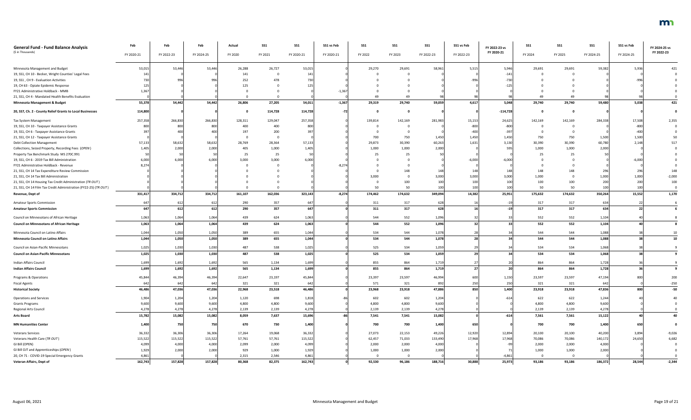| <b>General Fund - Fund Balance Analysis</b>                      | Feb        | Feb        | Feb        | Actual  | <b>SS1</b> | <b>SS1</b> | SS1 vs Feb | SS1     | SS1     | <b>SS1</b> | SS1 vs Feb | FY 2022-23 vs | <b>SS1</b> | <b>SS1</b> | <b>SS1</b> | SS1 vs Feb | FY 2024-25 vs |
|------------------------------------------------------------------|------------|------------|------------|---------|------------|------------|------------|---------|---------|------------|------------|---------------|------------|------------|------------|------------|---------------|
| (\$ in Thousands)                                                | FY 2020-21 | FY 2022-23 | FY 2024-25 | FY 2020 | FY 2021    | FY 2020-21 | FY 2020-21 | FY 2022 | FY 2023 | FY 2022-23 | FY 2022-23 | FY 2020-21    | FY 2024    | FY 2025    | FY 2024-25 | FY 2024-25 | FY 2022-23    |
|                                                                  |            |            |            |         |            |            |            |         |         |            |            |               |            |            |            |            |               |
| Minnesota Management and Budget                                  | 53,015     | 53,446     | 53,446     | 26,288  | 26,727     | 53,015     |            | 29,270  | 29,691  | 58,961     | 5,515      | 5,946         | 29,691     | 29,691     | 59,382     | 5,936      |               |
| 19, SS1, CH 10 - Becker, Wright Counties' Legal Fees             |            |            |            | 141     |            |            |            |         |         |            |            | $-141$        |            |            |            |            |               |
| 19, SS1, CH 9 - Evaluation Activities                            |            | 99         |            | 252     |            |            |            |         |         |            |            |               |            |            |            |            |               |
| 19, CH 63 - Opiate Epidemic Response                             |            |            |            | 125     |            |            |            |         |         |            |            |               |            |            |            |            |               |
| FY21 Administrative Holdback - MMB                               | 1,367      |            |            |         |            |            | $-1,36$    |         |         |            |            |               |            |            |            |            |               |
| 21, SS1, CH 4 - Mandated Health Benefits Evaluation              |            |            |            |         |            |            |            |         |         |            |            |               |            |            |            |            |               |
| Minnesota Management & Budget                                    | 55,378     | 54,442     | 54,442     | 26,806  | 27,205     | 54,011     | $-1,367$   | 29,319  | 29,740  | 59,059     | 4,617      | 5,048         | 29,740     | 29,740     | 59,480     | 5,038      | 421           |
| 20, SS7, Ch. 2 - County Relief Grants to Local Businesses        | 114,800    |            |            |         | 114,728    | 114,728    |            |         |         |            |            | $-114,728$    |            |            |            |            |               |
| Tax System Management                                            | 257,358    | 266,830    | 266,830    | 128,311 | 129,047    | 257,358    |            | 139,814 | 142,169 | 281,983    | 15,153     | 24,625        | 142,169    | 142,169    | 284,338    | 17,508     | 2,355         |
| 19, SS1, CH 10 - Taxpayer Assistance Grants                      |            | 80         | 800        | 400     | 400        |            |            |         |         |            | $-800$     |               |            |            |            | $-800$     |               |
| 19, SS1, CH 6 - Taxpayer Assistance Grants                       |            | 40         |            | 197     | 200        |            |            |         |         |            | -400       |               |            |            |            | $-400$     |               |
| 21, SS1, CH 12 - Taxpayer Assistance Grants                      |            |            |            |         |            |            |            | 700     | 750     | 1,450      | 1,450      | 1,450         | 750        | 750        | 1,500      | 1,500      |               |
| <b>Debt Collection Management</b>                                | 57,133     | 58,632     | 58,632     | 28,769  | 28,364     | 57,133     |            | 29,873  | 30,390  | 60,263     | 1,631      | 3,130         | 30,390     | 30,390     | 60,780     | 2,148      |               |
| Collections, Seized Property, Recording Fees (OPEN)              | 1,405      | 2,000      | 2,000      | 405     | 1,000      | 1,405      |            | 1,000   | 1,000   | 2,000      |            |               | 1,000      | 1,000      | 2,000      |            |               |
| Property Tax Benchmark Study MS 270C.991                         |            |            | -50        | 25      | 25         |            |            |         | 25      | 50         |            |               |            |            |            |            |               |
| 19, SS1, CH 6 - 2019 Tax Bill Administration                     | 6,000      | 6,000      | 6.000      | 3,000   | 3,000      | 6.000      |            |         |         |            | $-6.000$   | $-6.000$      |            |            |            | $-6,000$   |               |
| FY21 Administrative Holdback - Revenue                           | 8,274      |            |            |         |            |            | $-8,27$    |         |         |            |            |               |            |            |            |            |               |
| 21, SS1, CH 14 Tax Expenditure Review Commission                 |            |            |            |         |            |            |            |         | 148     |            |            |               | 148        | 148        |            |            | 148           |
| 21, SS1, CH 14 Tax Bill Administration                           |            |            |            |         |            |            |            | 3,000   |         | 3,000      | 3,000      | 3,000         | 1,000      |            | 1,000      | 1,000      | $-2,000$      |
| 21, SS1, CH 14 Housing Tax Credit Administration (TR OUT)        |            |            |            |         |            |            |            |         | 100     | 100        |            |               | 100        | 100        | 200        | 200        | 100           |
| 21, SS1, CH 14 Film Tax Credit Administration (FY22-25) (TR OUT) |            |            |            |         |            |            |            | 50      | 50      | 100        | 100        |               | 50         | 50         |            | 100        |               |
| Revenue, Dept of                                                 | 331,417    | 334,712    | 334,712    | 161,107 | 162,036    | 323,143    | $-8,274$   | 174,462 | 174,632 | 349,094    | 14,382     | 25,951        | 175,632    | 174,632    | 350,264    | 15,552     | 1,170         |
| <b>Amateur Sports Commission</b>                                 |            | 612        | 612        | 290     | 357        | 647        |            | 311     | 317     | 628        |            |               | 317        | 317        | 634        |            |               |
| <b>Amateur Sports Commission</b>                                 | 64.        | 612        | 612        | 290     | 357        | 647        |            | 311     | 317     | 628        |            |               | 317        | 317        | 634        |            |               |
| Council on Minnesotans of African Heritage                       | 1,063      | 1,064      | 1,064      | 439     | 624        | 1,063      |            | 544     | 552     | 1,096      |            |               | 552        | 552        | 1,104      |            |               |
| <b>Council on Minnesotans of African Heritage</b>                | 1,063      | 1,064      | 1,064      | 439     | 624        | 1,063      |            | 544     | 552     | 1,096      |            | 33            | 552        | 552        | 1,104      |            |               |
| Minnesota Council on Latino Affairs                              | 1,044      | 1,050      | 1,050      | 389     | 655        | 1,044      |            | 534     | 544     | 1,078      |            |               | 544        | 544        | 1,088      |            | 10            |
| Minnesota Council on Latino Affairs                              | 1,044      | 1,050      | 1,050      | 389     | 655        | 1,044      |            | 534     | 544     | 1,078      | 28         | 24            | 544        | 544        | 1,088      |            | 10            |
| Council on Asian-Pacific Minnesotans                             | 1,025      | 1,030      | 1,030      | 487     | 538        | 1,025      |            | 525     | 534     | 1,059      |            |               | 534        | 534        | 1,068      |            |               |
| <b>Council on Asian-Pacific Minnesotans</b>                      | 1,025      | 1,030      | 1,030      | 487     | 538        | 1,025      |            | 525     | 534     | 1,059      | 29         | 34 I          | 534        | 534        | 1,068      |            |               |
| Indian Affairs Council                                           | 1,699      | 1,692      | 1,692      | 565     | 1,134      | 1,699      |            | 855     | 864     | 1,719      |            |               | 864        | 864        | 1,728      |            |               |
| <b>Indian Affairs Council</b>                                    | 1,699      | 1,692      | 1,692      | 565     | 1,134      | 1,699      |            | 855     | 864     | 1,719      | 27         | 20            | 864        | 864        | 1,728      |            |               |
| Programs & Operations                                            | 45,844     | 46,394     | 46,394     | 22,647  | 23,197     | 45,844     |            | 23,397  | 23,597  | 46,994     | 600        | 1,150         | 23,597     | 23,597     | 47,194     | 800        | 200           |
| <b>Fiscal Agents</b>                                             | 642        | 642        | 642        | 321     | 321        | 642        |            | 571     | 321     | 892        | 250        | 250           | 321        | 321        | 642        |            | $-250$        |
| <b>Historical Society</b>                                        | 46,486     | 47,036     | 47,036     | 22,968  | 23,518     | 46,486     |            | 23,968  | 23,918  | 47,886     | 850        | 1,400         | 23,918     | 23,918     | 47,836     | 800        | $-50$         |
| <b>Operations and Services</b>                                   | 1,904      | 1,204      | 1,204      | 1,120   | 698        | 1,818      |            | 602     | 602     | 1,204      |            | $-614$        | 622        | 622        | 1,244      |            |               |
| <b>Grants Programs</b>                                           | 9,600      | 9,600      | 9,600      | 4,800   | 4,800      | 9,600      |            | 4,800   | 4,800   | 9,600      |            |               | 4,800      | 4,800      | 9,600      |            |               |
| <b>Regional Arts Council</b>                                     | 4,278      | 4,278      | 4,278      | 2,139   | 2,139      | 4,278      |            | 2,139   | 2,139   | 4,278      |            |               | 2,139      | 2,139      | 4,278      |            |               |
| <b>Arts Board</b>                                                | 15,782     | 15,082     | 15,082     | 8,059   | 7,637      | 15,696     |            | 7,541   | 7,541   | 15,082     |            | $-614$        | 7,561      | 7,561      | 15,122     |            | 40            |
| <b>MN Humanities Center</b>                                      | 1,400      | 750        | 750        | 670     | 730        | 1,400      |            | 700     | 700     | 1,400      | 650        |               | 700        | 700        | 1,400      | 650        |               |
| <b>Veterans Services</b>                                         | 36,332     | 36,306     | 36,306     | 17,264  | 19,068     | 36,332     |            | 27,073  | 22,153  | 49,226     | 12,920     | 12,894        | 20,100     | 20,100     | 40,200     | 3,894      | $-9,026$      |
| Veterans Health Care (TR OUT)                                    | 115,522    | 115,522    | 115,522    | 57,761  | 57,761     | 115,522    |            | 62,457  | 71,033  | 133,490    | 17,968     | 17,968        | 70,086     | 70,086     | 140,172    | 24,650     | 6,682         |
| GI Bill (OPEN)                                                   | 4,099      | 4,000      | 4,000      | 2,099   | 2,000      | 4,099      |            | 2,000   | 2,000   | 4,000      |            |               | 2,000      | 2,000      | 4,000      |            |               |
| GI Bill OJT and Apprenticeships (OPEN)                           | 1,929      | 2,000      | 2,000      | 929     | 1,000      | 1,929      |            | 1,000   | 1,000   | 2,000      |            |               | 1,000      | 1,000      | 2,000      |            |               |
| 20, CH 71 - COVID-19 Special Emergency Grants                    | 4,861      |            |            | 2,315   | 2,546      | 4,861      |            |         |         |            |            | $-4,862$      |            |            |            |            |               |
| Veteran Affairs, Dept of                                         | 162,743    | 157,828    | 157,828    | 80,368  | 82,375     | 162,743    |            | 92,530  | 96,186  | 188,71     | 30,888     | 25,973        | 93,186     | 93,186     | 186,372    | 28,544     | $-2,344$      |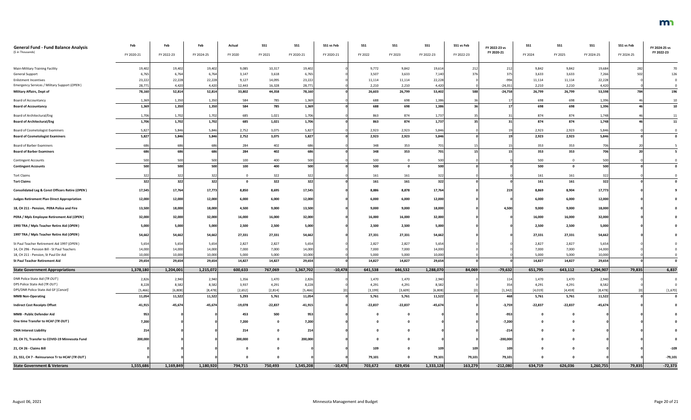| <b>General Fund - Fund Balance Analysis</b>        | Feb        | Feb        | Feb        | Actual    | <b>SS1</b> | <b>SS1</b> | SS1 vs Feb | <b>SS1</b> | <b>SS1</b>     | <b>SS1</b> | SS1 vs Feb | FY 2022-23 vs | <b>SS1</b> | <b>SS1</b> | <b>SS1</b> | SS1 vs Feb | FY 2024-25 vs |
|----------------------------------------------------|------------|------------|------------|-----------|------------|------------|------------|------------|----------------|------------|------------|---------------|------------|------------|------------|------------|---------------|
| (\$ in Thousands)                                  | FY 2020-21 | FY 2022-23 | FY 2024-25 | FY 2020   | FY 2021    | FY 2020-21 | FY 2020-21 | FY 2022    | FY 2023        | FY 2022-23 | FY 2022-23 | FY 2020-21    | FY 2024    | FY 2025    | FY 2024-25 | FY 2024-25 | FY 2022-23    |
|                                                    |            |            |            |           |            |            |            |            |                |            |            |               |            |            |            |            |               |
| <b>Main-Military Training Facility</b>             | 19,402     | 19,402     | 19,402     | 9,085     | 10,317     | 19,402     |            | 9,772      | 9,842          | 19,614     | 212        |               | 9,842      | 9,842      | 19,684     | 282        |               |
| <b>General Support</b>                             | 6,765      | 6,764      | 6,764      | 3,147     | 3,618      | 6,765      |            | 3,507      | 3,633          | 7,140      |            |               | 3,633      | 3,633      | 7,266      |            | 126           |
| <b>Enlistment Incentives</b>                       | 23,222     | 22,228     | 22,228     | 9,127     | 14,095     | 23,222     |            | 11,114     | 11,114         | 22,228     |            | $-994$        | 11,114     | 11,114     | 22,228     |            |               |
| Emergency Services / Military Support (OPEN)       | 28,771     | 4,420      | 4,420      | 12,443    | 16,328     | 28,771     |            | 2,210      | 2,210          | 4,420      |            | $-24,352$     | 2,210      | 2,210      | 4,420      |            |               |
| <b>Military Affairs, Dept of</b>                   | 78,160     | 52,814     | 52,814     | 33,802    | 44,358     | 78,160     |            | 26,603     | 26,799         | 53,402     | 588        | $-24,758$     | 26,799     | 26,799     | 53,598     | 784        | 196           |
| <b>Board of Accountancy</b>                        | 1,369      | 1,350      | 1,350      | 584       | 785        | 1,369      |            | 688        | 698            | 1,386      |            |               | 698        | 698        | 1,396      |            | 10            |
| <b>Board of Accountancy</b>                        | 1,369      | 1,350      | 1,350      | 584       | 785        | 1,369      |            | 688        | 698            | 1,386      |            | 17            | 698        | 698        | 1,396      |            | 10            |
| Board of Architectural/Eng                         | 1,706      | 1,702      | 1,702      | 685       | 1,021      | 1,706      |            | 863        | 874            | 1,737      |            |               | 874        | 874        | 1,748      |            |               |
| <b>Board of Architectural/Eng</b>                  | 1,706      | 1,702      | 1,702      | 685       | 1,021      | 1,706      |            | 863        | 874            | 1,737      |            |               | 874        | 874        | 1,748      |            | 11            |
| <b>Board of Cosmetologist Examiners</b>            | 5,82       | 5,846      | 5,846      | 2,752     | 3,075      | 5,827      |            | 2,923      | 2,923          | 5,846      |            |               | 2,923      | 2,923      | 5,846      |            |               |
| <b>Board of Cosmetologist Examiners</b>            | 5,827      | 5,846      | 5,846      | 2,752     | 3,075      | 5,827      |            | 2,923      | 2,923          | 5,846      |            |               | 2,923      | 2,923      | 5,846      |            |               |
| <b>Board of Barber Examiners</b>                   |            | 686        | 68         | 284       | 402        | 686        |            | 348        | 353            | 701        |            |               | 353        | 353        | 706        |            |               |
| <b>Board of Barber Examiners</b>                   | 680        | 686        | 686        | 284       | 402        | 686        |            | 348        | 353            | 701        |            |               | 353        | 353        | 706        |            |               |
| <b>Contingent Accounts</b>                         | 500        | 500        | 500        | 100       | 400        | 500        |            | 500        | $\overline{0}$ | 500        |            |               | 500        |            | 500        |            |               |
| <b>Contingent Accounts</b>                         | 500        | 500        | 500        | 100       | 400        | 500        |            | 500        | $\mathbf{0}$   | 500        |            |               | 500        |            | 500        |            |               |
|                                                    |            |            |            | $\Omega$  |            |            |            |            |                |            |            |               |            |            |            |            |               |
| <b>Tort Claims</b><br><b>Tort Claims</b>           | 322<br>322 | 322<br>322 | 32<br>322  | - റ       | 322<br>322 | 322<br>322 |            | 161<br>161 | 161<br>161     | 322<br>322 |            |               | 161<br>161 | 161<br>161 | 322<br>322 |            |               |
| Consolidated Leg & Const Officers Retire (OPEN)    |            |            |            | 8,850     |            |            |            |            |                |            |            |               | 8,869      |            |            |            |               |
|                                                    | 17,545     | 17,764     | 17,773     |           | 8,695      | 17,545     |            | 8,886      | 8,878          | 17,764     |            | 219           |            | 8,904      | 17,773     |            |               |
| <b>Judges Retirement Plan Direct Appropriation</b> | 12,000     | 12,000     | 12,000     | 6,000     | 6,000      | 12,000     |            | 6,000      | 6,000          | 12,000     |            |               | 6,000      | 6,000      | 12,000     |            |               |
| 18, CH 211 - Pension, PERA Police and Fire         | 13,500     | 18,000     | 18,000     | 4,500     | 9,000      | 13,500     |            | 9,000      | 9,000          | 18,000     |            | 4,500         | 9,000      | 9,000      | 18,000     |            |               |
| PERA / Mpls Employee Retirement Aid (OPEN)         | 32,000     | 32,000     | 32,000     | 16,000    | 16,000     | 32,000     |            | 16,000     | 16,000         | 32,000     |            |               | 16,000     | 16,000     | 32,000     |            |               |
| 1993 TRA / Mpls Teacher Retire Aid (OPEN)          | 5,000      | 5,000      | 5,000      | 2,500     | 2,500      | 5,000      |            | 2,500      | 2,500          | 5,000      |            |               | 2,500      | 2,500      | 5,000      |            |               |
| 1997 TRA / Mpls Teacher Retire Aid (OPEN)          | 54,662     | 54,662     | 54,662     | 27,331    | 27,331     | 54,662     |            | 27,331     | 27,331         | 54,662     |            |               | 27,331     | 27,331     | 54,662     |            |               |
| St Paul Teacher Retirement Aid 1997 (OPEN)         | 5,654      | 5,654      | 5,654      | 2,827     | 2,827      | 5,654      |            | 2,827      | 2,827          | 5,654      |            |               | 2,827      | 2,827      | 5,654      |            |               |
| 14, CH 296 - Pension Bill - St Paul Teachers       | 14,000     | 14,000     | 14,000     | 7,000     | 7,000      | 14,000     |            | 7,000      | 7,000          | 14,000     |            |               | 7,000      | 7,000      | 14,000     |            |               |
| 18, CH 211 - Pension, St Paul Dir Aid              | 10,000     | 10,000     | 10,000     | 5,000     | 5,000      | 10,000     |            | 5,000      | 5,000          | 10,000     |            |               | 5,000      | 5,000      | 10,000     |            |               |
| <b>St Paul Teacher Retirement Aid</b>              | 29,654     | 29,654     | 29,654     | 14,827    | 14,827     | 29,654     |            | 14,827     | 14,827         | 29,654     |            |               | 14,827     | 14,827     | 29,654     |            |               |
| <b>State Government Appropriations</b>             | 1,378,180  | 1,204,001  | 1,215,072  | 600,633   | 767,069    | 1,367,702  | $-10,478$  | 641,538    | 646,532        | 1,288,070  | 84,069     | $-79,632$     | 651,795    | 643,112    | 1,294,907  | 79,835     | 6,837         |
|                                                    |            |            |            |           |            |            |            |            |                |            |            |               |            |            |            |            |               |
| DNR Police State Aid (TR OUT)                      | 2,826      | 2,940      | 2,940      | 1,356     | 1,470      | 2,826      |            | 1,470      | 1,470          | 2,940      |            | -114          | 1,470      | 1,470      | 2,940      |            |               |
| DPS Police State Aid (TR OUT)                      | 8,228      | 8,582      | 8,582      | 3,937     | 4,291      | 8,228      |            | 4,291      | 4,291          | 8,582      |            |               | 4,291      | 4,291      | 8,582      |            |               |
| DPS/DNR Police State Aid GF [Cancel]               | [5, 466]   | [6, 808]   | [8, 478]   | [2,652]   | [2,814]    | [5,466]    |            | [3, 199]   | [3,609]        | [6, 808]   |            | [1, 342]      | [4,019]    | [4, 459]   | [8, 478]   |            | [1,670]       |
| <b>MMB Non-Operating</b>                           | 11,054     | 11,522     | 11,522     | 5,293     | 5,761      | 11,054     |            | 5,761      | 5,761          | 11,522     |            | 468           | 5,761      | 5,761      | 11,522     |            |               |
| <b>Indirect Cost Receipts Offset</b>               | $-41,915$  | $-45,674$  | $-45,674$  | $-19,078$ | $-22,837$  | $-41,915$  |            | $-22,837$  | $-22,837$      | $-45,674$  |            | $-3,759$      | $-22,837$  | $-22,837$  | $-45,674$  |            |               |
| MMB - Public Defender Aid                          | 953        |            |            | 453       | 500        | 953        |            |            | $\mathbf 0$    |            |            | -953          |            |            |            |            |               |
| One time Transfer to HCAF (TR OUT)                 | 7,200      |            |            | 7,200     |            | 7,200      |            |            | 0              |            |            | $-7,200$      |            |            |            |            |               |
| <b>CMA Interest Liability</b>                      | 214        |            |            | 214       |            | 214        |            |            | 0              |            |            | $-214$        |            |            |            |            |               |
| 20, CH 71, Transfer to COVID-19 Minnesota Fund     | 200,000    |            |            | 200,000   |            | 200,000    |            |            | - റ            |            |            | $-200,000$    |            |            |            |            |               |
| 21, CH 26 - Claims Bill                            |            |            |            |           |            |            |            | 109        | 0              | 109        | 109        | 109           |            |            |            |            | $-109$        |
|                                                    |            |            |            |           |            |            |            |            |                |            |            |               |            |            |            |            |               |
| 21, SS1, CH 7 - Reinsurance Tr to HCAF (TR OUT)    |            |            |            |           |            |            |            | 79,101     | $\mathbf 0$    | 79,101     | 79,101     | 79,101        |            |            |            |            | $-79,101$     |
| <b>State Government &amp; Veterans</b>             | 1,555,686  | 1,169,849  | 1,180,920  | 794,715   | 750,493    | 1,545,208  | $-10,478$  | 703,672    | 629,456        | 1,333,128  | 163,279    | $-212,080$    | 634,719    | 626,036    | 1,260,755  | 79,835     | $-72,373$     |